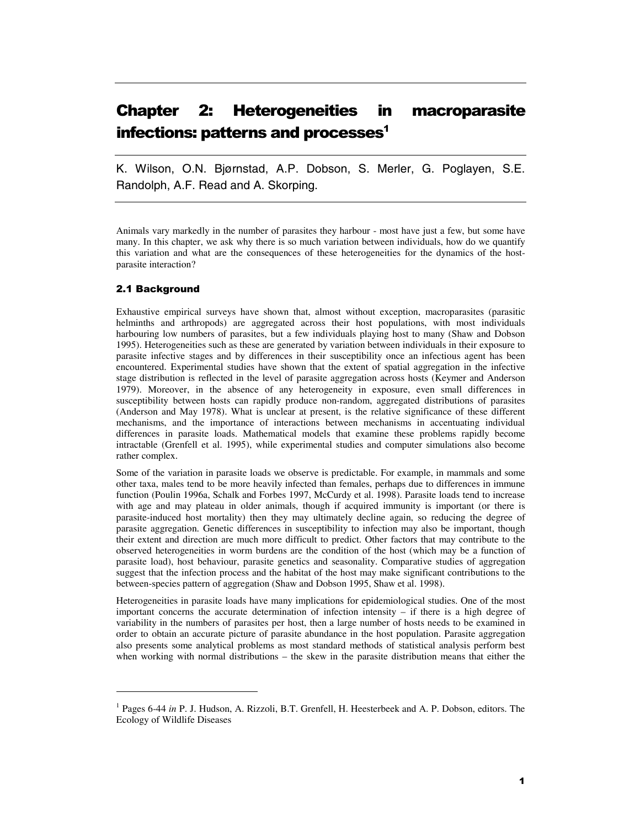# Chapter 2: Heterogeneities in macroparasite infections: patterns and processes<sup>1</sup>

K. Wilson, O.N. Bjørnstad, A.P. Dobson, S. Merler, G. Poglayen, S.E. Randolph, A.F. Read and A. Skorping.

Animals vary markedly in the number of parasites they harbour - most have just a few, but some have many. In this chapter, we ask why there is so much variation between individuals, how do we quantify this variation and what are the consequences of these heterogeneities for the dynamics of the hostparasite interaction?

# 2.1 Background

 $\overline{a}$ 

Exhaustive empirical surveys have shown that, almost without exception, macroparasites (parasitic helminths and arthropods) are aggregated across their host populations, with most individuals harbouring low numbers of parasites, but a few individuals playing host to many (Shaw and Dobson 1995). Heterogeneities such as these are generated by variation between individuals in their exposure to parasite infective stages and by differences in their susceptibility once an infectious agent has been encountered. Experimental studies have shown that the extent of spatial aggregation in the infective stage distribution is reflected in the level of parasite aggregation across hosts (Keymer and Anderson 1979). Moreover, in the absence of any heterogeneity in exposure, even small differences in susceptibility between hosts can rapidly produce non-random, aggregated distributions of parasites (Anderson and May 1978). What is unclear at present, is the relative significance of these different mechanisms, and the importance of interactions between mechanisms in accentuating individual differences in parasite loads. Mathematical models that examine these problems rapidly become intractable (Grenfell et al. 1995), while experimental studies and computer simulations also become rather complex.

Some of the variation in parasite loads we observe is predictable. For example, in mammals and some other taxa, males tend to be more heavily infected than females, perhaps due to differences in immune function (Poulin 1996a, Schalk and Forbes 1997, McCurdy et al. 1998). Parasite loads tend to increase with age and may plateau in older animals, though if acquired immunity is important (or there is parasite-induced host mortality) then they may ultimately decline again, so reducing the degree of parasite aggregation. Genetic differences in susceptibility to infection may also be important, though their extent and direction are much more difficult to predict. Other factors that may contribute to the observed heterogeneities in worm burdens are the condition of the host (which may be a function of parasite load), host behaviour, parasite genetics and seasonality. Comparative studies of aggregation suggest that the infection process and the habitat of the host may make significant contributions to the between-species pattern of aggregation (Shaw and Dobson 1995, Shaw et al. 1998).

Heterogeneities in parasite loads have many implications for epidemiological studies. One of the most important concerns the accurate determination of infection intensity – if there is a high degree of variability in the numbers of parasites per host, then a large number of hosts needs to be examined in order to obtain an accurate picture of parasite abundance in the host population. Parasite aggregation also presents some analytical problems as most standard methods of statistical analysis perform best when working with normal distributions – the skew in the parasite distribution means that either the

<sup>&</sup>lt;sup>1</sup> Pages 6-44 *in* P. J. Hudson, A. Rizzoli, B.T. Grenfell, H. Heesterbeek and A. P. Dobson, editors. The Ecology of Wildlife Diseases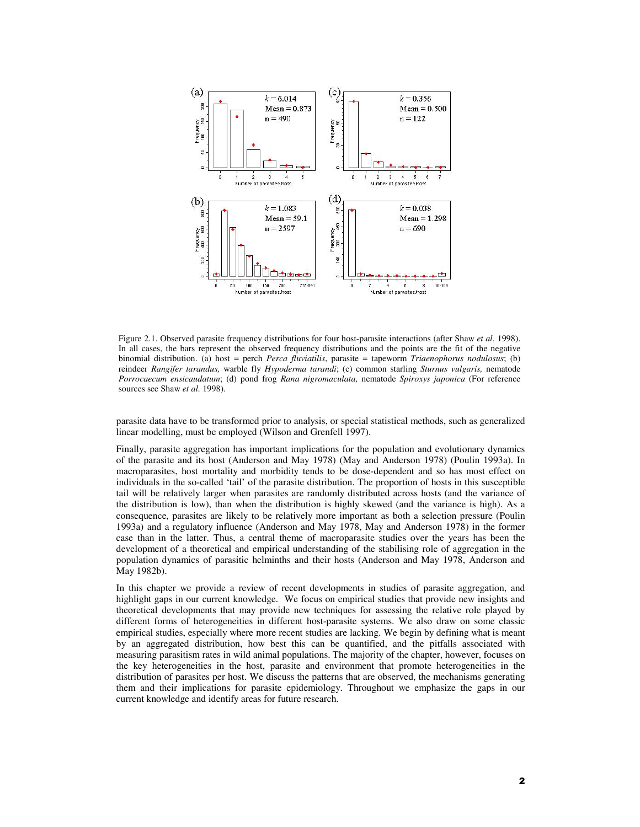

Figure 2.1. Observed parasite frequency distributions for four host-parasite interactions (after Shaw *et al.* 1998). In all cases, the bars represent the observed frequency distributions and the points are the fit of the negative binomial distribution. (a) host = perch *Perca fluviatilis*, parasite = tapeworm *Triaenophorus nodulosus*; (b) reindeer *Rangifer tarandus,* warble fly *Hypoderma tarandi*; (c) common starling *Sturnus vulgaris,* nematode *Porrocaecum ensicaudatum*; (d) pond frog *Rana nigromaculata,* nematode *Spiroxys japonica* (For reference sources see Shaw *et al.* 1998).

parasite data have to be transformed prior to analysis, or special statistical methods, such as generalized linear modelling, must be employed (Wilson and Grenfell 1997).

Finally, parasite aggregation has important implications for the population and evolutionary dynamics of the parasite and its host (Anderson and May 1978) (May and Anderson 1978) (Poulin 1993a). In macroparasites, host mortality and morbidity tends to be dose-dependent and so has most effect on individuals in the so-called 'tail' of the parasite distribution. The proportion of hosts in this susceptible tail will be relatively larger when parasites are randomly distributed across hosts (and the variance of the distribution is low), than when the distribution is highly skewed (and the variance is high). As a consequence, parasites are likely to be relatively more important as both a selection pressure (Poulin 1993a) and a regulatory influence (Anderson and May 1978, May and Anderson 1978) in the former case than in the latter. Thus, a central theme of macroparasite studies over the years has been the development of a theoretical and empirical understanding of the stabilising role of aggregation in the population dynamics of parasitic helminths and their hosts (Anderson and May 1978, Anderson and May 1982b).

In this chapter we provide a review of recent developments in studies of parasite aggregation, and highlight gaps in our current knowledge. We focus on empirical studies that provide new insights and theoretical developments that may provide new techniques for assessing the relative role played by different forms of heterogeneities in different host-parasite systems. We also draw on some classic empirical studies, especially where more recent studies are lacking. We begin by defining what is meant by an aggregated distribution, how best this can be quantified, and the pitfalls associated with measuring parasitism rates in wild animal populations. The majority of the chapter, however, focuses on the key heterogeneities in the host, parasite and environment that promote heterogeneities in the distribution of parasites per host. We discuss the patterns that are observed, the mechanisms generating them and their implications for parasite epidemiology. Throughout we emphasize the gaps in our current knowledge and identify areas for future research.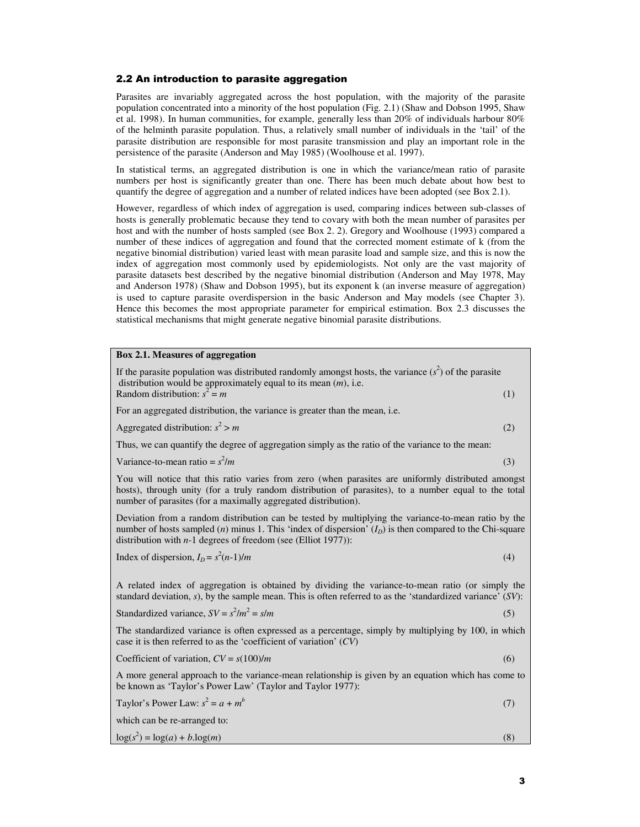# 2.2 An introduction to parasite aggregation

Parasites are invariably aggregated across the host population, with the majority of the parasite population concentrated into a minority of the host population (Fig. 2.1) (Shaw and Dobson 1995, Shaw et al. 1998). In human communities, for example, generally less than 20% of individuals harbour 80% of the helminth parasite population. Thus, a relatively small number of individuals in the 'tail' of the parasite distribution are responsible for most parasite transmission and play an important role in the persistence of the parasite (Anderson and May 1985) (Woolhouse et al. 1997).

In statistical terms, an aggregated distribution is one in which the variance/mean ratio of parasite numbers per host is significantly greater than one. There has been much debate about how best to quantify the degree of aggregation and a number of related indices have been adopted (see Box 2.1).

However, regardless of which index of aggregation is used, comparing indices between sub-classes of hosts is generally problematic because they tend to covary with both the mean number of parasites per host and with the number of hosts sampled (see Box 2. 2). Gregory and Woolhouse (1993) compared a number of these indices of aggregation and found that the corrected moment estimate of k (from the negative binomial distribution) varied least with mean parasite load and sample size, and this is now the index of aggregation most commonly used by epidemiologists. Not only are the vast majority of parasite datasets best described by the negative binomial distribution (Anderson and May 1978, May and Anderson 1978) (Shaw and Dobson 1995), but its exponent k (an inverse measure of aggregation) is used to capture parasite overdispersion in the basic Anderson and May models (see Chapter 3). Hence this becomes the most appropriate parameter for empirical estimation. Box 2.3 discusses the statistical mechanisms that might generate negative binomial parasite distributions.

## **Box 2.1. Measures of aggregation**

| If the parasite population was distributed randomly amongst hosts, the variance $(s^2)$ of the parasite<br>distribution would be approximately equal to its mean $(m)$ , i.e.                                                                                                       |     |
|-------------------------------------------------------------------------------------------------------------------------------------------------------------------------------------------------------------------------------------------------------------------------------------|-----|
| Random distribution: $s^2 = m$                                                                                                                                                                                                                                                      | (1) |
| For an aggregated distribution, the variance is greater than the mean, i.e.                                                                                                                                                                                                         |     |
| Aggregated distribution: $s^2 > m$                                                                                                                                                                                                                                                  | (2) |
| Thus, we can quantify the degree of aggregation simply as the ratio of the variance to the mean:                                                                                                                                                                                    |     |
| Variance-to-mean ratio = $s^2/m$                                                                                                                                                                                                                                                    | (3) |
| You will notice that this ratio varies from zero (when parasites are uniformly distributed amongst<br>hosts), through unity (for a truly random distribution of parasites), to a number equal to the total<br>number of parasites (for a maximally aggregated distribution).        |     |
| Deviation from a random distribution can be tested by multiplying the variance-to-mean ratio by the<br>number of hosts sampled (n) minus 1. This 'index of dispersion' $(ID)$ is then compared to the Chi-square<br>distribution with $n-1$ degrees of freedom (see (Elliot 1977)): |     |
| Index of dispersion, $I_D = s^2(n-1)/m$                                                                                                                                                                                                                                             | (4) |
| A related index of aggregation is obtained by dividing the variance-to-mean ratio (or simply the<br>standard deviation, s), by the sample mean. This is often referred to as the 'standardized variance' $(SV)$ :                                                                   |     |
| Standardized variance, $SV = s^2/m^2 = s/m$                                                                                                                                                                                                                                         | (5) |
| The standardized variance is often expressed as a percentage, simply by multiplying by 100, in which<br>case it is then referred to as the 'coefficient of variation' $(CV)$                                                                                                        |     |
| Coefficient of variation, $CV = s(100)/m$                                                                                                                                                                                                                                           | (6) |
| A more general approach to the variance-mean relationship is given by an equation which has come to<br>be known as 'Taylor's Power Law' (Taylor and Taylor 1977):                                                                                                                   |     |
| Taylor's Power Law: $s^2 = a + m^b$                                                                                                                                                                                                                                                 | (7) |
| which can be re-arranged to:                                                                                                                                                                                                                                                        |     |
| $\log(s^2) = \log(a) + b \cdot \log(m)$                                                                                                                                                                                                                                             | (8) |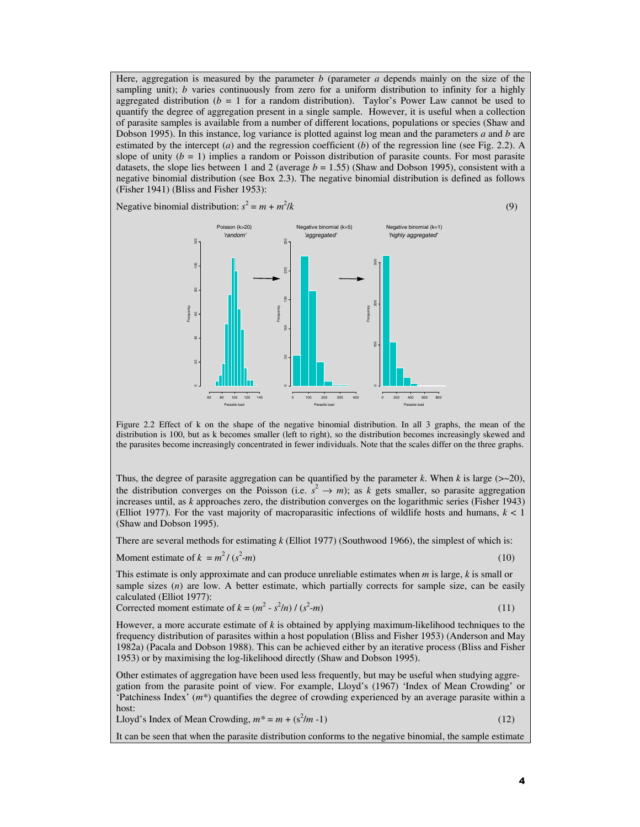Here, aggregation is measured by the parameter *b* (parameter *a* depends mainly on the size of the sampling unit); *b* varies continuously from zero for a uniform distribution to infinity for a highly aggregated distribution ( $b = 1$  for a random distribution). Taylor's Power Law cannot be used to quantify the degree of aggregation present in a single sample. However, it is useful when a collection of parasite samples is available from a number of different locations, populations or species (Shaw and Dobson 1995). In this instance, log variance is plotted against log mean and the parameters *a* and *b* are estimated by the intercept (*a*) and the regression coefficient (*b*) of the regression line (see Fig. 2.2). A slope of unity  $(b = 1)$  implies a random or Poisson distribution of parasite counts. For most parasite datasets, the slope lies between 1 and 2 (average  $b = 1.55$ ) (Shaw and Dobson 1995), consistent with a negative binomial distribution (see Box 2.3). The negative binomial distribution is defined as follows (Fisher 1941) (Bliss and Fisher 1953):

Negative binomial distribution:  $s^2 = m + m^2$ 





Figure 2.2 Effect of k on the shape of the negative binomial distribution. In all 3 graphs, the mean of the distribution is 100, but as k becomes smaller (left to right), so the distribution becomes increasingly skewed and the parasites become increasingly concentrated in fewer individuals. Note that the scales differ on the three graphs.

Thus, the degree of parasite aggregation can be quantified by the parameter  $k$ . When  $k$  is large ( $>$ -20), the distribution converges on the Poisson (i.e.  $s^2 \to m$ ); as *k* gets smaller, so parasite aggregation increases until, as *k* approaches zero, the distribution converges on the logarithmic series (Fisher 1943) (Elliot 1977). For the vast majority of macroparasitic infections of wildlife hosts and humans,  $k < 1$ (Shaw and Dobson 1995).

There are several methods for estimating *k* (Elliot 1977) (Southwood 1966), the simplest of which is:

Moment estimate of  $k = m^2 / (s^2)$ 

-*m*) (10)

This estimate is only approximate and can produce unreliable estimates when *m* is large, *k* is small or sample sizes (*n*) are low. A better estimate, which partially corrects for sample size, can be easily calculated (Elliot 1977):

Corrected moment estimate of 
$$
k = (m^2 - s^2/n) / (s^2 - m)
$$
 (11)

However, a more accurate estimate of *k* is obtained by applying maximum-likelihood techniques to the frequency distribution of parasites within a host population (Bliss and Fisher 1953) (Anderson and May 1982a) (Pacala and Dobson 1988). This can be achieved either by an iterative process (Bliss and Fisher 1953) or by maximising the log-likelihood directly (Shaw and Dobson 1995).

Other estimates of aggregation have been used less frequently, but may be useful when studying aggregation from the parasite point of view. For example, Lloyd's (1967) 'Index of Mean Crowding' or 'Patchiness Index' (*m\**) quantifies the degree of crowding experienced by an average parasite within a host:

Lloyd's Index of Mean Crowding,  $m^* = m + (s^2/m - 1)$  (12)

It can be seen that when the parasite distribution conforms to the negative binomial, the sample estimate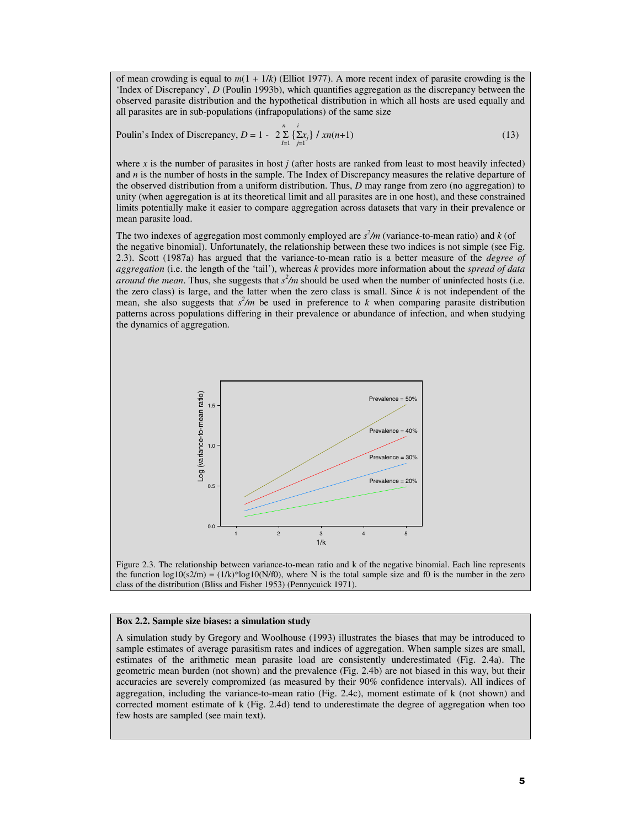of mean crowding is equal to *m*(1 + 1/*k*) (Elliot 1977). A more recent index of parasite crowding is the 'Index of Discrepancy', *D* (Poulin 1993b), which quantifies aggregation as the discrepancy between the observed parasite distribution and the hypothetical distribution in which all hosts are used equally and all parasites are in sub-populations (infrapopulations) of the same size  $\frac{n}{i}$ 

Poulin's Index of Discrepancy, 
$$
D = 1 - 2 \sum_{i=1}^{n} \sum_{j=1}^{i} \frac{1}{2} x_i
$$
  $\frac{1}{2} \sum_{i=1}^{n} \frac{1}{2} \sum_{j=1}^{i} \frac{1}{2} \sum_{j=1}^{i} \frac{1}{2} \sum_{j=1}^{i} \frac{1}{2} \sum_{j=1}^{i} \frac{1}{2} \sum_{j=1}^{i} \frac{1}{2} \sum_{j=1}^{i} \frac{1}{2} \sum_{j=1}^{i} \frac{1}{2} \sum_{j=1}^{i} \frac{1}{2} \sum_{j=1}^{i} \frac{1}{2} \sum_{j=1}^{i} \frac{1}{2} \sum_{j=1}^{i} \frac{1}{2} \sum_{j=1}^{i} \frac{1}{2} \sum_{j=1}^{i} \frac{1}{2} \sum_{j=1}^{i} \frac{1}{2} \sum_{j=1}^{i} \frac{1}{2} \sum_{j=1}^{i} \frac{1}{2} \sum_{j=1}^{i} \frac{1}{2} \sum_{j=1}^{i} \frac{1}{2} \sum_{j=1}^{i} \frac{1}{2} \sum_{j=1}^{i} \frac{1}{2} \sum_{j=1}^{i} \frac{1}{2} \sum_{j=1}^{i} \frac{1}{2} \sum_{j=1}^{i} \frac{1}{2} \sum_{j=1}^{i} \frac{1}{2} \sum_{j=1}^{i} \frac{1}{2} \sum_{j=1}^{i} \frac{1}{2} \sum_{j=1}^{i} \frac{1}{2} \sum_{j=1}^{i} \frac{1}{2} \sum_{j=1}^{i} \frac{1}{2} \sum_{j=1}^{i} \frac{1}{2} \sum_{j=1}^{i} \frac{1}{2} \sum_{j=1}^{i} \frac{1}{2} \sum_{j=1}^{i} \frac{1}{2} \sum_{j=1}^{i} \frac{1}{2} \sum_{j=1}^{i} \frac{1}{2} \sum_{j=1}^{i} \frac{1}{2} \sum_{j=1}^{i} \frac{1}{2} \sum_{j=1}^{i} \frac{1}{2} \sum_{j=1}^{i} \frac{1}{2} \sum_{j=1}^{i} \frac{1}{2} \sum_{j=1}$ 

where  $x$  is the number of parasites in host  $j$  (after hosts are ranked from least to most heavily infected) and *n* is the number of hosts in the sample. The Index of Discrepancy measures the relative departure of the observed distribution from a uniform distribution. Thus, *D* may range from zero (no aggregation) to unity (when aggregation is at its theoretical limit and all parasites are in one host), and these constrained limits potentially make it easier to compare aggregation across datasets that vary in their prevalence or mean parasite load.

The two indexes of aggregation most commonly employed are  $s^2/m$  (variance-to-mean ratio) and *k* (of the negative binomial). Unfortunately, the relationship between these two indices is not simple (see Fig. 2.3). Scott (1987a) has argued that the variance-to-mean ratio is a better measure of the *degree of aggregation* (i.e. the length of the 'tail'), whereas *k* provides more information about the *spread of data around the mean*. Thus, she suggests that  $s^2/m$  should be used when the number of uninfected hosts (i.e. the zero class) is large, and the latter when the zero class is small. Since *k* is not independent of the mean, she also suggests that  $s^2/m$  be used in preference to *k* when comparing parasite distribution patterns across populations differing in their prevalence or abundance of infection, and when studying the dynamics of aggregation.





# **Box 2.2. Sample size biases: a simulation study**

A simulation study by Gregory and Woolhouse (1993) illustrates the biases that may be introduced to sample estimates of average parasitism rates and indices of aggregation. When sample sizes are small, estimates of the arithmetic mean parasite load are consistently underestimated (Fig. 2.4a). The geometric mean burden (not shown) and the prevalence (Fig. 2.4b) are not biased in this way, but their accuracies are severely compromized (as measured by their 90% confidence intervals). All indices of aggregation, including the variance-to-mean ratio (Fig. 2.4c), moment estimate of k (not shown) and corrected moment estimate of k (Fig. 2.4d) tend to underestimate the degree of aggregation when too few hosts are sampled (see main text).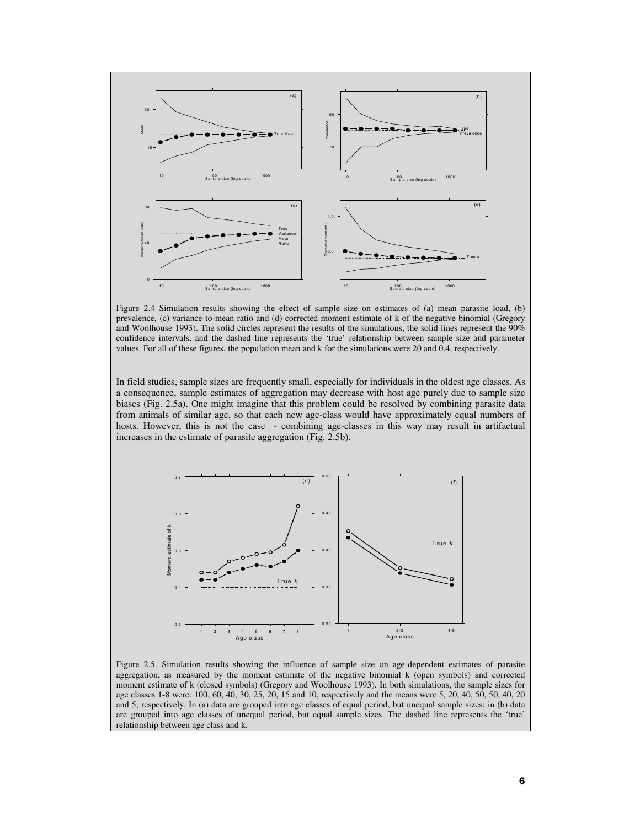

Figure 2.4 Simulation results showing the effect of sample size on estimates of (a) mean parasite load, (b) prevalence, (c) variance-to-mean ratio and (d) corrected moment estimate of k of the negative binomial (Gregory and Woolhouse 1993). The solid circles represent the results of the simulations, the solid lines represent the 90% confidence intervals, and the dashed line represents the 'true' relationship between sample size and parameter values. For all of these figures, the population mean and k for the simulations were 20 and 0.4, respectively.

In field studies, sample sizes are frequently small, especially for individuals in the oldest age classes. As a consequence, sample estimates of aggregation may decrease with host age purely due to sample size biases (Fig. 2.5a). One might imagine that this problem could be resolved by combining parasite data from animals of similar age, so that each new age-class would have approximately equal numbers of hosts. However, this is not the case - combining age-classes in this way may result in artifactual increases in the estimate of parasite aggregation (Fig. 2.5b).



Figure 2.5. Simulation results showing the influence of sample size on age-dependent estimates of parasite aggregation, as measured by the moment estimate of the negative binomial k (open symbols) and corrected moment estimate of k (closed symbols) (Gregory and Woolhouse 1993). In both simulations, the sample sizes for age classes 1-8 were: 100, 60, 40, 30, 25, 20, 15 and 10, respectively and the means were 5, 20, 40, 50, 50, 40, 20 and 5, respectively. In (a) data are grouped into age classes of equal period, but unequal sample sizes; in (b) data are grouped into age classes of unequal period, but equal sample sizes. The dashed line represents the 'true' relationship between age class and k.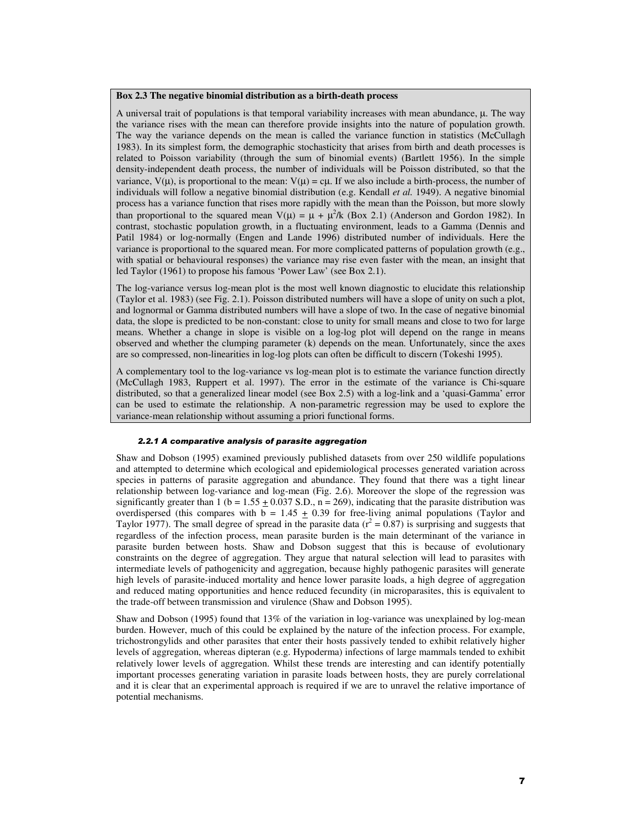### **Box 2.3 The negative binomial distribution as a birth-death process**

A universal trait of populations is that temporal variability increases with mean abundance,  $\mu$ . The way the variance rises with the mean can therefore provide insights into the nature of population growth. The way the variance depends on the mean is called the variance function in statistics (McCullagh 1983). In its simplest form, the demographic stochasticity that arises from birth and death processes is related to Poisson variability (through the sum of binomial events) (Bartlett 1956). In the simple density-independent death process, the number of individuals will be Poisson distributed, so that the variance,  $V(\mu)$ , is proportional to the mean:  $V(\mu) = c\mu$ . If we also include a birth-process, the number of individuals will follow a negative binomial distribution (e.g. Kendall *et al.* 1949). A negative binomial process has a variance function that rises more rapidly with the mean than the Poisson, but more slowly than proportional to the squared mean  $V(\mu) = \mu + \mu^2/k$  (Box 2.1) (Anderson and Gordon 1982). In contrast, stochastic population growth, in a fluctuating environment, leads to a Gamma (Dennis and Patil 1984) or log-normally (Engen and Lande 1996) distributed number of individuals. Here the variance is proportional to the squared mean. For more complicated patterns of population growth (e.g., with spatial or behavioural responses) the variance may rise even faster with the mean, an insight that led Taylor (1961) to propose his famous 'Power Law' (see Box 2.1).

The log-variance versus log-mean plot is the most well known diagnostic to elucidate this relationship (Taylor et al. 1983) (see Fig. 2.1). Poisson distributed numbers will have a slope of unity on such a plot, and lognormal or Gamma distributed numbers will have a slope of two. In the case of negative binomial data, the slope is predicted to be non-constant: close to unity for small means and close to two for large means. Whether a change in slope is visible on a log-log plot will depend on the range in means observed and whether the clumping parameter (k) depends on the mean. Unfortunately, since the axes are so compressed, non-linearities in log-log plots can often be difficult to discern (Tokeshi 1995).

A complementary tool to the log-variance vs log-mean plot is to estimate the variance function directly (McCullagh 1983, Ruppert et al. 1997). The error in the estimate of the variance is Chi-square distributed, so that a generalized linear model (see Box 2.5) with a log-link and a 'quasi-Gamma' error can be used to estimate the relationship. A non-parametric regression may be used to explore the variance-mean relationship without assuming a priori functional forms.

## *2.2.1 A comparative analysis of parasite aggregation*

Shaw and Dobson (1995) examined previously published datasets from over 250 wildlife populations and attempted to determine which ecological and epidemiological processes generated variation across species in patterns of parasite aggregation and abundance. They found that there was a tight linear relationship between log-variance and log-mean (Fig. 2.6). Moreover the slope of the regression was significantly greater than 1 (b =  $1.55 \pm 0.037$  S.D., n = 269), indicating that the parasite distribution was overdispersed (this compares with  $b = 1.45 \pm 0.39$  for free-living animal populations (Taylor and Taylor 1977). The small degree of spread in the parasite data ( $r^2 = 0.87$ ) is surprising and suggests that regardless of the infection process, mean parasite burden is the main determinant of the variance in parasite burden between hosts. Shaw and Dobson suggest that this is because of evolutionary constraints on the degree of aggregation. They argue that natural selection will lead to parasites with intermediate levels of pathogenicity and aggregation, because highly pathogenic parasites will generate high levels of parasite-induced mortality and hence lower parasite loads, a high degree of aggregation and reduced mating opportunities and hence reduced fecundity (in microparasites, this is equivalent to the trade-off between transmission and virulence (Shaw and Dobson 1995).

Shaw and Dobson (1995) found that 13% of the variation in log-variance was unexplained by log-mean burden. However, much of this could be explained by the nature of the infection process. For example, trichostrongylids and other parasites that enter their hosts passively tended to exhibit relatively higher levels of aggregation, whereas dipteran (e.g. Hypoderma) infections of large mammals tended to exhibit relatively lower levels of aggregation. Whilst these trends are interesting and can identify potentially important processes generating variation in parasite loads between hosts, they are purely correlational and it is clear that an experimental approach is required if we are to unravel the relative importance of potential mechanisms.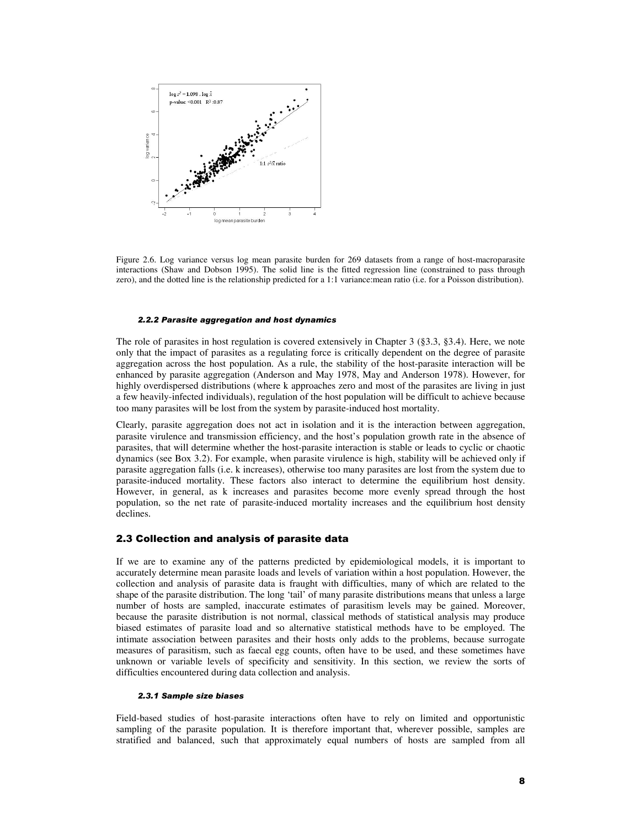

Figure 2.6. Log variance versus log mean parasite burden for 269 datasets from a range of host-macroparasite interactions (Shaw and Dobson 1995). The solid line is the fitted regression line (constrained to pass through zero), and the dotted line is the relationship predicted for a 1:1 variance:mean ratio (i.e. for a Poisson distribution).

#### *2.2.2 Parasite aggregation and host dynamics*

The role of parasites in host regulation is covered extensively in Chapter 3 (§3.3, §3.4). Here, we note only that the impact of parasites as a regulating force is critically dependent on the degree of parasite aggregation across the host population. As a rule, the stability of the host-parasite interaction will be enhanced by parasite aggregation (Anderson and May 1978, May and Anderson 1978). However, for highly overdispersed distributions (where k approaches zero and most of the parasites are living in just a few heavily-infected individuals), regulation of the host population will be difficult to achieve because too many parasites will be lost from the system by parasite-induced host mortality.

Clearly, parasite aggregation does not act in isolation and it is the interaction between aggregation, parasite virulence and transmission efficiency, and the host's population growth rate in the absence of parasites, that will determine whether the host-parasite interaction is stable or leads to cyclic or chaotic dynamics (see Box 3.2). For example, when parasite virulence is high, stability will be achieved only if parasite aggregation falls (i.e. k increases), otherwise too many parasites are lost from the system due to parasite-induced mortality. These factors also interact to determine the equilibrium host density. However, in general, as k increases and parasites become more evenly spread through the host population, so the net rate of parasite-induced mortality increases and the equilibrium host density declines.

### 2.3 Collection and analysis of parasite data

If we are to examine any of the patterns predicted by epidemiological models, it is important to accurately determine mean parasite loads and levels of variation within a host population. However, the collection and analysis of parasite data is fraught with difficulties, many of which are related to the shape of the parasite distribution. The long 'tail' of many parasite distributions means that unless a large number of hosts are sampled, inaccurate estimates of parasitism levels may be gained. Moreover, because the parasite distribution is not normal, classical methods of statistical analysis may produce biased estimates of parasite load and so alternative statistical methods have to be employed. The intimate association between parasites and their hosts only adds to the problems, because surrogate measures of parasitism, such as faecal egg counts, often have to be used, and these sometimes have unknown or variable levels of specificity and sensitivity. In this section, we review the sorts of difficulties encountered during data collection and analysis.

#### *2.3.1 Sample size biases*

Field-based studies of host-parasite interactions often have to rely on limited and opportunistic sampling of the parasite population. It is therefore important that, wherever possible, samples are stratified and balanced, such that approximately equal numbers of hosts are sampled from all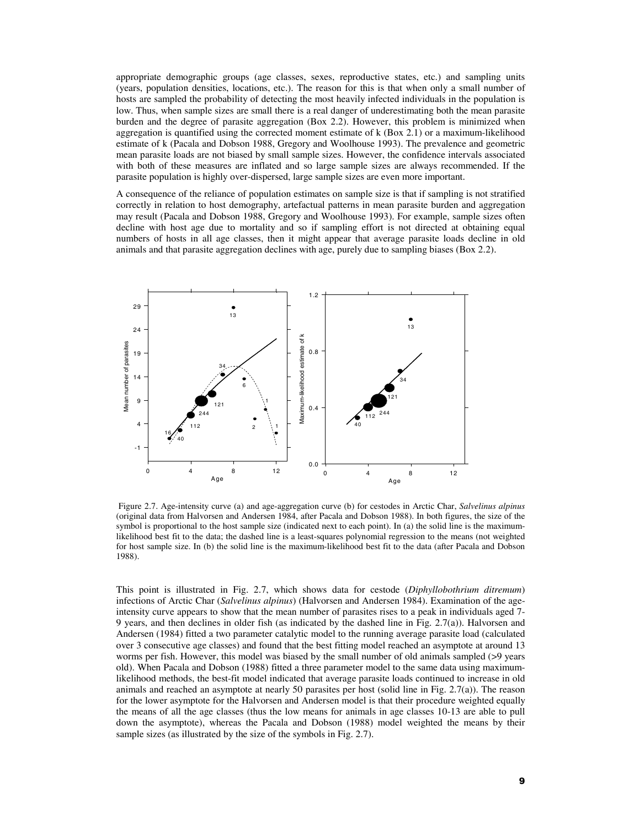appropriate demographic groups (age classes, sexes, reproductive states, etc.) and sampling units (years, population densities, locations, etc.). The reason for this is that when only a small number of hosts are sampled the probability of detecting the most heavily infected individuals in the population is low. Thus, when sample sizes are small there is a real danger of underestimating both the mean parasite burden and the degree of parasite aggregation (Box 2.2). However, this problem is minimized when aggregation is quantified using the corrected moment estimate of k (Box 2.1) or a maximum-likelihood estimate of k (Pacala and Dobson 1988, Gregory and Woolhouse 1993). The prevalence and geometric mean parasite loads are not biased by small sample sizes. However, the confidence intervals associated with both of these measures are inflated and so large sample sizes are always recommended. If the parasite population is highly over-dispersed, large sample sizes are even more important.

A consequence of the reliance of population estimates on sample size is that if sampling is not stratified correctly in relation to host demography, artefactual patterns in mean parasite burden and aggregation may result (Pacala and Dobson 1988, Gregory and Woolhouse 1993). For example, sample sizes often decline with host age due to mortality and so if sampling effort is not directed at obtaining equal numbers of hosts in all age classes, then it might appear that average parasite loads decline in old animals and that parasite aggregation declines with age, purely due to sampling biases (Box 2.2).



 Figure 2.7. Age-intensity curve (a) and age-aggregation curve (b) for cestodes in Arctic Char, *Salvelinus alpinus* (original data from Halvorsen and Andersen 1984, after Pacala and Dobson 1988). In both figures, the size of the symbol is proportional to the host sample size (indicated next to each point). In (a) the solid line is the maximumlikelihood best fit to the data; the dashed line is a least-squares polynomial regression to the means (not weighted for host sample size. In (b) the solid line is the maximum-likelihood best fit to the data (after Pacala and Dobson 1988).

This point is illustrated in Fig. 2.7, which shows data for cestode (*Diphyllobothrium ditremum*) infections of Arctic Char (*Salvelinus alpinus*) (Halvorsen and Andersen 1984). Examination of the ageintensity curve appears to show that the mean number of parasites rises to a peak in individuals aged 7- 9 years, and then declines in older fish (as indicated by the dashed line in Fig. 2.7(a)). Halvorsen and Andersen (1984) fitted a two parameter catalytic model to the running average parasite load (calculated over 3 consecutive age classes) and found that the best fitting model reached an asymptote at around 13 worms per fish. However, this model was biased by the small number of old animals sampled (>9 years old). When Pacala and Dobson (1988) fitted a three parameter model to the same data using maximumlikelihood methods, the best-fit model indicated that average parasite loads continued to increase in old animals and reached an asymptote at nearly 50 parasites per host (solid line in Fig. 2.7(a)). The reason for the lower asymptote for the Halvorsen and Andersen model is that their procedure weighted equally the means of all the age classes (thus the low means for animals in age classes 10-13 are able to pull down the asymptote), whereas the Pacala and Dobson (1988) model weighted the means by their sample sizes (as illustrated by the size of the symbols in Fig. 2.7).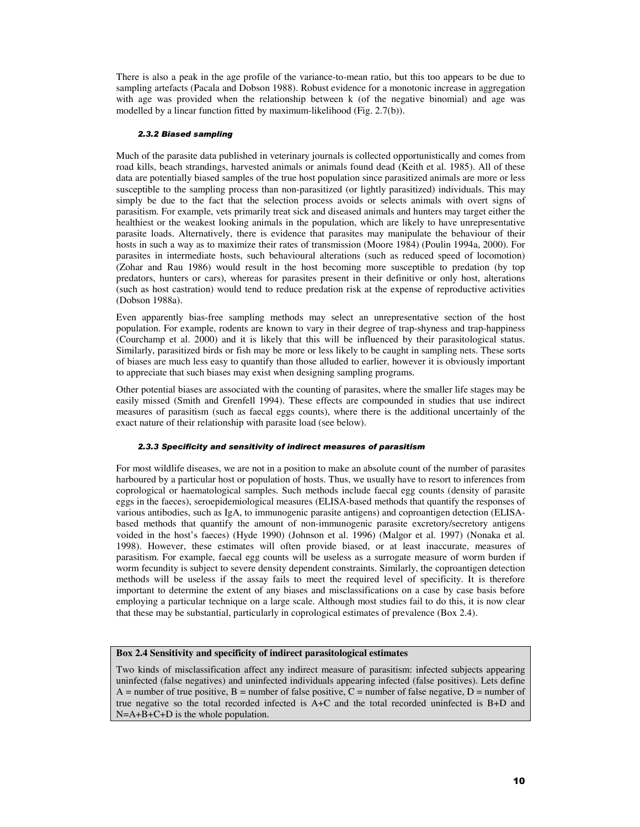There is also a peak in the age profile of the variance-to-mean ratio, but this too appears to be due to sampling artefacts (Pacala and Dobson 1988). Robust evidence for a monotonic increase in aggregation with age was provided when the relationship between k (of the negative binomial) and age was modelled by a linear function fitted by maximum-likelihood (Fig. 2.7(b)).

#### *2.3.2 Biased sampling*

Much of the parasite data published in veterinary journals is collected opportunistically and comes from road kills, beach strandings, harvested animals or animals found dead (Keith et al. 1985). All of these data are potentially biased samples of the true host population since parasitized animals are more or less susceptible to the sampling process than non-parasitized (or lightly parasitized) individuals. This may simply be due to the fact that the selection process avoids or selects animals with overt signs of parasitism. For example, vets primarily treat sick and diseased animals and hunters may target either the healthiest or the weakest looking animals in the population, which are likely to have unrepresentative parasite loads. Alternatively, there is evidence that parasites may manipulate the behaviour of their hosts in such a way as to maximize their rates of transmission (Moore 1984) (Poulin 1994a, 2000). For parasites in intermediate hosts, such behavioural alterations (such as reduced speed of locomotion) (Zohar and Rau 1986) would result in the host becoming more susceptible to predation (by top predators, hunters or cars), whereas for parasites present in their definitive or only host, alterations (such as host castration) would tend to reduce predation risk at the expense of reproductive activities (Dobson 1988a).

Even apparently bias-free sampling methods may select an unrepresentative section of the host population. For example, rodents are known to vary in their degree of trap-shyness and trap-happiness (Courchamp et al. 2000) and it is likely that this will be influenced by their parasitological status. Similarly, parasitized birds or fish may be more or less likely to be caught in sampling nets. These sorts of biases are much less easy to quantify than those alluded to earlier, however it is obviously important to appreciate that such biases may exist when designing sampling programs.

Other potential biases are associated with the counting of parasites, where the smaller life stages may be easily missed (Smith and Grenfell 1994). These effects are compounded in studies that use indirect measures of parasitism (such as faecal eggs counts), where there is the additional uncertainly of the exact nature of their relationship with parasite load (see below).

#### *2.3.3 Specificity and sensitivity of indirect measures of parasitism*

For most wildlife diseases, we are not in a position to make an absolute count of the number of parasites harboured by a particular host or population of hosts. Thus, we usually have to resort to inferences from coprological or haematological samples. Such methods include faecal egg counts (density of parasite eggs in the faeces), seroepidemiological measures (ELISA-based methods that quantify the responses of various antibodies, such as IgA, to immunogenic parasite antigens) and coproantigen detection (ELISAbased methods that quantify the amount of non-immunogenic parasite excretory/secretory antigens voided in the host's faeces) (Hyde 1990) (Johnson et al. 1996) (Malgor et al. 1997) (Nonaka et al. 1998). However, these estimates will often provide biased, or at least inaccurate, measures of parasitism. For example, faecal egg counts will be useless as a surrogate measure of worm burden if worm fecundity is subject to severe density dependent constraints. Similarly, the coproantigen detection methods will be useless if the assay fails to meet the required level of specificity. It is therefore important to determine the extent of any biases and misclassifications on a case by case basis before employing a particular technique on a large scale. Although most studies fail to do this, it is now clear that these may be substantial, particularly in coprological estimates of prevalence (Box 2.4).

# **Box 2.4 Sensitivity and specificity of indirect parasitological estimates**

Two kinds of misclassification affect any indirect measure of parasitism: infected subjects appearing uninfected (false negatives) and uninfected individuals appearing infected (false positives). Lets define  $A =$  number of true positive,  $B =$  number of false positive,  $C =$  number of false negative,  $D =$  number of true negative so the total recorded infected is A+C and the total recorded uninfected is B+D and N=A+B+C+D is the whole population.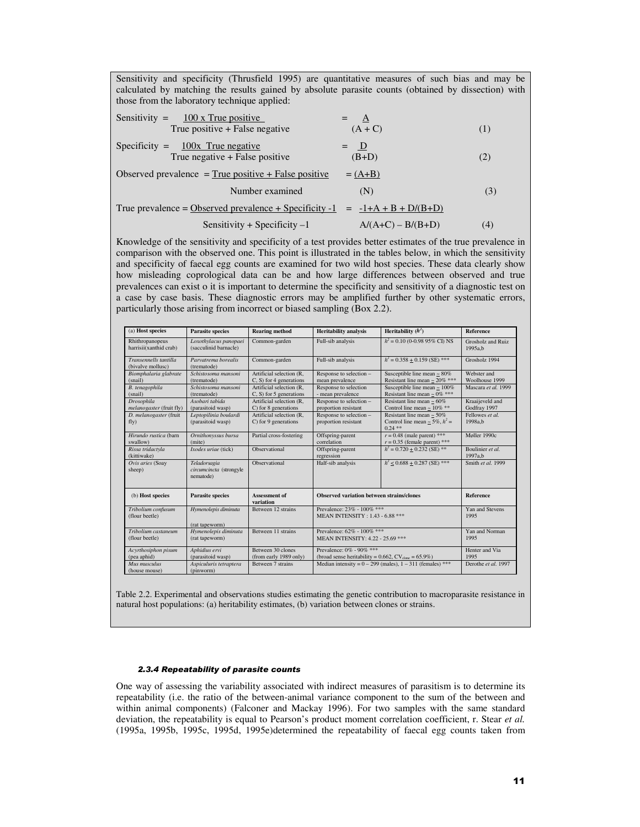Sensitivity and specificity (Thrusfield 1995) are quantitative measures of such bias and may be calculated by matching the results gained by absolute parasite counts (obtained by dissection) with those from the laboratory technique applied:

| Sensitivity = $\frac{100 \text{ x True positive}}{100 \text{ x True}}$ |                                  | $=$ $\mathbf{A}$ |  |
|------------------------------------------------------------------------|----------------------------------|------------------|--|
|                                                                        | True positive $+$ False negative | $(A+C)$          |  |

$$
Specificity = \frac{100x \text{ True negative}}{\text{True negative} + \text{False positive}} = \frac{D}{(B+D)}
$$
 (2)

Observed prevalence = True positive + False positive  $= (A+B)$ Number examined (N) (3) True prevalence = Observed prevalence + Specificity  $-1 = -1+A + B + D/(B+D)$ 

Sensitivity + Specificity –1  $A/(A+C) - B/(B+D)$  (4)

Knowledge of the sensitivity and specificity of a test provides better estimates of the true prevalence in comparison with the observed one. This point is illustrated in the tables below, in which the sensitivity and specificity of faecal egg counts are examined for two wild host species. These data clearly show how misleading coprological data can be and how large differences between observed and true prevalences can exist o it is important to determine the specificity and sensitivity of a diagnostic test on a case by case basis. These diagnostic errors may be amplified further by other systematic errors, particularly those arising from incorrect or biased sampling (Box 2.2).

| (a) Host species                              | <b>Parasite species</b>                              | <b>Rearing method</b>                                  | <b>Heritability</b> analysis                                                                             | Heritability $(h^2)$                                                                   | <b>Reference</b>                |
|-----------------------------------------------|------------------------------------------------------|--------------------------------------------------------|----------------------------------------------------------------------------------------------------------|----------------------------------------------------------------------------------------|---------------------------------|
| Rhithropanopeus<br>harrisii(xanthid crab)     | Loxothylacus panopaei<br>(sacculinid barnacle)       | Common-garden                                          | Full-sib analysis                                                                                        | $h^2 = 0.10$ (0-0.98 95% CD NS)                                                        | Grosholz and Ruiz<br>1995a.b    |
| Transennells tantilla<br>(bivalve mollusc)    | Parvatrema borealis<br>(trematode)                   | Common-garden                                          | Full-sib analysis                                                                                        | $h^2 = 0.358 + 0.159$ (SE) ***                                                         | Grosholz 1994                   |
| Biomphalaria glabrate<br>(snail)              | Schistosoma mansoni<br>(trematode)                   | Artificial selection (R.<br>$C, S$ ) for 4 generations | Response to selection -<br>mean prevalence                                                               | Susceptible line mean $\sim 80\%$<br>Resistant line mean ~ $20\%$ ***                  | Webster and<br>Woolhouse 1999   |
| B. tenagophila<br>(snail)                     | Schistosoma mansoni<br>(trematode)                   | Artificial selection (R.<br>$C, S$ for 5 generations   | Response to selection<br>- mean prevalence                                                               | Susceptible line mean $\sim 100\%$<br>Resistant line mean ~ $0\%$ ***                  | Mascara et al. 1999             |
| <b>Drosophila</b><br>melanogaster (fruit fly) | Asobari tabida<br>(parasitoid wasp)                  | Artificial selection (R.<br>C) for 8 generations       | Response to selection -<br>proportion resistant                                                          | Resistant line mean $\sim 60\%$<br>Control line mean ~ $10\%$ **                       | Kraaijeveld and<br>Godfray 1997 |
| D. melanogaster (fruit<br>fly)                | Leptopilinia boulardi<br>(parasitoid wasp)           | Artificial selection (R.<br>$C$ ) for 9 generations    | Response to selection -<br>proportion resistant                                                          | Resistant line mean $\sim$ 50%<br>Control line mean $\approx$ 5%, $h^2$ =<br>$0.24$ ** | Fellowes et al.<br>1998a.b      |
| Hirundo rustica (barn<br>swallow)             | Ornithonyssus bursa<br>(mite)                        | Partial cross-fostering                                | Offspring-parent<br>correlation                                                                          | $r = 0.48$ (male parent) ***<br>$r = 0.35$ (female parent) ***                         | Møller 1990c                    |
| Rissa tridactyla<br>(kittiwake)               | Ixodes uriae (tick)                                  | Observational                                          | Offspring-parent<br>regression                                                                           | $h^2 = 0.720 + 0.232$ (SE) **                                                          | Boulinier et al.<br>1997a.b     |
| Ovis aries (Soay<br>sheep)                    | Teladorsagia<br>circumcincta (strongyle<br>nematode) | Observational                                          | Half-sib analysis                                                                                        | $h^2$ < 0.688 + 0.287 (SE) ***                                                         | Smith et al. 1999               |
| (b) Host species                              | <b>Parasite species</b>                              | <b>Assessment of</b><br>variation                      | <b>Observed variation between strains/clones</b>                                                         |                                                                                        | <b>Reference</b>                |
| Tribolium confusum<br>(flour beetle)          | Hymenolepis diminuta<br>(rat tapeworm)               | Between 12 strains                                     | Prevalence: $23\%$ - $100\%$ ***<br><b>MEAN INTENSITY: 1.43 - 6.88 ***</b>                               |                                                                                        | Yan and Stevens<br>1995         |
| Tribolium castaneum<br>(flour beetle)         | Hymenolepis diminuta<br>(rat tapeworm)               | Between 11 strains                                     | Prevalence: 62% - 100% ***<br>MEAN INTENSITY: 4.22 - 25.69 ***                                           |                                                                                        | Yan and Norman<br>1995          |
| Acyrthosiphon pisum<br>(pea aphid)            | Aphidius ervi<br>(parasitoid wasp)                   | Between 30 clones<br>(from early 1989 only)            | Prevalence: $0\%$ - $90\%$ ***<br>(broad sense heritability = $0.662$ , CV <sub>clone</sub> = $65.9\%$ ) |                                                                                        | Henter and Via<br>1995          |
| Mus musculus<br>(house mouse)                 | Aspiculuris tetraptera<br>(pinworm)                  | Between 7 strains                                      | Median intensity = $0 - 299$ (males), $1 - 311$ (females) ***                                            |                                                                                        | Derothe et al. 1997             |

Table 2.2. Experimental and observations studies estimating the genetic contribution to macroparasite resistance in natural host populations: (a) heritability estimates, (b) variation between clones or strains.

#### *2.3.4 Repeatability of parasite counts*

One way of assessing the variability associated with indirect measures of parasitism is to determine its repeatability (i.e. the ratio of the between-animal variance component to the sum of the between and within animal components) (Falconer and Mackay 1996). For two samples with the same standard deviation, the repeatability is equal to Pearson's product moment correlation coefficient, r. Stear *et al.* (1995a, 1995b, 1995c, 1995d, 1995e)determined the repeatability of faecal egg counts taken from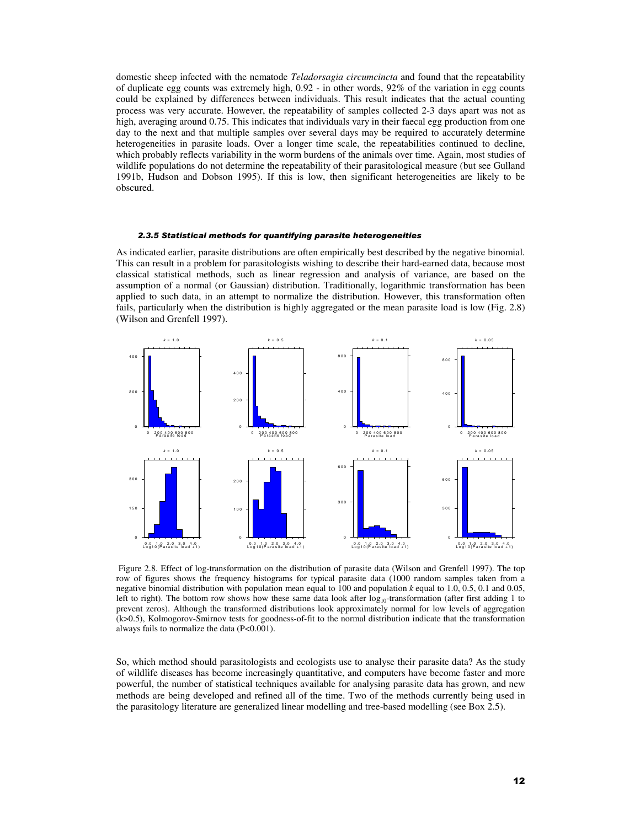domestic sheep infected with the nematode *Teladorsagia circumcincta* and found that the repeatability of duplicate egg counts was extremely high, 0.92 - in other words, 92% of the variation in egg counts could be explained by differences between individuals. This result indicates that the actual counting process was very accurate. However, the repeatability of samples collected 2-3 days apart was not as high, averaging around 0.75. This indicates that individuals vary in their faecal egg production from one day to the next and that multiple samples over several days may be required to accurately determine heterogeneities in parasite loads. Over a longer time scale, the repeatabilities continued to decline, which probably reflects variability in the worm burdens of the animals over time. Again, most studies of wildlife populations do not determine the repeatability of their parasitological measure (but see Gulland 1991b, Hudson and Dobson 1995). If this is low, then significant heterogeneities are likely to be obscured.

#### *2.3.5 Statistical methods for quantifying parasite heterogeneities*

As indicated earlier, parasite distributions are often empirically best described by the negative binomial. This can result in a problem for parasitologists wishing to describe their hard-earned data, because most classical statistical methods, such as linear regression and analysis of variance, are based on the assumption of a normal (or Gaussian) distribution. Traditionally, logarithmic transformation has been applied to such data, in an attempt to normalize the distribution. However, this transformation often fails, particularly when the distribution is highly aggregated or the mean parasite load is low (Fig. 2.8) (Wilson and Grenfell 1997).



 Figure 2.8. Effect of log-transformation on the distribution of parasite data (Wilson and Grenfell 1997). The top row of figures shows the frequency histograms for typical parasite data (1000 random samples taken from a negative binomial distribution with population mean equal to 100 and population *k* equal to 1.0, 0.5, 0.1 and 0.05, left to right). The bottom row shows how these same data look after  $log_{10}$ -transformation (after first adding 1 to prevent zeros). Although the transformed distributions look approximately normal for low levels of aggregation (k>0.5), Kolmogorov-Smirnov tests for goodness-of-fit to the normal distribution indicate that the transformation always fails to normalize the data (P<0.001).

So, which method should parasitologists and ecologists use to analyse their parasite data? As the study of wildlife diseases has become increasingly quantitative, and computers have become faster and more powerful, the number of statistical techniques available for analysing parasite data has grown, and new methods are being developed and refined all of the time. Two of the methods currently being used in the parasitology literature are generalized linear modelling and tree-based modelling (see Box 2.5).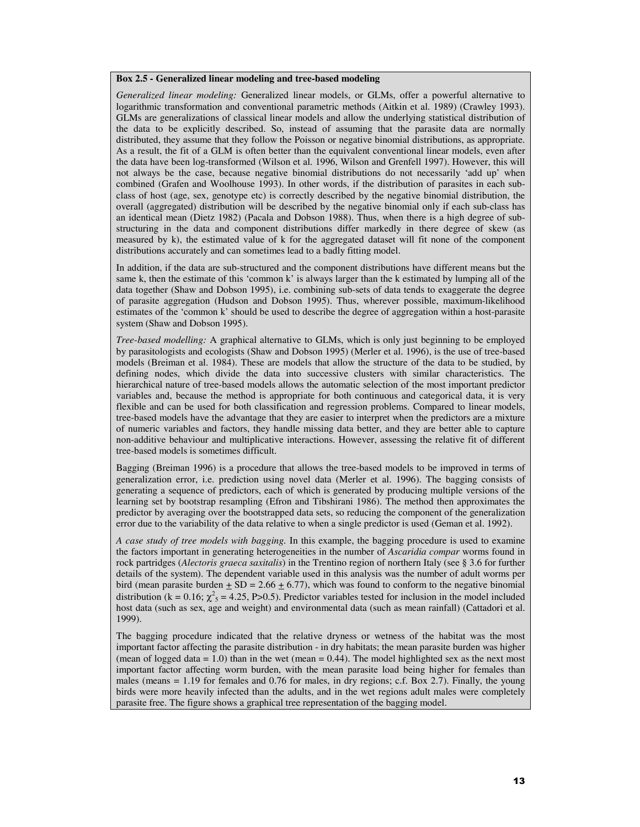## **Box 2.5 - Generalized linear modeling and tree-based modeling**

*Generalized linear modeling:* Generalized linear models, or GLMs, offer a powerful alternative to logarithmic transformation and conventional parametric methods (Aitkin et al. 1989) (Crawley 1993). GLMs are generalizations of classical linear models and allow the underlying statistical distribution of the data to be explicitly described. So, instead of assuming that the parasite data are normally distributed, they assume that they follow the Poisson or negative binomial distributions, as appropriate. As a result, the fit of a GLM is often better than the equivalent conventional linear models, even after the data have been log-transformed (Wilson et al. 1996, Wilson and Grenfell 1997). However, this will not always be the case, because negative binomial distributions do not necessarily 'add up' when combined (Grafen and Woolhouse 1993). In other words, if the distribution of parasites in each subclass of host (age, sex, genotype etc) is correctly described by the negative binomial distribution, the overall (aggregated) distribution will be described by the negative binomial only if each sub-class has an identical mean (Dietz 1982) (Pacala and Dobson 1988). Thus, when there is a high degree of substructuring in the data and component distributions differ markedly in there degree of skew (as measured by k), the estimated value of k for the aggregated dataset will fit none of the component distributions accurately and can sometimes lead to a badly fitting model.

In addition, if the data are sub-structured and the component distributions have different means but the same k, then the estimate of this 'common k' is always larger than the k estimated by lumping all of the data together (Shaw and Dobson 1995), i.e. combining sub-sets of data tends to exaggerate the degree of parasite aggregation (Hudson and Dobson 1995). Thus, wherever possible, maximum-likelihood estimates of the 'common k' should be used to describe the degree of aggregation within a host-parasite system (Shaw and Dobson 1995).

*Tree-based modelling:* A graphical alternative to GLMs, which is only just beginning to be employed by parasitologists and ecologists (Shaw and Dobson 1995) (Merler et al. 1996), is the use of tree-based models (Breiman et al. 1984). These are models that allow the structure of the data to be studied, by defining nodes, which divide the data into successive clusters with similar characteristics. The hierarchical nature of tree-based models allows the automatic selection of the most important predictor variables and, because the method is appropriate for both continuous and categorical data, it is very flexible and can be used for both classification and regression problems. Compared to linear models, tree-based models have the advantage that they are easier to interpret when the predictors are a mixture of numeric variables and factors, they handle missing data better, and they are better able to capture non-additive behaviour and multiplicative interactions. However, assessing the relative fit of different tree-based models is sometimes difficult.

Bagging (Breiman 1996) is a procedure that allows the tree-based models to be improved in terms of generalization error, i.e. prediction using novel data (Merler et al. 1996). The bagging consists of generating a sequence of predictors, each of which is generated by producing multiple versions of the learning set by bootstrap resampling (Efron and Tibshirani 1986). The method then approximates the predictor by averaging over the bootstrapped data sets, so reducing the component of the generalization error due to the variability of the data relative to when a single predictor is used (Geman et al. 1992).

*A case study of tree models with bagging.* In this example, the bagging procedure is used to examine the factors important in generating heterogeneities in the number of *Ascaridia compar* worms found in rock partridges (*Alectoris graeca saxitalis*) in the Trentino region of northern Italy (see § 3.6 for further details of the system). The dependent variable used in this analysis was the number of adult worms per bird (mean parasite burden  $\pm$  SD = 2.66  $\pm$  6.77), which was found to conform to the negative binomial distribution ( $k = 0.16$ ;  $\chi^2$ <sub>5</sub> = 4.25, P>0.5). Predictor variables tested for inclusion in the model included host data (such as sex, age and weight) and environmental data (such as mean rainfall) (Cattadori et al. 1999).

The bagging procedure indicated that the relative dryness or wetness of the habitat was the most important factor affecting the parasite distribution - in dry habitats; the mean parasite burden was higher (mean of logged data  $= 1.0$ ) than in the wet (mean  $= 0.44$ ). The model highlighted sex as the next most important factor affecting worm burden, with the mean parasite load being higher for females than males (means = 1.19 for females and 0.76 for males, in dry regions; c.f. Box 2.7). Finally, the young birds were more heavily infected than the adults, and in the wet regions adult males were completely parasite free. The figure shows a graphical tree representation of the bagging model.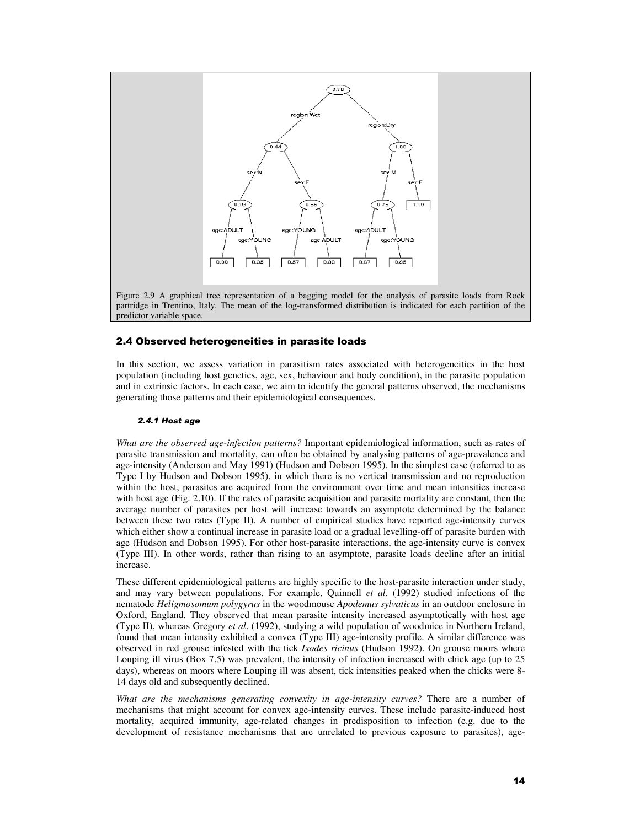

# 2.4 Observed heterogeneities in parasite loads

In this section, we assess variation in parasitism rates associated with heterogeneities in the host population (including host genetics, age, sex, behaviour and body condition), in the parasite population and in extrinsic factors. In each case, we aim to identify the general patterns observed, the mechanisms generating those patterns and their epidemiological consequences.

#### *2.4.1 Host age*

*What are the observed age-infection patterns?* Important epidemiological information, such as rates of parasite transmission and mortality, can often be obtained by analysing patterns of age-prevalence and age-intensity (Anderson and May 1991) (Hudson and Dobson 1995). In the simplest case (referred to as Type I by Hudson and Dobson 1995), in which there is no vertical transmission and no reproduction within the host, parasites are acquired from the environment over time and mean intensities increase with host age (Fig. 2.10). If the rates of parasite acquisition and parasite mortality are constant, then the average number of parasites per host will increase towards an asymptote determined by the balance between these two rates (Type II). A number of empirical studies have reported age-intensity curves which either show a continual increase in parasite load or a gradual levelling-off of parasite burden with age (Hudson and Dobson 1995). For other host-parasite interactions, the age-intensity curve is convex (Type III). In other words, rather than rising to an asymptote, parasite loads decline after an initial increase.

These different epidemiological patterns are highly specific to the host-parasite interaction under study, and may vary between populations. For example, Quinnell *et al*. (1992) studied infections of the nematode *Heligmosomum polygyrus* in the woodmouse *Apodemus sylvaticus* in an outdoor enclosure in Oxford, England. They observed that mean parasite intensity increased asymptotically with host age (Type II), whereas Gregory *et al*. (1992), studying a wild population of woodmice in Northern Ireland, found that mean intensity exhibited a convex (Type III) age-intensity profile. A similar difference was observed in red grouse infested with the tick *Ixodes ricinus* (Hudson 1992). On grouse moors where Louping ill virus (Box 7.5) was prevalent, the intensity of infection increased with chick age (up to 25 days), whereas on moors where Louping ill was absent, tick intensities peaked when the chicks were 8- 14 days old and subsequently declined.

*What are the mechanisms generating convexity in age-intensity curves?* There are a number of mechanisms that might account for convex age-intensity curves. These include parasite-induced host mortality, acquired immunity, age-related changes in predisposition to infection (e.g. due to the development of resistance mechanisms that are unrelated to previous exposure to parasites), age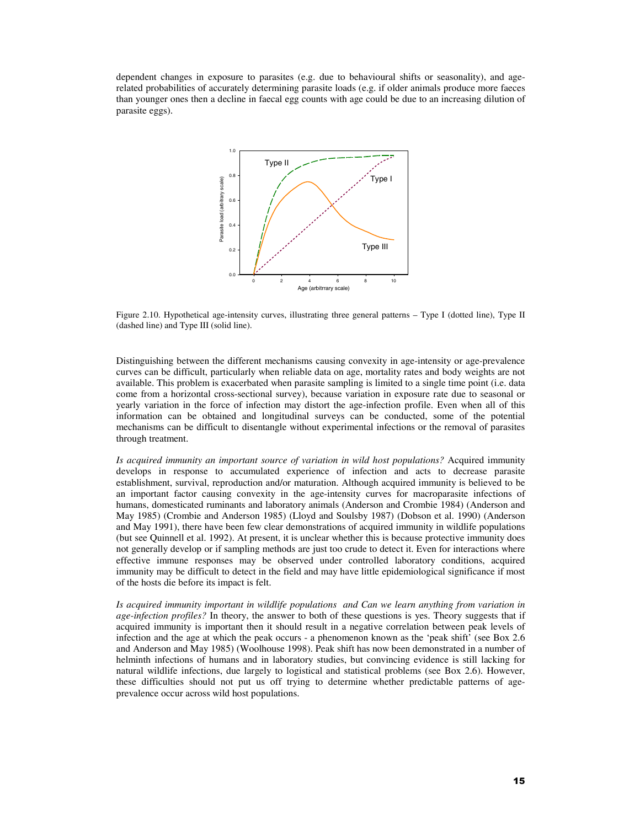dependent changes in exposure to parasites (e.g. due to behavioural shifts or seasonality), and agerelated probabilities of accurately determining parasite loads (e.g. if older animals produce more faeces than younger ones then a decline in faecal egg counts with age could be due to an increasing dilution of parasite eggs).



Figure 2.10. Hypothetical age-intensity curves, illustrating three general patterns – Type I (dotted line), Type II (dashed line) and Type III (solid line).

Distinguishing between the different mechanisms causing convexity in age-intensity or age-prevalence curves can be difficult, particularly when reliable data on age, mortality rates and body weights are not available. This problem is exacerbated when parasite sampling is limited to a single time point (i.e. data come from a horizontal cross-sectional survey), because variation in exposure rate due to seasonal or yearly variation in the force of infection may distort the age-infection profile. Even when all of this information can be obtained and longitudinal surveys can be conducted, some of the potential mechanisms can be difficult to disentangle without experimental infections or the removal of parasites through treatment.

*Is acquired immunity an important source of variation in wild host populations?* Acquired immunity develops in response to accumulated experience of infection and acts to decrease parasite establishment, survival, reproduction and/or maturation. Although acquired immunity is believed to be an important factor causing convexity in the age-intensity curves for macroparasite infections of humans, domesticated ruminants and laboratory animals (Anderson and Crombie 1984) (Anderson and May 1985) (Crombie and Anderson 1985) (Lloyd and Soulsby 1987) (Dobson et al. 1990) (Anderson and May 1991), there have been few clear demonstrations of acquired immunity in wildlife populations (but see Quinnell et al. 1992). At present, it is unclear whether this is because protective immunity does not generally develop or if sampling methods are just too crude to detect it. Even for interactions where effective immune responses may be observed under controlled laboratory conditions, acquired immunity may be difficult to detect in the field and may have little epidemiological significance if most of the hosts die before its impact is felt.

*Is acquired immunity important in wildlife populations and Can we learn anything from variation in age-infection profiles?* In theory, the answer to both of these questions is yes. Theory suggests that if acquired immunity is important then it should result in a negative correlation between peak levels of infection and the age at which the peak occurs - a phenomenon known as the 'peak shift' (see Box 2.6 and Anderson and May 1985) (Woolhouse 1998). Peak shift has now been demonstrated in a number of helminth infections of humans and in laboratory studies, but convincing evidence is still lacking for natural wildlife infections, due largely to logistical and statistical problems (see Box 2.6). However, these difficulties should not put us off trying to determine whether predictable patterns of ageprevalence occur across wild host populations.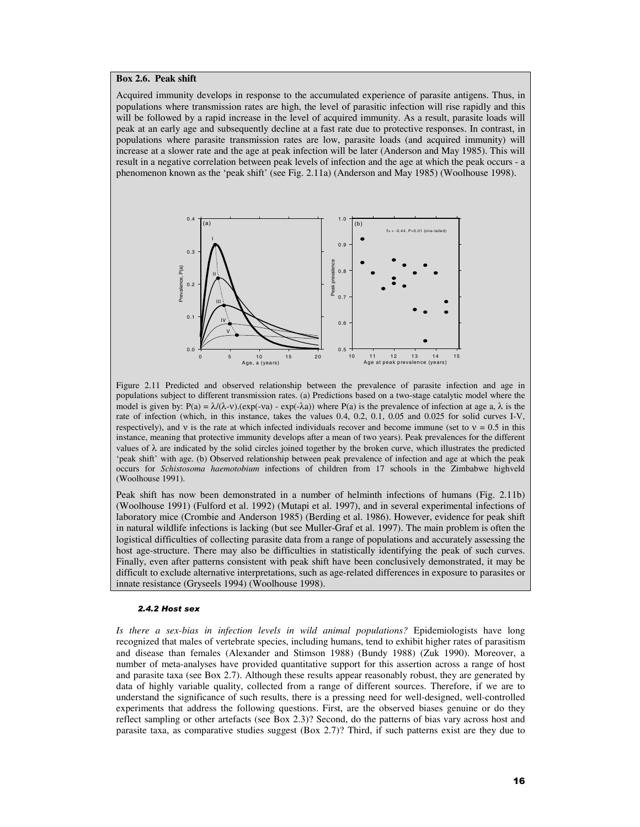#### **Box 2.6. Peak shift**

Acquired immunity develops in response to the accumulated experience of parasite antigens. Thus, in populations where transmission rates are high, the level of parasitic infection will rise rapidly and this will be followed by a rapid increase in the level of acquired immunity. As a result, parasite loads will peak at an early age and subsequently decline at a fast rate due to protective responses. In contrast, in populations where parasite transmission rates are low, parasite loads (and acquired immunity) will increase at a slower rate and the age at peak infection will be later (Anderson and May 1985). This will result in a negative correlation between peak levels of infection and the age at which the peak occurs - a phenomenon known as the 'peak shift' (see Fig. 2.11a) (Anderson and May 1985) (Woolhouse 1998).



Figure 2.11 Predicted and observed relationship between the prevalence of parasite infection and age in populations subject to different transmission rates. (a) Predictions based on a two-stage catalytic model where the model is given by:  $P(a) = \lambda/(\lambda - \nu)$ .(exp(-va) - exp(- $\lambda$ a)) where P(a) is the prevalence of infection at age a,  $\lambda$  is the rate of infection (which, in this instance, takes the values 0.4, 0.2, 0.1, 0.05 and 0.025 for solid curves I-V, respectively), and v is the rate at which infected individuals recover and become immune (set to  $v = 0.5$  in this instance, meaning that protective immunity develops after a mean of two years). Peak prevalences for the different values of  $\lambda$  are indicated by the solid circles joined together by the broken curve, which illustrates the predicted 'peak shift' with age. (b) Observed relationship between peak prevalence of infection and age at which the peak occurs for *Schistosoma haemotobium* infections of children from 17 schools in the Zimbabwe highveld (Woolhouse 1991).

Peak shift has now been demonstrated in a number of helminth infections of humans (Fig. 2.11b) (Woolhouse 1991) (Fulford et al. 1992) (Mutapi et al. 1997), and in several experimental infections of laboratory mice (Crombie and Anderson 1985) (Berding et al. 1986). However, evidence for peak shift in natural wildlife infections is lacking (but see Muller-Graf et al. 1997). The main problem is often the logistical difficulties of collecting parasite data from a range of populations and accurately assessing the host age-structure. There may also be difficulties in statistically identifying the peak of such curves. Finally, even after patterns consistent with peak shift have been conclusively demonstrated, it may be difficult to exclude alternative interpretations, such as age-related differences in exposure to parasites or innate resistance (Gryseels 1994) (Woolhouse 1998).

#### *2.4.2 Host sex*

*Is there a sex-bias in infection levels in wild animal populations?* Epidemiologists have long recognized that males of vertebrate species, including humans, tend to exhibit higher rates of parasitism and disease than females (Alexander and Stimson 1988) (Bundy 1988) (Zuk 1990). Moreover, a number of meta-analyses have provided quantitative support for this assertion across a range of host and parasite taxa (see Box 2.7). Although these results appear reasonably robust, they are generated by data of highly variable quality, collected from a range of different sources. Therefore, if we are to understand the significance of such results, there is a pressing need for well-designed, well-controlled experiments that address the following questions. First, are the observed biases genuine or do they reflect sampling or other artefacts (see Box 2.3)? Second, do the patterns of bias vary across host and parasite taxa, as comparative studies suggest (Box 2.7)? Third, if such patterns exist are they due to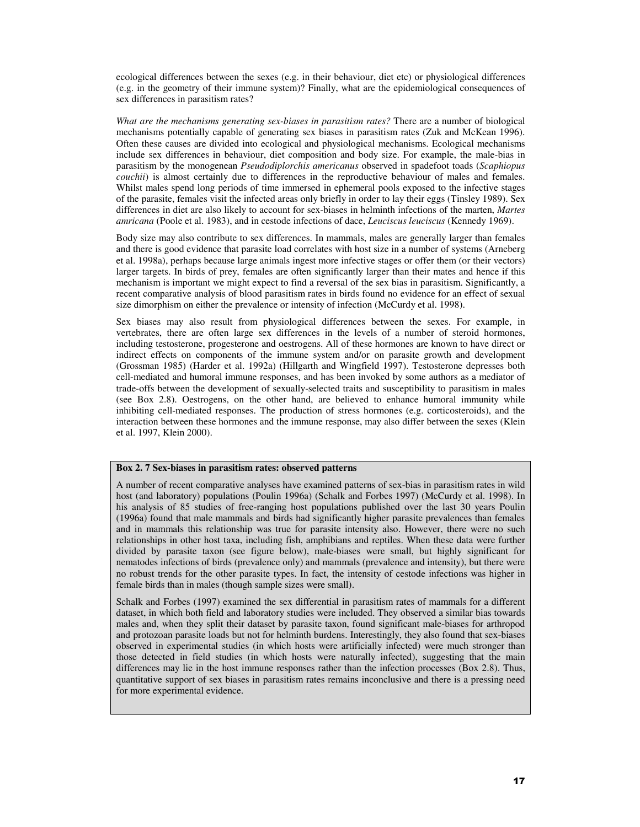ecological differences between the sexes (e.g. in their behaviour, diet etc) or physiological differences (e.g. in the geometry of their immune system)? Finally, what are the epidemiological consequences of sex differences in parasitism rates?

*What are the mechanisms generating sex-biases in parasitism rates?* There are a number of biological mechanisms potentially capable of generating sex biases in parasitism rates (Zuk and McKean 1996). Often these causes are divided into ecological and physiological mechanisms. Ecological mechanisms include sex differences in behaviour, diet composition and body size. For example, the male-bias in parasitism by the monogenean *Pseudodiplorchis americanus* observed in spadefoot toads (*Scaphiopus couchii*) is almost certainly due to differences in the reproductive behaviour of males and females. Whilst males spend long periods of time immersed in ephemeral pools exposed to the infective stages of the parasite, females visit the infected areas only briefly in order to lay their eggs (Tinsley 1989). Sex differences in diet are also likely to account for sex-biases in helminth infections of the marten, *Martes amricana* (Poole et al. 1983), and in cestode infections of dace, *Leuciscus leuciscus* (Kennedy 1969).

Body size may also contribute to sex differences. In mammals, males are generally larger than females and there is good evidence that parasite load correlates with host size in a number of systems (Arneberg et al. 1998a), perhaps because large animals ingest more infective stages or offer them (or their vectors) larger targets. In birds of prey, females are often significantly larger than their mates and hence if this mechanism is important we might expect to find a reversal of the sex bias in parasitism. Significantly, a recent comparative analysis of blood parasitism rates in birds found no evidence for an effect of sexual size dimorphism on either the prevalence or intensity of infection (McCurdy et al. 1998).

Sex biases may also result from physiological differences between the sexes. For example, in vertebrates, there are often large sex differences in the levels of a number of steroid hormones, including testosterone, progesterone and oestrogens. All of these hormones are known to have direct or indirect effects on components of the immune system and/or on parasite growth and development (Grossman 1985) (Harder et al. 1992a) (Hillgarth and Wingfield 1997). Testosterone depresses both cell-mediated and humoral immune responses, and has been invoked by some authors as a mediator of trade-offs between the development of sexually-selected traits and susceptibility to parasitism in males (see Box 2.8). Oestrogens, on the other hand, are believed to enhance humoral immunity while inhibiting cell-mediated responses. The production of stress hormones (e.g. corticosteroids), and the interaction between these hormones and the immune response, may also differ between the sexes (Klein et al. 1997, Klein 2000).

## **Box 2. 7 Sex-biases in parasitism rates: observed patterns**

A number of recent comparative analyses have examined patterns of sex-bias in parasitism rates in wild host (and laboratory) populations (Poulin 1996a) (Schalk and Forbes 1997) (McCurdy et al. 1998). In his analysis of 85 studies of free-ranging host populations published over the last 30 years Poulin (1996a) found that male mammals and birds had significantly higher parasite prevalences than females and in mammals this relationship was true for parasite intensity also. However, there were no such relationships in other host taxa, including fish, amphibians and reptiles. When these data were further divided by parasite taxon (see figure below), male-biases were small, but highly significant for nematodes infections of birds (prevalence only) and mammals (prevalence and intensity), but there were no robust trends for the other parasite types. In fact, the intensity of cestode infections was higher in female birds than in males (though sample sizes were small).

Schalk and Forbes (1997) examined the sex differential in parasitism rates of mammals for a different dataset, in which both field and laboratory studies were included. They observed a similar bias towards males and, when they split their dataset by parasite taxon, found significant male-biases for arthropod and protozoan parasite loads but not for helminth burdens. Interestingly, they also found that sex-biases observed in experimental studies (in which hosts were artificially infected) were much stronger than those detected in field studies (in which hosts were naturally infected), suggesting that the main differences may lie in the host immune responses rather than the infection processes (Box 2.8). Thus, quantitative support of sex biases in parasitism rates remains inconclusive and there is a pressing need for more experimental evidence.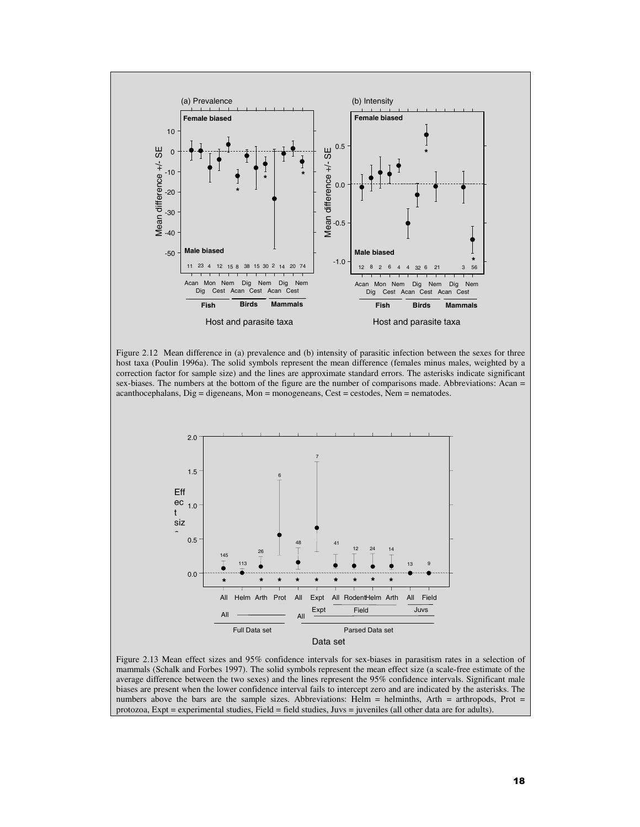

Figure 2.12 Mean difference in (a) prevalence and (b) intensity of parasitic infection between the sexes for three host taxa (Poulin 1996a). The solid symbols represent the mean difference (females minus males, weighted by a correction factor for sample size) and the lines are approximate standard errors. The asterisks indicate significant sex-biases. The numbers at the bottom of the figure are the number of comparisons made. Abbreviations: Acan = acanthocephalans,  $Di$ g = digeneans, Mon = monogeneans, Cest = cestodes, Nem = nematodes.



Figure 2.13 Mean effect sizes and 95% confidence intervals for sex-biases in parasitism rates in a selection of mammals (Schalk and Forbes 1997). The solid symbols represent the mean effect size (a scale-free estimate of the average difference between the two sexes) and the lines represent the 95% confidence intervals. Significant male biases are present when the lower confidence interval fails to intercept zero and are indicated by the asterisks. The numbers above the bars are the sample sizes. Abbreviations: Helm = helminths, Arth = arthropods, Prot = protozoa, Expt = experimental studies, Field = field studies, Juvs = juveniles (all other data are for adults).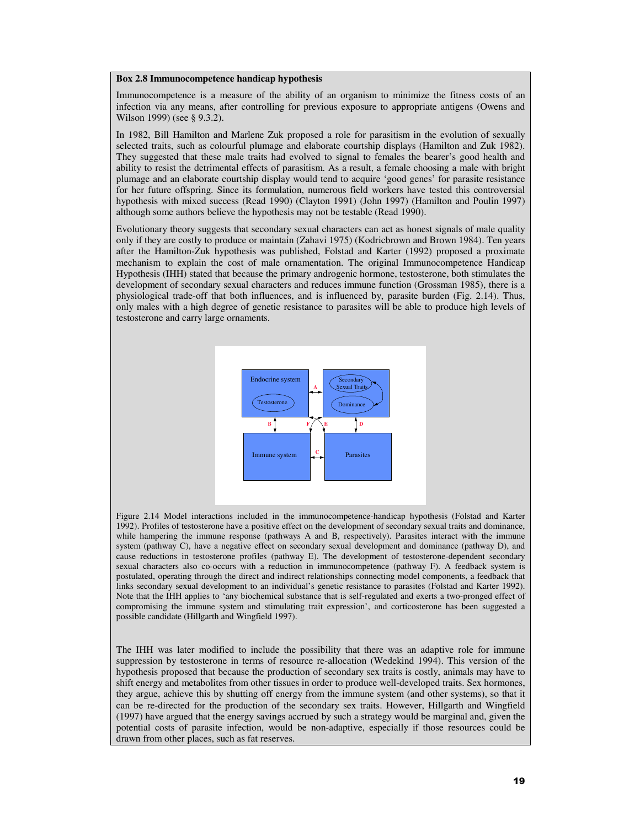#### **Box 2.8 Immunocompetence handicap hypothesis**

Immunocompetence is a measure of the ability of an organism to minimize the fitness costs of an infection via any means, after controlling for previous exposure to appropriate antigens (Owens and Wilson 1999) (see § 9.3.2).

In 1982, Bill Hamilton and Marlene Zuk proposed a role for parasitism in the evolution of sexually selected traits, such as colourful plumage and elaborate courtship displays (Hamilton and Zuk 1982). They suggested that these male traits had evolved to signal to females the bearer's good health and ability to resist the detrimental effects of parasitism. As a result, a female choosing a male with bright plumage and an elaborate courtship display would tend to acquire 'good genes' for parasite resistance for her future offspring. Since its formulation, numerous field workers have tested this controversial hypothesis with mixed success (Read 1990) (Clayton 1991) (John 1997) (Hamilton and Poulin 1997) although some authors believe the hypothesis may not be testable (Read 1990).

Evolutionary theory suggests that secondary sexual characters can act as honest signals of male quality only if they are costly to produce or maintain (Zahavi 1975) (Kodricbrown and Brown 1984). Ten years after the Hamilton-Zuk hypothesis was published, Folstad and Karter (1992) proposed a proximate mechanism to explain the cost of male ornamentation. The original Immunocompetence Handicap Hypothesis (IHH) stated that because the primary androgenic hormone, testosterone, both stimulates the development of secondary sexual characters and reduces immune function (Grossman 1985), there is a physiological trade-off that both influences, and is influenced by, parasite burden (Fig. 2.14). Thus, only males with a high degree of genetic resistance to parasites will be able to produce high levels of testosterone and carry large ornaments.



Figure 2.14 Model interactions included in the immunocompetence-handicap hypothesis (Folstad and Karter 1992). Profiles of testosterone have a positive effect on the development of secondary sexual traits and dominance, while hampering the immune response (pathways A and B, respectively). Parasites interact with the immune system (pathway C), have a negative effect on secondary sexual development and dominance (pathway D), and cause reductions in testosterone profiles (pathway E). The development of testosterone-dependent secondary sexual characters also co-occurs with a reduction in immunocompetence (pathway F). A feedback system is postulated, operating through the direct and indirect relationships connecting model components, a feedback that links secondary sexual development to an individual's genetic resistance to parasites (Folstad and Karter 1992). Note that the IHH applies to 'any biochemical substance that is self-regulated and exerts a two-pronged effect of compromising the immune system and stimulating trait expression', and corticosterone has been suggested a possible candidate (Hillgarth and Wingfield 1997).

The IHH was later modified to include the possibility that there was an adaptive role for immune suppression by testosterone in terms of resource re-allocation (Wedekind 1994). This version of the hypothesis proposed that because the production of secondary sex traits is costly, animals may have to shift energy and metabolites from other tissues in order to produce well-developed traits. Sex hormones, they argue, achieve this by shutting off energy from the immune system (and other systems), so that it can be re-directed for the production of the secondary sex traits. However, Hillgarth and Wingfield (1997) have argued that the energy savings accrued by such a strategy would be marginal and, given the potential costs of parasite infection, would be non-adaptive, especially if those resources could be drawn from other places, such as fat reserves.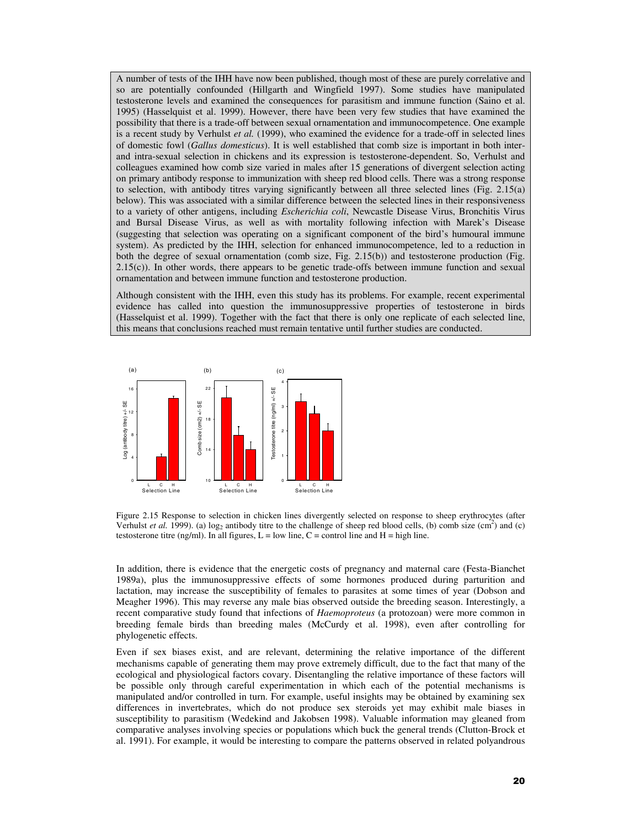A number of tests of the IHH have now been published, though most of these are purely correlative and so are potentially confounded (Hillgarth and Wingfield 1997). Some studies have manipulated testosterone levels and examined the consequences for parasitism and immune function (Saino et al. 1995) (Hasselquist et al. 1999). However, there have been very few studies that have examined the possibility that there is a trade-off between sexual ornamentation and immunocompetence. One example is a recent study by Verhulst *et al.* (1999), who examined the evidence for a trade-off in selected lines of domestic fowl (*Gallus domesticus*). It is well established that comb size is important in both interand intra-sexual selection in chickens and its expression is testosterone-dependent. So, Verhulst and colleagues examined how comb size varied in males after 15 generations of divergent selection acting on primary antibody response to immunization with sheep red blood cells. There was a strong response to selection, with antibody titres varying significantly between all three selected lines (Fig. 2.15(a) below). This was associated with a similar difference between the selected lines in their responsiveness to a variety of other antigens, including *Escherichia coli*, Newcastle Disease Virus, Bronchitis Virus and Bursal Disease Virus, as well as with mortality following infection with Marek's Disease (suggesting that selection was operating on a significant component of the bird's humoural immune system). As predicted by the IHH, selection for enhanced immunocompetence, led to a reduction in both the degree of sexual ornamentation (comb size, Fig. 2.15(b)) and testosterone production (Fig. 2.15(c)). In other words, there appears to be genetic trade-offs between immune function and sexual ornamentation and between immune function and testosterone production.

Although consistent with the IHH, even this study has its problems. For example, recent experimental evidence has called into question the immunosuppressive properties of testosterone in birds (Hasselquist et al. 1999). Together with the fact that there is only one replicate of each selected line, this means that conclusions reached must remain tentative until further studies are conducted.



Figure 2.15 Response to selection in chicken lines divergently selected on response to sheep erythrocytes (after Verhulst *et al.* 1999). (a)  $\log_2$  antibody titre to the challenge of sheep red blood cells, (b) comb size (cm<sup>2</sup>) and (c) testosterone titre (ng/ml). In all figures,  $L = low$  line,  $C =$  control line and  $H =$  high line.

In addition, there is evidence that the energetic costs of pregnancy and maternal care (Festa-Bianchet 1989a), plus the immunosuppressive effects of some hormones produced during parturition and lactation, may increase the susceptibility of females to parasites at some times of year (Dobson and Meagher 1996). This may reverse any male bias observed outside the breeding season. Interestingly, a recent comparative study found that infections of *Haemoproteus* (a protozoan) were more common in breeding female birds than breeding males (McCurdy et al. 1998), even after controlling for phylogenetic effects.

Even if sex biases exist, and are relevant, determining the relative importance of the different mechanisms capable of generating them may prove extremely difficult, due to the fact that many of the ecological and physiological factors covary. Disentangling the relative importance of these factors will be possible only through careful experimentation in which each of the potential mechanisms is manipulated and/or controlled in turn. For example, useful insights may be obtained by examining sex differences in invertebrates, which do not produce sex steroids yet may exhibit male biases in susceptibility to parasitism (Wedekind and Jakobsen 1998). Valuable information may gleaned from comparative analyses involving species or populations which buck the general trends (Clutton-Brock et al. 1991). For example, it would be interesting to compare the patterns observed in related polyandrous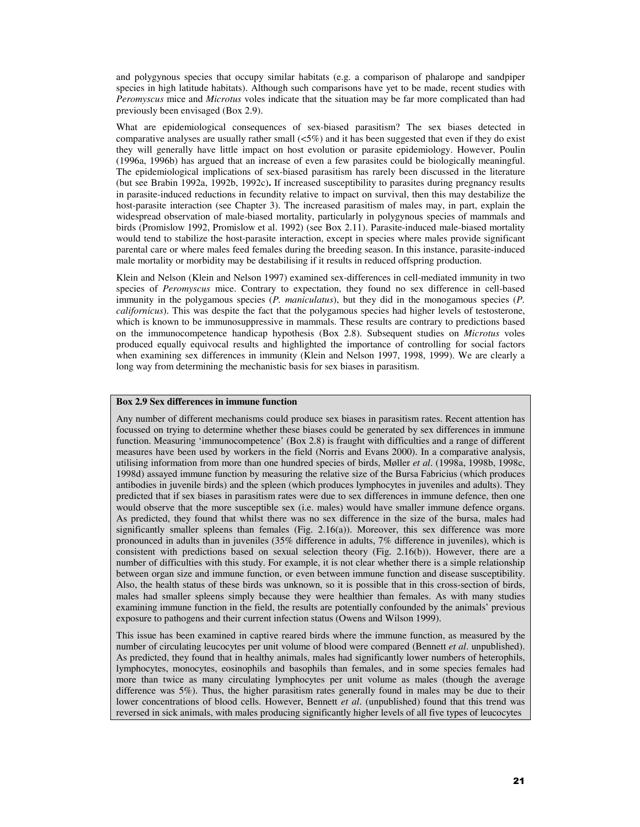and polygynous species that occupy similar habitats (e.g. a comparison of phalarope and sandpiper species in high latitude habitats). Although such comparisons have yet to be made, recent studies with *Peromyscus* mice and *Microtus* voles indicate that the situation may be far more complicated than had previously been envisaged (Box 2.9).

What are epidemiological consequences of sex-biased parasitism? The sex biases detected in comparative analyses are usually rather small  $\langle 5\% \rangle$  and it has been suggested that even if they do exist they will generally have little impact on host evolution or parasite epidemiology. However, Poulin (1996a, 1996b) has argued that an increase of even a few parasites could be biologically meaningful. The epidemiological implications of sex-biased parasitism has rarely been discussed in the literature (but see Brabin 1992a, 1992b, 1992c)**.** If increased susceptibility to parasites during pregnancy results in parasite-induced reductions in fecundity relative to impact on survival, then this may destabilize the host-parasite interaction (see Chapter 3). The increased parasitism of males may, in part, explain the widespread observation of male-biased mortality, particularly in polygynous species of mammals and birds (Promislow 1992, Promislow et al. 1992) (see Box 2.11). Parasite-induced male-biased mortality would tend to stabilize the host-parasite interaction, except in species where males provide significant parental care or where males feed females during the breeding season. In this instance, parasite-induced male mortality or morbidity may be destabilising if it results in reduced offspring production.

Klein and Nelson (Klein and Nelson 1997) examined sex-differences in cell-mediated immunity in two species of *Peromyscus* mice. Contrary to expectation, they found no sex difference in cell-based immunity in the polygamous species (*P. maniculatus*), but they did in the monogamous species (*P. californicus*). This was despite the fact that the polygamous species had higher levels of testosterone, which is known to be immunosuppressive in mammals. These results are contrary to predictions based on the immunocompetence handicap hypothesis (Box 2.8). Subsequent studies on *Microtus* voles produced equally equivocal results and highlighted the importance of controlling for social factors when examining sex differences in immunity (Klein and Nelson 1997, 1998, 1999). We are clearly a long way from determining the mechanistic basis for sex biases in parasitism.

# **Box 2.9 Sex differences in immune function**

Any number of different mechanisms could produce sex biases in parasitism rates. Recent attention has focussed on trying to determine whether these biases could be generated by sex differences in immune function. Measuring 'immunocompetence' (Box 2.8) is fraught with difficulties and a range of different measures have been used by workers in the field (Norris and Evans 2000). In a comparative analysis, utilising information from more than one hundred species of birds, Møller *et al*. (1998a, 1998b, 1998c, 1998d) assayed immune function by measuring the relative size of the Bursa Fabricius (which produces antibodies in juvenile birds) and the spleen (which produces lymphocytes in juveniles and adults). They predicted that if sex biases in parasitism rates were due to sex differences in immune defence, then one would observe that the more susceptible sex (i.e. males) would have smaller immune defence organs. As predicted, they found that whilst there was no sex difference in the size of the bursa, males had significantly smaller spleens than females (Fig. 2.16(a)). Moreover, this sex difference was more pronounced in adults than in juveniles (35% difference in adults, 7% difference in juveniles), which is consistent with predictions based on sexual selection theory (Fig. 2.16(b)). However, there are a number of difficulties with this study. For example, it is not clear whether there is a simple relationship between organ size and immune function, or even between immune function and disease susceptibility. Also, the health status of these birds was unknown, so it is possible that in this cross-section of birds, males had smaller spleens simply because they were healthier than females. As with many studies examining immune function in the field, the results are potentially confounded by the animals' previous exposure to pathogens and their current infection status (Owens and Wilson 1999).

This issue has been examined in captive reared birds where the immune function, as measured by the number of circulating leucocytes per unit volume of blood were compared (Bennett *et al*. unpublished). As predicted, they found that in healthy animals, males had significantly lower numbers of heterophils, lymphocytes, monocytes, eosinophils and basophils than females, and in some species females had more than twice as many circulating lymphocytes per unit volume as males (though the average difference was 5%). Thus, the higher parasitism rates generally found in males may be due to their lower concentrations of blood cells. However, Bennett *et al*. (unpublished) found that this trend was reversed in sick animals, with males producing significantly higher levels of all five types of leucocytes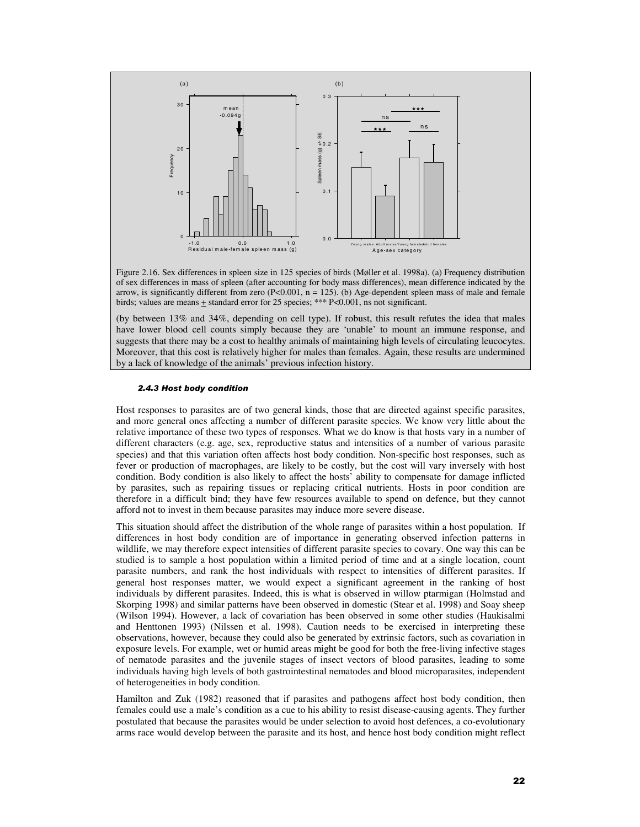

Figure 2.16. Sex differences in spleen size in 125 species of birds (Møller et al. 1998a). (a) Frequency distribution of sex differences in mass of spleen (after accounting for body mass differences), mean difference indicated by the arrow, is significantly different from zero (P<0.001,  $n = 125$ ). (b) Age-dependent spleen mass of male and female birds; values are means  $\pm$  standard error for 25 species; \*\*\* P<0.001, ns not significant.

(by between 13% and 34%, depending on cell type). If robust, this result refutes the idea that males have lower blood cell counts simply because they are 'unable' to mount an immune response, and suggests that there may be a cost to healthy animals of maintaining high levels of circulating leucocytes. Moreover, that this cost is relatively higher for males than females. Again, these results are undermined by a lack of knowledge of the animals' previous infection history.

#### *2.4.3 Host body condition*

Host responses to parasites are of two general kinds, those that are directed against specific parasites, and more general ones affecting a number of different parasite species. We know very little about the relative importance of these two types of responses. What we do know is that hosts vary in a number of different characters (e.g. age, sex, reproductive status and intensities of a number of various parasite species) and that this variation often affects host body condition. Non-specific host responses, such as fever or production of macrophages, are likely to be costly, but the cost will vary inversely with host condition. Body condition is also likely to affect the hosts' ability to compensate for damage inflicted by parasites, such as repairing tissues or replacing critical nutrients. Hosts in poor condition are therefore in a difficult bind; they have few resources available to spend on defence, but they cannot afford not to invest in them because parasites may induce more severe disease.

This situation should affect the distribution of the whole range of parasites within a host population. If differences in host body condition are of importance in generating observed infection patterns in wildlife, we may therefore expect intensities of different parasite species to covary. One way this can be studied is to sample a host population within a limited period of time and at a single location, count parasite numbers, and rank the host individuals with respect to intensities of different parasites. If general host responses matter, we would expect a significant agreement in the ranking of host individuals by different parasites. Indeed, this is what is observed in willow ptarmigan (Holmstad and Skorping 1998) and similar patterns have been observed in domestic (Stear et al. 1998) and Soay sheep (Wilson 1994). However, a lack of covariation has been observed in some other studies (Haukisalmi and Henttonen 1993) (Nilssen et al. 1998). Caution needs to be exercised in interpreting these observations, however, because they could also be generated by extrinsic factors, such as covariation in exposure levels. For example, wet or humid areas might be good for both the free-living infective stages of nematode parasites and the juvenile stages of insect vectors of blood parasites, leading to some individuals having high levels of both gastrointestinal nematodes and blood microparasites, independent of heterogeneities in body condition.

Hamilton and Zuk (1982) reasoned that if parasites and pathogens affect host body condition, then females could use a male's condition as a cue to his ability to resist disease-causing agents. They further postulated that because the parasites would be under selection to avoid host defences, a co-evolutionary arms race would develop between the parasite and its host, and hence host body condition might reflect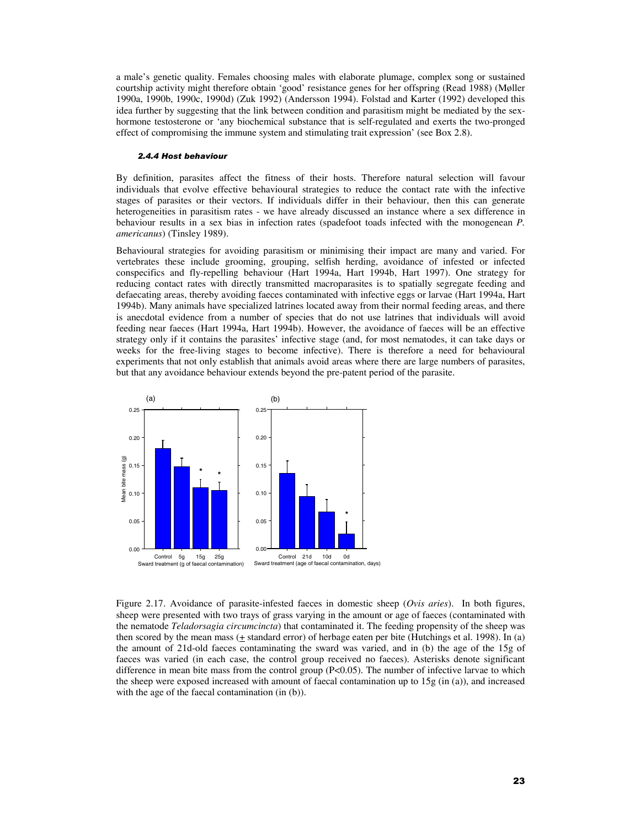a male's genetic quality. Females choosing males with elaborate plumage, complex song or sustained courtship activity might therefore obtain 'good' resistance genes for her offspring (Read 1988) (Møller 1990a, 1990b, 1990c, 1990d) (Zuk 1992) (Andersson 1994). Folstad and Karter (1992) developed this idea further by suggesting that the link between condition and parasitism might be mediated by the sexhormone testosterone or 'any biochemical substance that is self-regulated and exerts the two-pronged effect of compromising the immune system and stimulating trait expression' (see Box 2.8).

#### *2.4.4 Host behaviour*

By definition, parasites affect the fitness of their hosts. Therefore natural selection will favour individuals that evolve effective behavioural strategies to reduce the contact rate with the infective stages of parasites or their vectors. If individuals differ in their behaviour, then this can generate heterogeneities in parasitism rates - we have already discussed an instance where a sex difference in behaviour results in a sex bias in infection rates (spadefoot toads infected with the monogenean *P. americanus*) (Tinsley 1989).

Behavioural strategies for avoiding parasitism or minimising their impact are many and varied. For vertebrates these include grooming, grouping, selfish herding, avoidance of infested or infected conspecifics and fly-repelling behaviour (Hart 1994a, Hart 1994b, Hart 1997). One strategy for reducing contact rates with directly transmitted macroparasites is to spatially segregate feeding and defaecating areas, thereby avoiding faeces contaminated with infective eggs or larvae (Hart 1994a, Hart 1994b). Many animals have specialized latrines located away from their normal feeding areas, and there is anecdotal evidence from a number of species that do not use latrines that individuals will avoid feeding near faeces (Hart 1994a, Hart 1994b). However, the avoidance of faeces will be an effective strategy only if it contains the parasites' infective stage (and, for most nematodes, it can take days or weeks for the free-living stages to become infective). There is therefore a need for behavioural experiments that not only establish that animals avoid areas where there are large numbers of parasites, but that any avoidance behaviour extends beyond the pre-patent period of the parasite.



Figure 2.17. Avoidance of parasite-infested faeces in domestic sheep (*Ovis aries*). In both figures, sheep were presented with two trays of grass varying in the amount or age of faeces (contaminated with the nematode *Teladorsagia circumcincta*) that contaminated it. The feeding propensity of the sheep was then scored by the mean mass  $(+$  standard error) of herbage eaten per bite (Hutchings et al. 1998). In (a) the amount of 21d-old faeces contaminating the sward was varied, and in (b) the age of the 15g of faeces was varied (in each case, the control group received no faeces). Asterisks denote significant difference in mean bite mass from the control group (P<0.05). The number of infective larvae to which the sheep were exposed increased with amount of faecal contamination up to 15g (in (a)), and increased with the age of the faecal contamination (in (b)).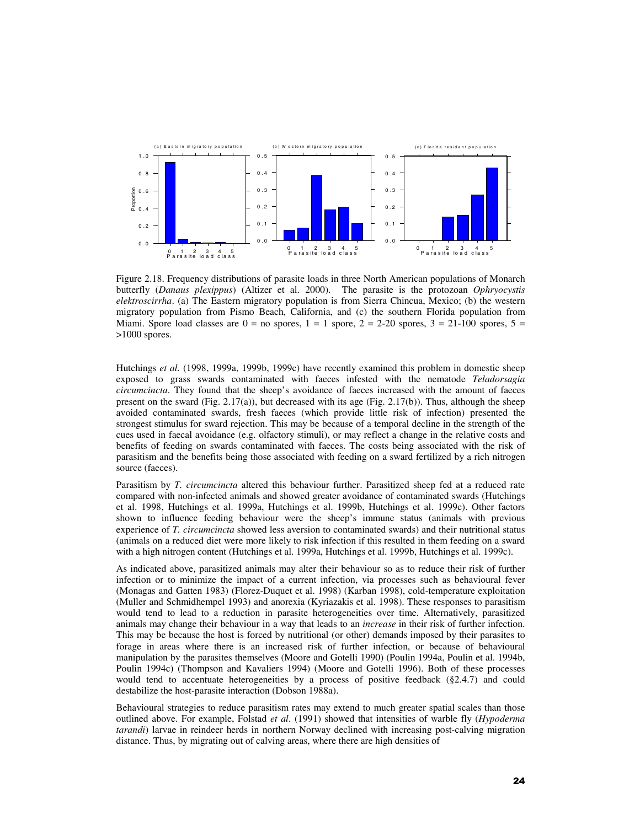

Figure 2.18. Frequency distributions of parasite loads in three North American populations of Monarch butterfly (*Danaus plexippus*) (Altizer et al. 2000). The parasite is the protozoan *Ophryocystis elektroscirrha*. (a) The Eastern migratory population is from Sierra Chincua, Mexico; (b) the western migratory population from Pismo Beach, California, and (c) the southern Florida population from Miami. Spore load classes are  $0 =$  no spores,  $1 = 1$  spore,  $2 = 2-20$  spores,  $3 = 21-100$  spores,  $5 =$ >1000 spores.

Hutchings *et al.* (1998, 1999a, 1999b, 1999c) have recently examined this problem in domestic sheep exposed to grass swards contaminated with faeces infested with the nematode *Teladorsagia circumcincta*. They found that the sheep's avoidance of faeces increased with the amount of faeces present on the sward (Fig.  $2.17(a)$ ), but decreased with its age (Fig.  $2.17(b)$ ). Thus, although the sheep avoided contaminated swards, fresh faeces (which provide little risk of infection) presented the strongest stimulus for sward rejection. This may be because of a temporal decline in the strength of the cues used in faecal avoidance (e.g. olfactory stimuli), or may reflect a change in the relative costs and benefits of feeding on swards contaminated with faeces. The costs being associated with the risk of parasitism and the benefits being those associated with feeding on a sward fertilized by a rich nitrogen source (faeces).

Parasitism by *T. circumcincta* altered this behaviour further. Parasitized sheep fed at a reduced rate compared with non-infected animals and showed greater avoidance of contaminated swards (Hutchings et al. 1998, Hutchings et al. 1999a, Hutchings et al. 1999b, Hutchings et al. 1999c). Other factors shown to influence feeding behaviour were the sheep's immune status (animals with previous experience of *T. circumcincta* showed less aversion to contaminated swards) and their nutritional status (animals on a reduced diet were more likely to risk infection if this resulted in them feeding on a sward with a high nitrogen content (Hutchings et al. 1999a, Hutchings et al. 1999b, Hutchings et al. 1999c).

As indicated above, parasitized animals may alter their behaviour so as to reduce their risk of further infection or to minimize the impact of a current infection, via processes such as behavioural fever (Monagas and Gatten 1983) (Florez-Duquet et al. 1998) (Karban 1998), cold-temperature exploitation (Muller and Schmidhempel 1993) and anorexia (Kyriazakis et al. 1998). These responses to parasitism would tend to lead to a reduction in parasite heterogeneities over time. Alternatively, parasitized animals may change their behaviour in a way that leads to an *increase* in their risk of further infection. This may be because the host is forced by nutritional (or other) demands imposed by their parasites to forage in areas where there is an increased risk of further infection, or because of behavioural manipulation by the parasites themselves (Moore and Gotelli 1990) (Poulin 1994a, Poulin et al. 1994b, Poulin 1994c) (Thompson and Kavaliers 1994) (Moore and Gotelli 1996). Both of these processes would tend to accentuate heterogeneities by a process of positive feedback (§2.4.7) and could destabilize the host-parasite interaction (Dobson 1988a).

Behavioural strategies to reduce parasitism rates may extend to much greater spatial scales than those outlined above. For example, Folstad *et al*. (1991) showed that intensities of warble fly (*Hypoderma tarandi*) larvae in reindeer herds in northern Norway declined with increasing post-calving migration distance. Thus, by migrating out of calving areas, where there are high densities of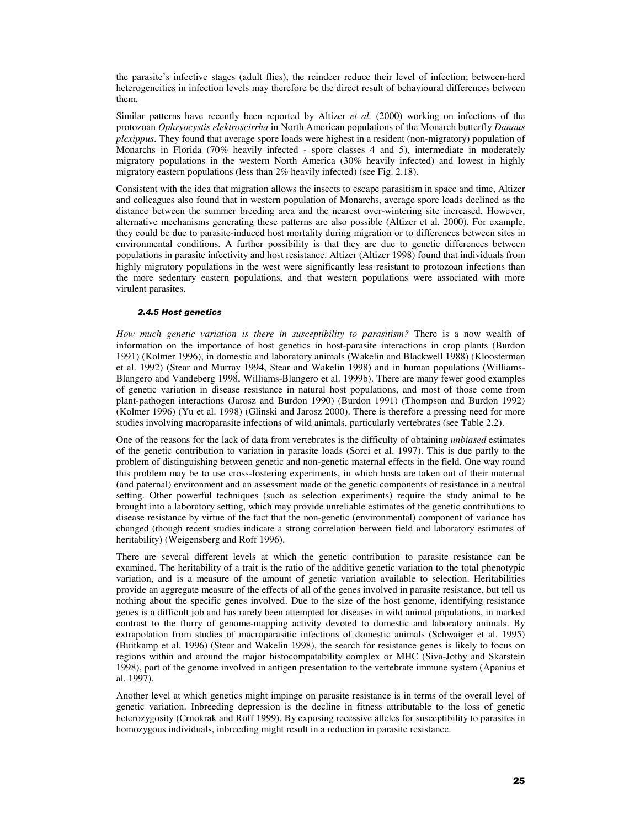the parasite's infective stages (adult flies), the reindeer reduce their level of infection; between-herd heterogeneities in infection levels may therefore be the direct result of behavioural differences between them.

Similar patterns have recently been reported by Altizer *et al.* (2000) working on infections of the protozoan *Ophryocystis elektroscirrha* in North American populations of the Monarch butterfly *Danaus plexippus*. They found that average spore loads were highest in a resident (non-migratory) population of Monarchs in Florida (70% heavily infected - spore classes 4 and 5), intermediate in moderately migratory populations in the western North America (30% heavily infected) and lowest in highly migratory eastern populations (less than 2% heavily infected) (see Fig. 2.18).

Consistent with the idea that migration allows the insects to escape parasitism in space and time, Altizer and colleagues also found that in western population of Monarchs, average spore loads declined as the distance between the summer breeding area and the nearest over-wintering site increased. However, alternative mechanisms generating these patterns are also possible (Altizer et al. 2000). For example, they could be due to parasite-induced host mortality during migration or to differences between sites in environmental conditions. A further possibility is that they are due to genetic differences between populations in parasite infectivity and host resistance. Altizer (Altizer 1998) found that individuals from highly migratory populations in the west were significantly less resistant to protozoan infections than the more sedentary eastern populations, and that western populations were associated with more virulent parasites.

#### *2.4.5 Host genetics*

*How much genetic variation is there in susceptibility to parasitism?* There is a now wealth of information on the importance of host genetics in host-parasite interactions in crop plants (Burdon 1991) (Kolmer 1996), in domestic and laboratory animals (Wakelin and Blackwell 1988) (Kloosterman et al. 1992) (Stear and Murray 1994, Stear and Wakelin 1998) and in human populations (Williams-Blangero and Vandeberg 1998, Williams-Blangero et al. 1999b). There are many fewer good examples of genetic variation in disease resistance in natural host populations, and most of those come from plant-pathogen interactions (Jarosz and Burdon 1990) (Burdon 1991) (Thompson and Burdon 1992) (Kolmer 1996) (Yu et al. 1998) (Glinski and Jarosz 2000). There is therefore a pressing need for more studies involving macroparasite infections of wild animals, particularly vertebrates (see Table 2.2).

One of the reasons for the lack of data from vertebrates is the difficulty of obtaining *unbiased* estimates of the genetic contribution to variation in parasite loads (Sorci et al. 1997). This is due partly to the problem of distinguishing between genetic and non-genetic maternal effects in the field. One way round this problem may be to use cross-fostering experiments, in which hosts are taken out of their maternal (and paternal) environment and an assessment made of the genetic components of resistance in a neutral setting. Other powerful techniques (such as selection experiments) require the study animal to be brought into a laboratory setting, which may provide unreliable estimates of the genetic contributions to disease resistance by virtue of the fact that the non-genetic (environmental) component of variance has changed (though recent studies indicate a strong correlation between field and laboratory estimates of heritability) (Weigensberg and Roff 1996).

There are several different levels at which the genetic contribution to parasite resistance can be examined. The heritability of a trait is the ratio of the additive genetic variation to the total phenotypic variation, and is a measure of the amount of genetic variation available to selection. Heritabilities provide an aggregate measure of the effects of all of the genes involved in parasite resistance, but tell us nothing about the specific genes involved. Due to the size of the host genome, identifying resistance genes is a difficult job and has rarely been attempted for diseases in wild animal populations, in marked contrast to the flurry of genome-mapping activity devoted to domestic and laboratory animals. By extrapolation from studies of macroparasitic infections of domestic animals (Schwaiger et al. 1995) (Buitkamp et al. 1996) (Stear and Wakelin 1998), the search for resistance genes is likely to focus on regions within and around the major histocompatability complex or MHC (Siva-Jothy and Skarstein 1998), part of the genome involved in antigen presentation to the vertebrate immune system (Apanius et al. 1997).

Another level at which genetics might impinge on parasite resistance is in terms of the overall level of genetic variation. Inbreeding depression is the decline in fitness attributable to the loss of genetic heterozygosity (Crnokrak and Roff 1999). By exposing recessive alleles for susceptibility to parasites in homozygous individuals, inbreeding might result in a reduction in parasite resistance.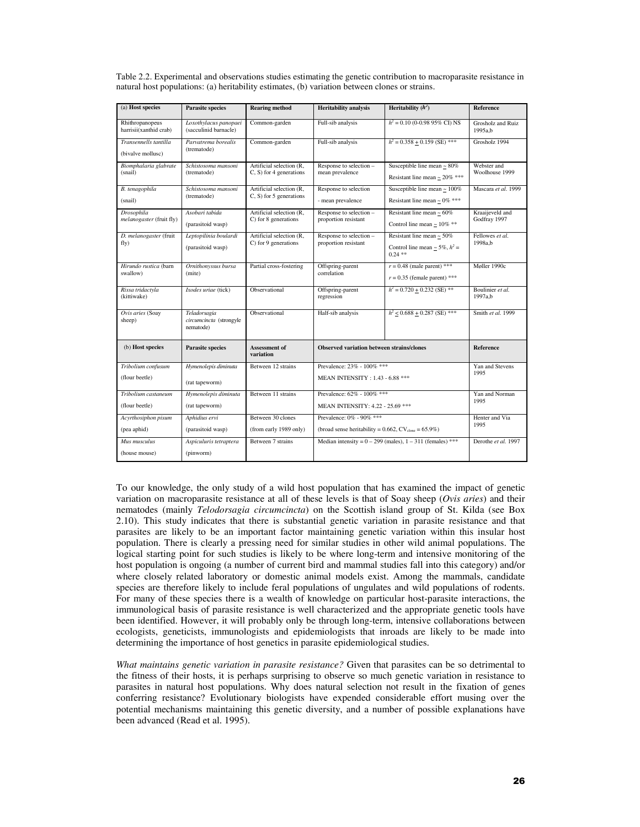| Table 2.2. Experimental and observations studies estimating the genetic contribution to macroparasite resistance in |
|---------------------------------------------------------------------------------------------------------------------|
| natural host populations: (a) heritability estimates, (b) variation between clones or strains.                      |

| (a) Host species                          | <b>Parasite species</b>                              | <b>Rearing method</b>                                  | <b>Heritability analysis</b>                                           | Heritability $(h^2)$                             | Reference                     |
|-------------------------------------------|------------------------------------------------------|--------------------------------------------------------|------------------------------------------------------------------------|--------------------------------------------------|-------------------------------|
|                                           |                                                      |                                                        |                                                                        |                                                  |                               |
| Rhithropanopeus<br>harrisii(xanthid crab) | Loxothylacus panopaei<br>(sacculinid barnacle)       | Common-garden                                          | Full-sib analysis                                                      | $h^2 = 0.10$ (0-0.98 95% CI) NS                  | Grosholz and Ruiz<br>1995a,b  |
| Transennells tantilla                     | Parvatrema borealis                                  | Common-garden                                          | Full-sib analysis                                                      | $h^2 = 0.358 + 0.159$ (SE) ***                   | Grosholz 1994                 |
| (bivalve mollusc)                         | (trematode)                                          |                                                        |                                                                        |                                                  |                               |
| Biomphalaria glabrate<br>(snail)          | Schistosoma mansoni<br>(trematode)                   | Artificial selection (R.<br>$C$ , S) for 4 generations | Response to selection -<br>mean prevalence                             | Susceptible line mean $\sim 80\%$                | Webster and<br>Woolhouse 1999 |
|                                           |                                                      |                                                        |                                                                        | Resistant line mean ~ $20\%$ ***                 |                               |
| B. tenagophila                            | Schistosoma mansoni                                  | Artificial selection (R.                               | Response to selection                                                  | Susceptible line mean $\sim 100\%$               | Mascara et al. 1999           |
| (snail)                                   | (trematode)                                          | $C$ , S) for 5 generations                             | - mean prevalence                                                      | Resistant line mean ~ $0\%$ ***                  |                               |
| Drosophila                                | Asobari tabida                                       | Artificial selection (R,                               | Response to selection -                                                | Resistant line mean $\sim 60\%$                  | Kraaijeveld and               |
| melanogaster (fruit fly)                  | (parasitoid wasp)                                    | C) for 8 generations                                   | proportion resistant                                                   | Control line mean ~ $10\%$ **                    | Godfray 1997                  |
| D. melanogaster (fruit                    | Leptopilinia boulardi                                | Artificial selection (R.                               | Response to selection -                                                | Resistant line mean $\sim$ 50%                   | Fellowes et al.               |
| fly)                                      | (parasitoid wasp)                                    | C) for 9 generations                                   | proportion resistant                                                   | Control line mean ~ $5\%$ , $h^2$ =<br>$0.24$ ** | 1998a.b                       |
| Hirundo rustica (barn                     | Ornithonyssus bursa                                  | Partial cross-fostering                                | Offspring-parent                                                       | $r = 0.48$ (male parent) ***                     | Møller 1990c                  |
| swallow)                                  | (mite)                                               |                                                        | correlation                                                            | $r = 0.35$ (female parent) ***                   |                               |
| Rissa tridactyla<br>(kittiwake)           | Ixodes uriae (tick)                                  | Observational                                          | Offspring-parent<br>regression                                         | $h^2 = 0.720 + 0.232$ (SE) **                    | Boulinier et al.<br>1997a.b   |
| Ovis aries (Soay<br>sheep)                | Teladorsagia<br>circumcincta (strongyle<br>nematode) | Observational                                          | Half-sib analysis                                                      | $h^2$ < 0.688 + 0.287 (SE) ***                   | Smith et al. 1999             |
| (b) Host species                          | <b>Parasite species</b>                              | <b>Assessment of</b><br>variation                      | Observed variation between strains/clones                              |                                                  | Reference                     |
| Tribolium confusum                        | Hymenolepis diminuta                                 | Between 12 strains                                     | Prevalence: 23% - 100% ***                                             |                                                  | Yan and Stevens               |
| (flour beetle)                            | (rat tapeworm)                                       |                                                        | MEAN INTENSITY: 1.43 - 6.88 ***                                        |                                                  | 1995                          |
| Tribolium castaneum                       | Hymenolepis diminuta                                 | Between 11 strains                                     | Prevalence: 62% - 100% ***                                             |                                                  | Yan and Norman                |
| (flour beetle)                            | (rat tapeworm)                                       |                                                        | MEAN INTENSITY: 4.22 - 25.69 ***                                       |                                                  | 1995                          |
| Acyrthosiphon pisum                       | Aphidius ervi                                        | Between 30 clones                                      | Prevalence: 0% - 90% ***                                               |                                                  | Henter and Via                |
| (pea aphid)                               | (parasitoid wasp)                                    | (from early 1989 only)                                 | (broad sense heritability = $0.662$ , CV <sub>clone</sub> = $65.9\%$ ) |                                                  | 1995                          |
| Mus musculus                              | Aspiculuris tetraptera                               | Between 7 strains                                      | Median intensity = $0 - 299$ (males), $1 - 311$ (females) ***          |                                                  | Derothe et al. 1997           |
| (house mouse)                             | (pinworm)                                            |                                                        |                                                                        |                                                  |                               |

To our knowledge, the only study of a wild host population that has examined the impact of genetic variation on macroparasite resistance at all of these levels is that of Soay sheep (*Ovis aries*) and their nematodes (mainly *Telodorsagia circumcincta*) on the Scottish island group of St. Kilda (see Box 2.10). This study indicates that there is substantial genetic variation in parasite resistance and that parasites are likely to be an important factor maintaining genetic variation within this insular host population. There is clearly a pressing need for similar studies in other wild animal populations. The logical starting point for such studies is likely to be where long-term and intensive monitoring of the host population is ongoing (a number of current bird and mammal studies fall into this category) and/or where closely related laboratory or domestic animal models exist. Among the mammals, candidate species are therefore likely to include feral populations of ungulates and wild populations of rodents. For many of these species there is a wealth of knowledge on particular host-parasite interactions, the immunological basis of parasite resistance is well characterized and the appropriate genetic tools have been identified. However, it will probably only be through long-term, intensive collaborations between ecologists, geneticists, immunologists and epidemiologists that inroads are likely to be made into determining the importance of host genetics in parasite epidemiological studies.

*What maintains genetic variation in parasite resistance?* Given that parasites can be so detrimental to the fitness of their hosts, it is perhaps surprising to observe so much genetic variation in resistance to parasites in natural host populations. Why does natural selection not result in the fixation of genes conferring resistance? Evolutionary biologists have expended considerable effort musing over the potential mechanisms maintaining this genetic diversity, and a number of possible explanations have been advanced (Read et al. 1995).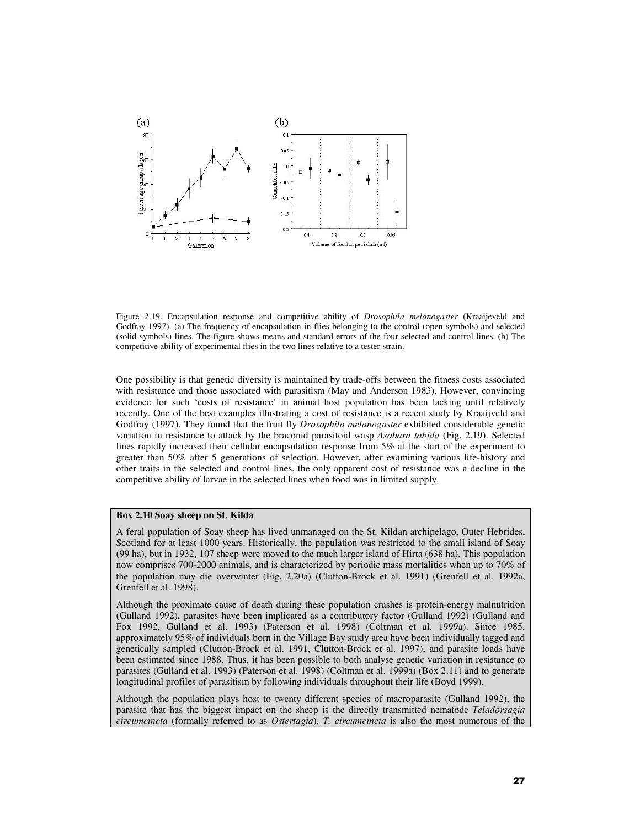

Figure 2.19. Encapsulation response and competitive ability of *Drosophila melanogaster* (Kraaijeveld and Godfray 1997). (a) The frequency of encapsulation in flies belonging to the control (open symbols) and selected (solid symbols) lines. The figure shows means and standard errors of the four selected and control lines. (b) The competitive ability of experimental flies in the two lines relative to a tester strain.

One possibility is that genetic diversity is maintained by trade-offs between the fitness costs associated with resistance and those associated with parasitism (May and Anderson 1983). However, convincing evidence for such 'costs of resistance' in animal host population has been lacking until relatively recently. One of the best examples illustrating a cost of resistance is a recent study by Kraaijveld and Godfray (1997). They found that the fruit fly *Drosophila melanogaster* exhibited considerable genetic variation in resistance to attack by the braconid parasitoid wasp *Asobara tabida* (Fig. 2.19). Selected lines rapidly increased their cellular encapsulation response from 5% at the start of the experiment to greater than 50% after 5 generations of selection. However, after examining various life-history and other traits in the selected and control lines, the only apparent cost of resistance was a decline in the competitive ability of larvae in the selected lines when food was in limited supply.

# **Box 2.10 Soay sheep on St. Kilda**

A feral population of Soay sheep has lived unmanaged on the St. Kildan archipelago, Outer Hebrides, Scotland for at least 1000 years. Historically, the population was restricted to the small island of Soay (99 ha), but in 1932, 107 sheep were moved to the much larger island of Hirta (638 ha). This population now comprises 700-2000 animals, and is characterized by periodic mass mortalities when up to 70% of the population may die overwinter (Fig. 2.20a) (Clutton-Brock et al. 1991) (Grenfell et al. 1992a, Grenfell et al. 1998).

Although the proximate cause of death during these population crashes is protein-energy malnutrition (Gulland 1992), parasites have been implicated as a contributory factor (Gulland 1992) (Gulland and Fox 1992, Gulland et al. 1993) (Paterson et al. 1998) (Coltman et al. 1999a). Since 1985, approximately 95% of individuals born in the Village Bay study area have been individually tagged and genetically sampled (Clutton-Brock et al. 1991, Clutton-Brock et al. 1997), and parasite loads have been estimated since 1988. Thus, it has been possible to both analyse genetic variation in resistance to parasites (Gulland et al. 1993) (Paterson et al. 1998) (Coltman et al. 1999a) (Box 2.11) and to generate longitudinal profiles of parasitism by following individuals throughout their life (Boyd 1999).

Although the population plays host to twenty different species of macroparasite (Gulland 1992), the parasite that has the biggest impact on the sheep is the directly transmitted nematode *Teladorsagia circumcincta* (formally referred to as *Ostertagia*). *T. circumcincta* is also the most numerous of the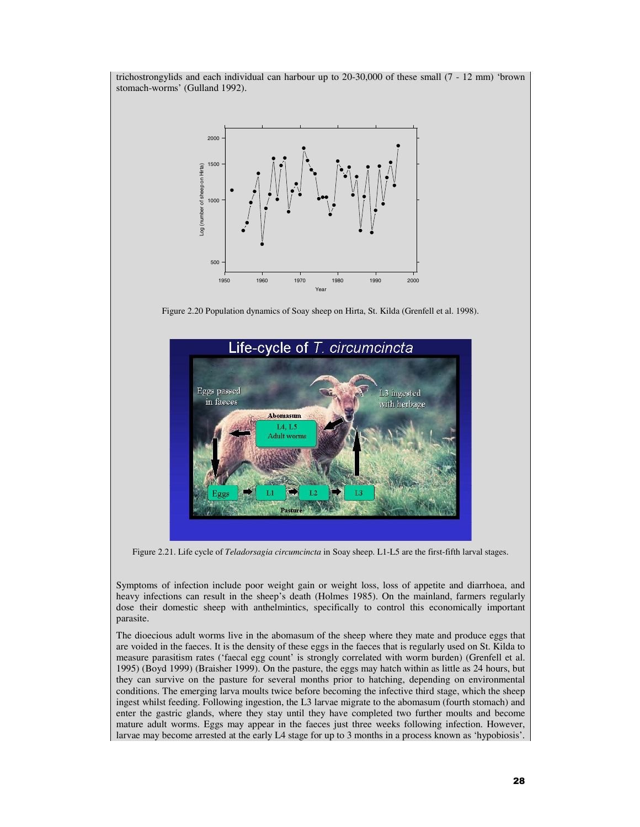trichostrongylids and each individual can harbour up to 20-30,000 of these small (7 - 12 mm) 'brown stomach-worms' (Gulland 1992).



Figure 2.20 Population dynamics of Soay sheep on Hirta, St. Kilda (Grenfell et al. 1998).



Figure 2.21. Life cycle of *Teladorsagia circumcincta* in Soay sheep. L1-L5 are the first-fifth larval stages.

Symptoms of infection include poor weight gain or weight loss, loss of appetite and diarrhoea, and heavy infections can result in the sheep's death (Holmes 1985). On the mainland, farmers regularly dose their domestic sheep with anthelmintics, specifically to control this economically important parasite.

The dioecious adult worms live in the abomasum of the sheep where they mate and produce eggs that are voided in the faeces. It is the density of these eggs in the faeces that is regularly used on St. Kilda to measure parasitism rates ('faecal egg count' is strongly correlated with worm burden) (Grenfell et al. 1995) (Boyd 1999) (Braisher 1999). On the pasture, the eggs may hatch within as little as 24 hours, but they can survive on the pasture for several months prior to hatching, depending on environmental conditions. The emerging larva moults twice before becoming the infective third stage, which the sheep ingest whilst feeding. Following ingestion, the L3 larvae migrate to the abomasum (fourth stomach) and enter the gastric glands, where they stay until they have completed two further moults and become mature adult worms. Eggs may appear in the faeces just three weeks following infection. However, larvae may become arrested at the early L4 stage for up to 3 months in a process known as 'hypobiosis'.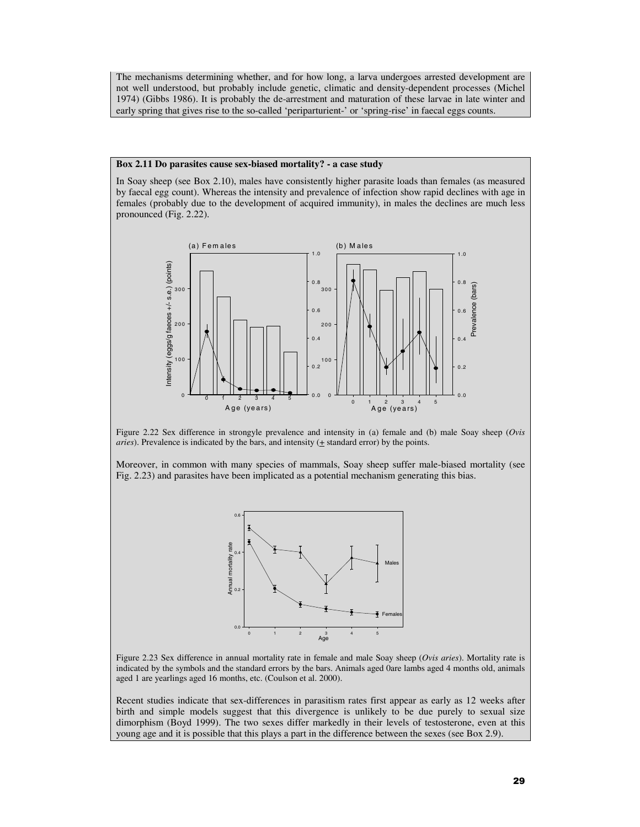The mechanisms determining whether, and for how long, a larva undergoes arrested development are not well understood, but probably include genetic, climatic and density-dependent processes (Michel 1974) (Gibbs 1986). It is probably the de-arrestment and maturation of these larvae in late winter and early spring that gives rise to the so-called 'periparturient-' or 'spring-rise' in faecal eggs counts.

## **Box 2.11 Do parasites cause sex-biased mortality? - a case study**

In Soay sheep (see Box 2.10), males have consistently higher parasite loads than females (as measured by faecal egg count). Whereas the intensity and prevalence of infection show rapid declines with age in females (probably due to the development of acquired immunity), in males the declines are much less pronounced (Fig. 2.22).



Figure 2.22 Sex difference in strongyle prevalence and intensity in (a) female and (b) male Soay sheep (*Ovis aries*). Prevalence is indicated by the bars, and intensity ( $\pm$  standard error) by the points.

Moreover, in common with many species of mammals, Soay sheep suffer male-biased mortality (see Fig. 2.23) and parasites have been implicated as a potential mechanism generating this bias.



Figure 2.23 Sex difference in annual mortality rate in female and male Soay sheep (*Ovis aries*). Mortality rate is indicated by the symbols and the standard errors by the bars. Animals aged 0are lambs aged 4 months old, animals aged 1 are yearlings aged 16 months, etc. (Coulson et al. 2000).

Recent studies indicate that sex-differences in parasitism rates first appear as early as 12 weeks after birth and simple models suggest that this divergence is unlikely to be due purely to sexual size dimorphism (Boyd 1999). The two sexes differ markedly in their levels of testosterone, even at this young age and it is possible that this plays a part in the difference between the sexes (see Box 2.9).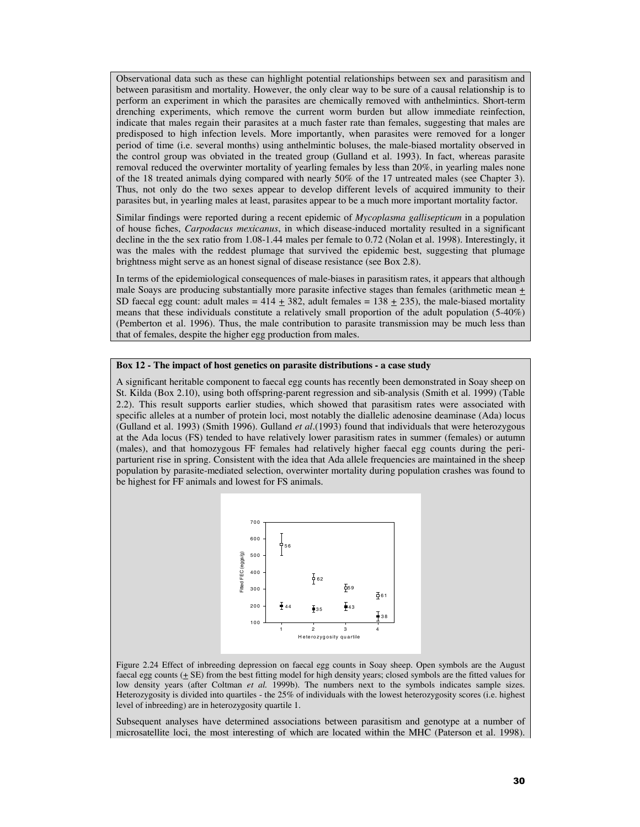Observational data such as these can highlight potential relationships between sex and parasitism and between parasitism and mortality. However, the only clear way to be sure of a causal relationship is to perform an experiment in which the parasites are chemically removed with anthelmintics. Short-term drenching experiments, which remove the current worm burden but allow immediate reinfection, indicate that males regain their parasites at a much faster rate than females, suggesting that males are predisposed to high infection levels. More importantly, when parasites were removed for a longer period of time (i.e. several months) using anthelmintic boluses, the male-biased mortality observed in the control group was obviated in the treated group (Gulland et al. 1993). In fact, whereas parasite removal reduced the overwinter mortality of yearling females by less than 20%, in yearling males none of the 18 treated animals dying compared with nearly 50% of the 17 untreated males (see Chapter 3). Thus, not only do the two sexes appear to develop different levels of acquired immunity to their parasites but, in yearling males at least, parasites appear to be a much more important mortality factor.

Similar findings were reported during a recent epidemic of *Mycoplasma gallisepticum* in a population of house fiches, *Carpodacus mexicanus*, in which disease-induced mortality resulted in a significant decline in the the sex ratio from 1.08-1.44 males per female to 0.72 (Nolan et al. 1998). Interestingly, it was the males with the reddest plumage that survived the epidemic best, suggesting that plumage brightness might serve as an honest signal of disease resistance (see Box 2.8).

In terms of the epidemiological consequences of male-biases in parasitism rates, it appears that although male Soays are producing substantially more parasite infective stages than females (arithmetic mean + SD faecal egg count: adult males =  $414 \pm 382$ , adult females =  $138 \pm 235$ ), the male-biased mortality means that these individuals constitute a relatively small proportion of the adult population (5-40%) (Pemberton et al. 1996). Thus, the male contribution to parasite transmission may be much less than that of females, despite the higher egg production from males.

#### **Box 12 - The impact of host genetics on parasite distributions - a case study**

A significant heritable component to faecal egg counts has recently been demonstrated in Soay sheep on St. Kilda (Box 2.10), using both offspring-parent regression and sib-analysis (Smith et al. 1999) (Table 2.2). This result supports earlier studies, which showed that parasitism rates were associated with specific alleles at a number of protein loci, most notably the diallelic adenosine deaminase (Ada) locus (Gulland et al. 1993) (Smith 1996). Gulland *et al*.(1993) found that individuals that were heterozygous at the Ada locus (FS) tended to have relatively lower parasitism rates in summer (females) or autumn (males), and that homozygous FF females had relatively higher faecal egg counts during the periparturient rise in spring. Consistent with the idea that Ada allele frequencies are maintained in the sheep population by parasite-mediated selection, overwinter mortality during population crashes was found to be highest for FF animals and lowest for FS animals.



Figure 2.24 Effect of inbreeding depression on faecal egg counts in Soay sheep. Open symbols are the August faecal egg counts  $(+ SE)$  from the best fitting model for high density years; closed symbols are the fitted values for low density years (after Coltman *et al.* 1999b). The numbers next to the symbols indicates sample sizes. Heterozygosity is divided into quartiles - the 25% of individuals with the lowest heterozygosity scores (i.e. highest level of inbreeding) are in heterozygosity quartile 1.

Subsequent analyses have determined associations between parasitism and genotype at a number of microsatellite loci, the most interesting of which are located within the MHC (Paterson et al. 1998).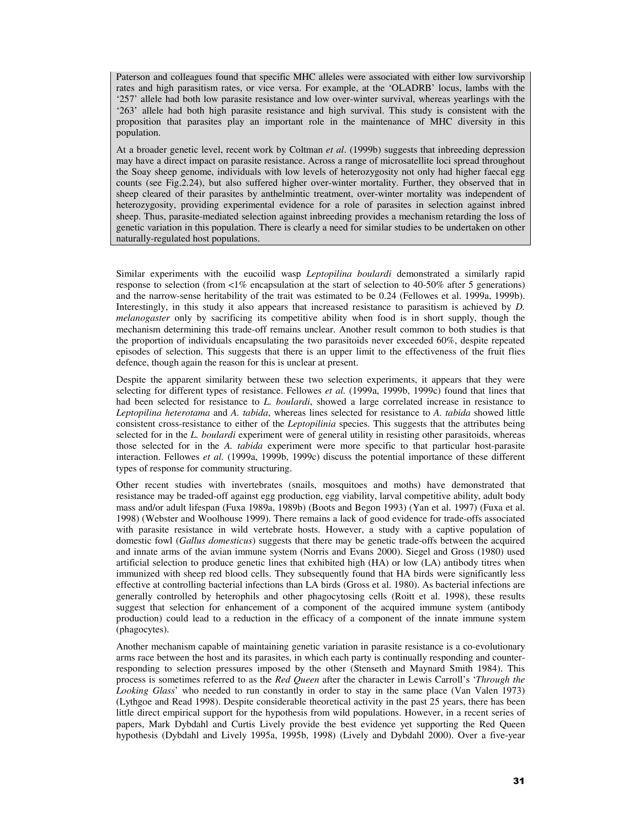Paterson and colleagues found that specific MHC alleles were associated with either low survivorship rates and high parasitism rates, or vice versa. For example, at the 'OLADRB' locus, lambs with the '257' allele had both low parasite resistance and low over-winter survival, whereas yearlings with the '263' allele had both high parasite resistance and high survival. This study is consistent with the proposition that parasites play an important role in the maintenance of MHC diversity in this population.

At a broader genetic level, recent work by Coltman *et al*. (1999b) suggests that inbreeding depression may have a direct impact on parasite resistance. Across a range of microsatellite loci spread throughout the Soay sheep genome, individuals with low levels of heterozygosity not only had higher faecal egg counts (see Fig.2.24), but also suffered higher over-winter mortality. Further, they observed that in sheep cleared of their parasites by anthelmintic treatment, over-winter mortality was independent of heterozygosity, providing experimental evidence for a role of parasites in selection against inbred sheep. Thus, parasite-mediated selection against inbreeding provides a mechanism retarding the loss of genetic variation in this population. There is clearly a need for similar studies to be undertaken on other naturally-regulated host populations.

Similar experiments with the eucoilid wasp *Leptopilina boulardi* demonstrated a similarly rapid response to selection (from <1% encapsulation at the start of selection to 40-50% after 5 generations) and the narrow-sense heritability of the trait was estimated to be 0.24 (Fellowes et al. 1999a, 1999b). Interestingly, in this study it also appears that increased resistance to parasitism is achieved by *D. melanogaster* only by sacrificing its competitive ability when food is in short supply, though the mechanism determining this trade-off remains unclear. Another result common to both studies is that the proportion of individuals encapsulating the two parasitoids never exceeded 60%, despite repeated episodes of selection. This suggests that there is an upper limit to the effectiveness of the fruit flies defence, though again the reason for this is unclear at present.

Despite the apparent similarity between these two selection experiments, it appears that they were selecting for different types of resistance. Fellowes *et al.* (1999a, 1999b, 1999c) found that lines that had been selected for resistance to *L. boulardi*, showed a large correlated increase in resistance to *Leptopilina heterotama* and *A. tabida*, whereas lines selected for resistance to *A. tabida* showed little consistent cross-resistance to either of the *Leptopilinia* species. This suggests that the attributes being selected for in the *L. boulardi* experiment were of general utility in resisting other parasitoids, whereas those selected for in the *A. tabida* experiment were more specific to that particular host-parasite interaction. Fellowes *et al.* (1999a, 1999b, 1999c) discuss the potential importance of these different types of response for community structuring.

Other recent studies with invertebrates (snails, mosquitoes and moths) have demonstrated that resistance may be traded-off against egg production, egg viability, larval competitive ability, adult body mass and/or adult lifespan (Fuxa 1989a, 1989b) (Boots and Begon 1993) (Yan et al. 1997) (Fuxa et al. 1998) (Webster and Woolhouse 1999). There remains a lack of good evidence for trade-offs associated with parasite resistance in wild vertebrate hosts. However, a study with a captive population of domestic fowl (*Gallus domesticus*) suggests that there may be genetic trade-offs between the acquired and innate arms of the avian immune system (Norris and Evans 2000). Siegel and Gross (1980) used artificial selection to produce genetic lines that exhibited high (HA) or low (LA) antibody titres when immunized with sheep red blood cells. They subsequently found that HA birds were significantly less effective at controlling bacterial infections than LA birds (Gross et al. 1980). As bacterial infections are generally controlled by heterophils and other phagocytosing cells (Roitt et al. 1998), these results suggest that selection for enhancement of a component of the acquired immune system (antibody production) could lead to a reduction in the efficacy of a component of the innate immune system (phagocytes).

Another mechanism capable of maintaining genetic variation in parasite resistance is a co-evolutionary arms race between the host and its parasites, in which each party is continually responding and counterresponding to selection pressures imposed by the other (Stenseth and Maynard Smith 1984). This process is sometimes referred to as the *Red Queen* after the character in Lewis Carroll's '*Through the Looking Glass*' who needed to run constantly in order to stay in the same place (Van Valen 1973) (Lythgoe and Read 1998). Despite considerable theoretical activity in the past 25 years, there has been little direct empirical support for the hypothesis from wild populations. However, in a recent series of papers, Mark Dybdahl and Curtis Lively provide the best evidence yet supporting the Red Queen hypothesis (Dybdahl and Lively 1995a, 1995b, 1998) (Lively and Dybdahl 2000). Over a five-year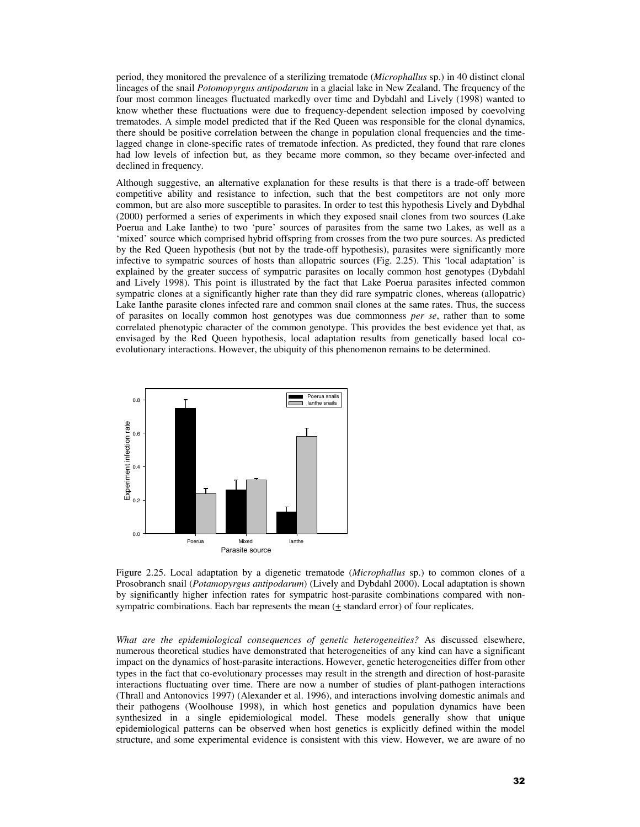period, they monitored the prevalence of a sterilizing trematode (*Microphallus* sp.) in 40 distinct clonal lineages of the snail *Potomopyrgus antipodarum* in a glacial lake in New Zealand. The frequency of the four most common lineages fluctuated markedly over time and Dybdahl and Lively (1998) wanted to know whether these fluctuations were due to frequency-dependent selection imposed by coevolving trematodes. A simple model predicted that if the Red Queen was responsible for the clonal dynamics, there should be positive correlation between the change in population clonal frequencies and the timelagged change in clone-specific rates of trematode infection. As predicted, they found that rare clones had low levels of infection but, as they became more common, so they became over-infected and declined in frequency.

Although suggestive, an alternative explanation for these results is that there is a trade-off between competitive ability and resistance to infection, such that the best competitors are not only more common, but are also more susceptible to parasites. In order to test this hypothesis Lively and Dybdhal (2000) performed a series of experiments in which they exposed snail clones from two sources (Lake Poerua and Lake Ianthe) to two 'pure' sources of parasites from the same two Lakes, as well as a 'mixed' source which comprised hybrid offspring from crosses from the two pure sources. As predicted by the Red Queen hypothesis (but not by the trade-off hypothesis), parasites were significantly more infective to sympatric sources of hosts than allopatric sources (Fig. 2.25). This 'local adaptation' is explained by the greater success of sympatric parasites on locally common host genotypes (Dybdahl and Lively 1998). This point is illustrated by the fact that Lake Poerua parasites infected common sympatric clones at a significantly higher rate than they did rare sympatric clones, whereas (allopatric) Lake Ianthe parasite clones infected rare and common snail clones at the same rates. Thus, the success of parasites on locally common host genotypes was due commonness *per se*, rather than to some correlated phenotypic character of the common genotype. This provides the best evidence yet that, as envisaged by the Red Queen hypothesis, local adaptation results from genetically based local coevolutionary interactions. However, the ubiquity of this phenomenon remains to be determined.



Figure 2.25. Local adaptation by a digenetic trematode (*Microphallus* sp.) to common clones of a Prosobranch snail (*Potamopyrgus antipodarum*) (Lively and Dybdahl 2000). Local adaptation is shown by significantly higher infection rates for sympatric host-parasite combinations compared with nonsympatric combinations. Each bar represents the mean (+ standard error) of four replicates.

*What are the epidemiological consequences of genetic heterogeneities?* As discussed elsewhere, numerous theoretical studies have demonstrated that heterogeneities of any kind can have a significant impact on the dynamics of host-parasite interactions. However, genetic heterogeneities differ from other types in the fact that co-evolutionary processes may result in the strength and direction of host-parasite interactions fluctuating over time. There are now a number of studies of plant-pathogen interactions (Thrall and Antonovics 1997) (Alexander et al. 1996), and interactions involving domestic animals and their pathogens (Woolhouse 1998), in which host genetics and population dynamics have been synthesized in a single epidemiological model. These models generally show that unique epidemiological patterns can be observed when host genetics is explicitly defined within the model structure, and some experimental evidence is consistent with this view. However, we are aware of no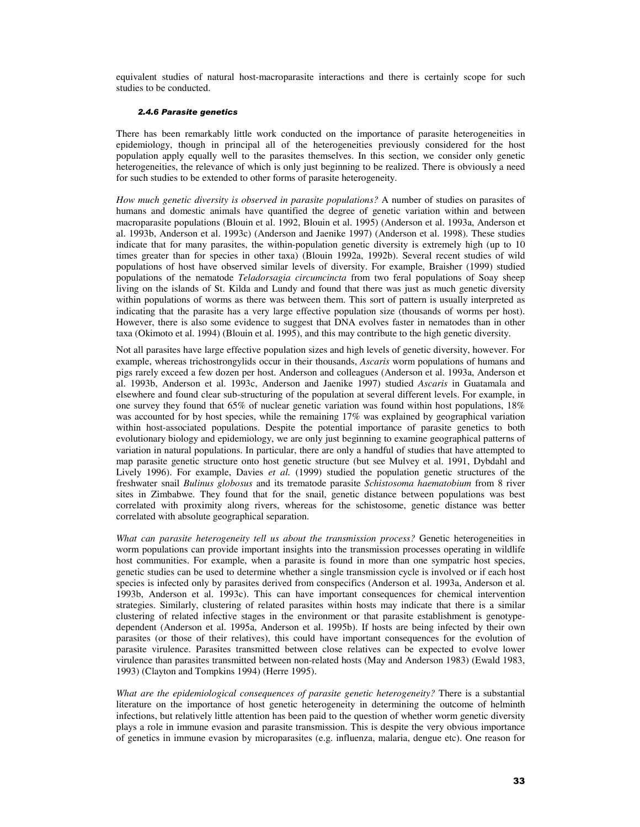equivalent studies of natural host-macroparasite interactions and there is certainly scope for such studies to be conducted.

#### *2.4.6 Parasite genetics*

There has been remarkably little work conducted on the importance of parasite heterogeneities in epidemiology, though in principal all of the heterogeneities previously considered for the host population apply equally well to the parasites themselves. In this section, we consider only genetic heterogeneities, the relevance of which is only just beginning to be realized. There is obviously a need for such studies to be extended to other forms of parasite heterogeneity.

*How much genetic diversity is observed in parasite populations?* A number of studies on parasites of humans and domestic animals have quantified the degree of genetic variation within and between macroparasite populations (Blouin et al. 1992, Blouin et al. 1995) (Anderson et al. 1993a, Anderson et al. 1993b, Anderson et al. 1993c) (Anderson and Jaenike 1997) (Anderson et al. 1998). These studies indicate that for many parasites, the within-population genetic diversity is extremely high (up to 10 times greater than for species in other taxa) (Blouin 1992a, 1992b). Several recent studies of wild populations of host have observed similar levels of diversity. For example, Braisher (1999) studied populations of the nematode *Teladorsagia circumcincta* from two feral populations of Soay sheep living on the islands of St. Kilda and Lundy and found that there was just as much genetic diversity within populations of worms as there was between them. This sort of pattern is usually interpreted as indicating that the parasite has a very large effective population size (thousands of worms per host). However, there is also some evidence to suggest that DNA evolves faster in nematodes than in other taxa (Okimoto et al. 1994) (Blouin et al. 1995), and this may contribute to the high genetic diversity.

Not all parasites have large effective population sizes and high levels of genetic diversity, however. For example, whereas trichostrongylids occur in their thousands, *Ascaris* worm populations of humans and pigs rarely exceed a few dozen per host. Anderson and colleagues (Anderson et al. 1993a, Anderson et al. 1993b, Anderson et al. 1993c, Anderson and Jaenike 1997) studied *Ascaris* in Guatamala and elsewhere and found clear sub-structuring of the population at several different levels. For example, in one survey they found that 65% of nuclear genetic variation was found within host populations, 18% was accounted for by host species, while the remaining 17% was explained by geographical variation within host-associated populations. Despite the potential importance of parasite genetics to both evolutionary biology and epidemiology, we are only just beginning to examine geographical patterns of variation in natural populations. In particular, there are only a handful of studies that have attempted to map parasite genetic structure onto host genetic structure (but see Mulvey et al. 1991, Dybdahl and Lively 1996). For example, Davies *et al.* (1999) studied the population genetic structures of the freshwater snail *Bulinus globosus* and its trematode parasite *Schistosoma haematobium* from 8 river sites in Zimbabwe. They found that for the snail, genetic distance between populations was best correlated with proximity along rivers, whereas for the schistosome, genetic distance was better correlated with absolute geographical separation.

*What can parasite heterogeneity tell us about the transmission process?* Genetic heterogeneities in worm populations can provide important insights into the transmission processes operating in wildlife host communities. For example, when a parasite is found in more than one sympatric host species, genetic studies can be used to determine whether a single transmission cycle is involved or if each host species is infected only by parasites derived from conspecifics (Anderson et al. 1993a, Anderson et al. 1993b, Anderson et al. 1993c). This can have important consequences for chemical intervention strategies. Similarly, clustering of related parasites within hosts may indicate that there is a similar clustering of related infective stages in the environment or that parasite establishment is genotypedependent (Anderson et al. 1995a, Anderson et al. 1995b). If hosts are being infected by their own parasites (or those of their relatives), this could have important consequences for the evolution of parasite virulence. Parasites transmitted between close relatives can be expected to evolve lower virulence than parasites transmitted between non-related hosts (May and Anderson 1983) (Ewald 1983, 1993) (Clayton and Tompkins 1994) (Herre 1995).

*What are the epidemiological consequences of parasite genetic heterogeneity?* There is a substantial literature on the importance of host genetic heterogeneity in determining the outcome of helminth infections, but relatively little attention has been paid to the question of whether worm genetic diversity plays a role in immune evasion and parasite transmission. This is despite the very obvious importance of genetics in immune evasion by microparasites (e.g. influenza, malaria, dengue etc). One reason for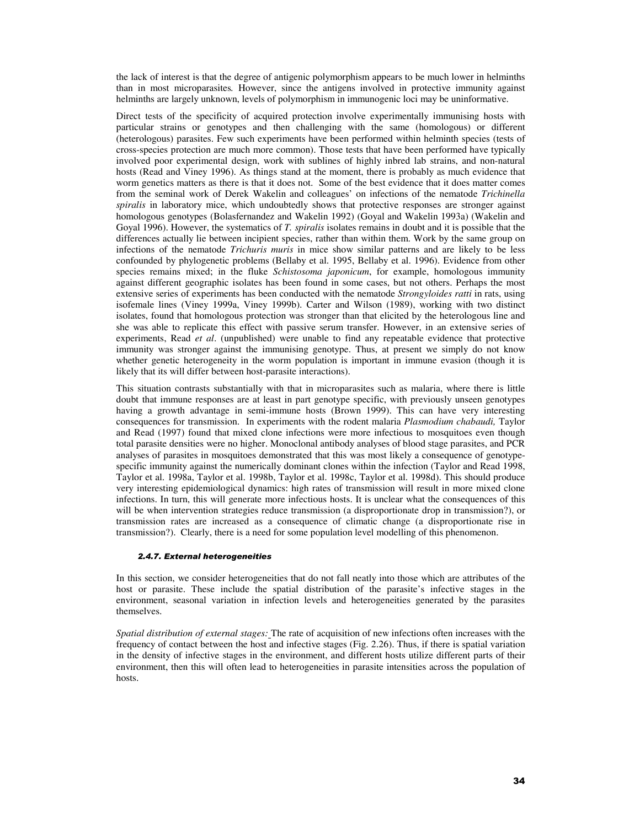the lack of interest is that the degree of antigenic polymorphism appears to be much lower in helminths than in most microparasites*.* However, since the antigens involved in protective immunity against helminths are largely unknown, levels of polymorphism in immunogenic loci may be uninformative.

Direct tests of the specificity of acquired protection involve experimentally immunising hosts with particular strains or genotypes and then challenging with the same (homologous) or different (heterologous) parasites. Few such experiments have been performed within helminth species (tests of cross-species protection are much more common). Those tests that have been performed have typically involved poor experimental design, work with sublines of highly inbred lab strains, and non-natural hosts (Read and Viney 1996). As things stand at the moment, there is probably as much evidence that worm genetics matters as there is that it does not. Some of the best evidence that it does matter comes from the seminal work of Derek Wakelin and colleagues' on infections of the nematode *Trichinella spiralis* in laboratory mice, which undoubtedly shows that protective responses are stronger against homologous genotypes (Bolasfernandez and Wakelin 1992) (Goyal and Wakelin 1993a) (Wakelin and Goyal 1996). However, the systematics of *T. spiralis* isolates remains in doubt and it is possible that the differences actually lie between incipient species, rather than within them. Work by the same group on infections of the nematode *Trichuris muris* in mice show similar patterns and are likely to be less confounded by phylogenetic problems (Bellaby et al. 1995, Bellaby et al. 1996). Evidence from other species remains mixed; in the fluke *Schistosoma japonicum*, for example, homologous immunity against different geographic isolates has been found in some cases, but not others. Perhaps the most extensive series of experiments has been conducted with the nematode *Strongyloides ratti* in rats, using isofemale lines (Viney 1999a, Viney 1999b). Carter and Wilson (1989), working with two distinct isolates, found that homologous protection was stronger than that elicited by the heterologous line and she was able to replicate this effect with passive serum transfer. However, in an extensive series of experiments, Read *et al*. (unpublished) were unable to find any repeatable evidence that protective immunity was stronger against the immunising genotype. Thus, at present we simply do not know whether genetic heterogeneity in the worm population is important in immune evasion (though it is likely that its will differ between host-parasite interactions).

This situation contrasts substantially with that in microparasites such as malaria, where there is little doubt that immune responses are at least in part genotype specific, with previously unseen genotypes having a growth advantage in semi-immune hosts (Brown 1999). This can have very interesting consequences for transmission. In experiments with the rodent malaria *Plasmodium chabaudi,* Taylor and Read (1997) found that mixed clone infections were more infectious to mosquitoes even though total parasite densities were no higher. Monoclonal antibody analyses of blood stage parasites, and PCR analyses of parasites in mosquitoes demonstrated that this was most likely a consequence of genotypespecific immunity against the numerically dominant clones within the infection (Taylor and Read 1998, Taylor et al. 1998a, Taylor et al. 1998b, Taylor et al. 1998c, Taylor et al. 1998d). This should produce very interesting epidemiological dynamics: high rates of transmission will result in more mixed clone infections. In turn, this will generate more infectious hosts. It is unclear what the consequences of this will be when intervention strategies reduce transmission (a disproportionate drop in transmission?), or transmission rates are increased as a consequence of climatic change (a disproportionate rise in transmission?). Clearly, there is a need for some population level modelling of this phenomenon.

#### *2.4.7. External heterogeneities*

In this section, we consider heterogeneities that do not fall neatly into those which are attributes of the host or parasite. These include the spatial distribution of the parasite's infective stages in the environment, seasonal variation in infection levels and heterogeneities generated by the parasites themselves.

*Spatial distribution of external stages:* The rate of acquisition of new infections often increases with the frequency of contact between the host and infective stages (Fig. 2.26). Thus, if there is spatial variation in the density of infective stages in the environment, and different hosts utilize different parts of their environment, then this will often lead to heterogeneities in parasite intensities across the population of hosts.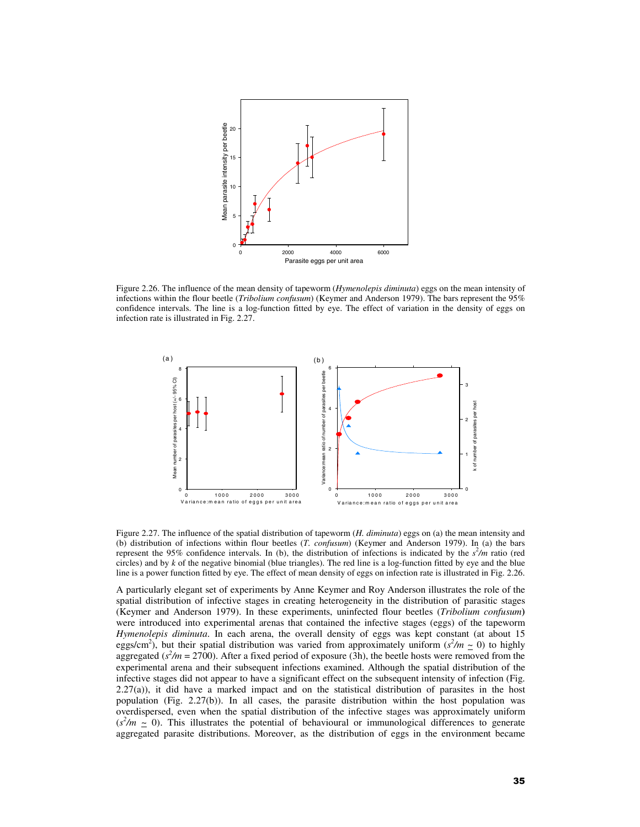

Figure 2.26. The influence of the mean density of tapeworm (*Hymenolepis diminuta*) eggs on the mean intensity of infections within the flour beetle (*Tribolium confusum*) (Keymer and Anderson 1979). The bars represent the 95% confidence intervals. The line is a log-function fitted by eye. The effect of variation in the density of eggs on infection rate is illustrated in Fig. 2.27.



Figure 2.27. The influence of the spatial distribution of tapeworm (*H. diminuta*) eggs on (a) the mean intensity and (b) distribution of infections within flour beetles (*T. confusum*) (Keymer and Anderson 1979). In (a) the bars represent the 95% confidence intervals. In (b), the distribution of infections is indicated by the  $s<sup>2</sup>/m$  ratio (red circles) and by *k* of the negative binomial (blue triangles). The red line is a log-function fitted by eye and the blue line is a power function fitted by eye. The effect of mean density of eggs on infection rate is illustrated in Fig. 2.26.

A particularly elegant set of experiments by Anne Keymer and Roy Anderson illustrates the role of the spatial distribution of infective stages in creating heterogeneity in the distribution of parasitic stages (Keymer and Anderson 1979). In these experiments, uninfected flour beetles (*Tribolium confusum***)** were introduced into experimental arenas that contained the infective stages (eggs) of the tapeworm *Hymenolepis diminuta*. In each arena, the overall density of eggs was kept constant (at about 15 eggs/cm<sup>2</sup>), but their spatial distribution was varied from approximately uniform ( $s^2/m \simeq 0$ ) to highly aggregated ( $s^2/m = 2700$ ). After a fixed period of exposure (3h), the beetle hosts were removed from the experimental arena and their subsequent infections examined. Although the spatial distribution of the infective stages did not appear to have a significant effect on the subsequent intensity of infection (Fig. 2.27(a)), it did have a marked impact and on the statistical distribution of parasites in the host population (Fig. 2.27(b)). In all cases, the parasite distribution within the host population was overdispersed, even when the spatial distribution of the infective stages was approximately uniform  $(s<sup>2</sup>/m \sim 0)$ . This illustrates the potential of behavioural or immunological differences to generate aggregated parasite distributions. Moreover, as the distribution of eggs in the environment became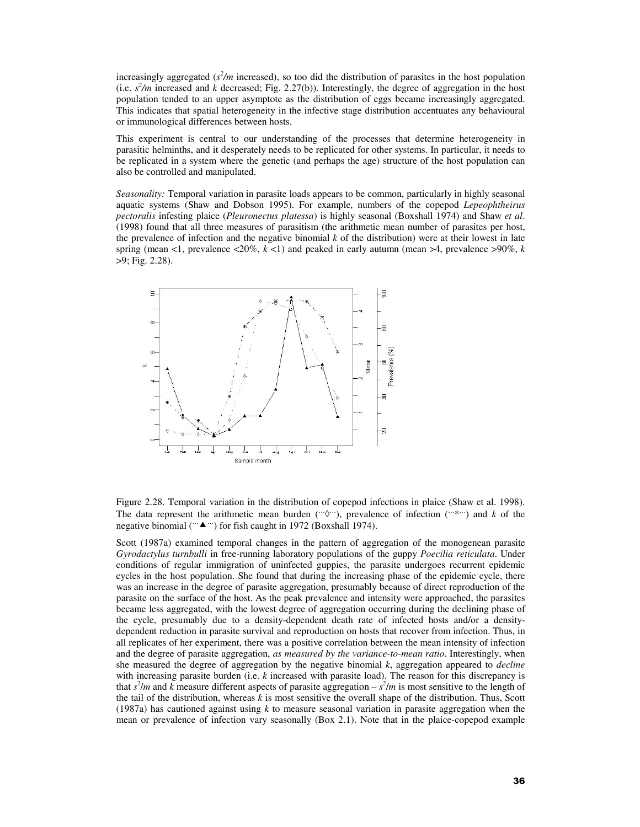increasingly aggregated ( $s^2/m$  increased), so too did the distribution of parasites in the host population (i.e.  $s^2/m$  increased and *k* decreased; Fig. 2.27(b)). Interestingly, the degree of aggregation in the host population tended to an upper asymptote as the distribution of eggs became increasingly aggregated. This indicates that spatial heterogeneity in the infective stage distribution accentuates any behavioural or immunological differences between hosts.

This experiment is central to our understanding of the processes that determine heterogeneity in parasitic helminths, and it desperately needs to be replicated for other systems. In particular, it needs to be replicated in a system where the genetic (and perhaps the age) structure of the host population can also be controlled and manipulated.

*Seasonality:* Temporal variation in parasite loads appears to be common, particularly in highly seasonal aquatic systems (Shaw and Dobson 1995). For example, numbers of the copepod *Lepeophtheirus pectoralis* infesting plaice (*Pleuronectus platessa*) is highly seasonal (Boxshall 1974) and Shaw *et al*. (1998) found that all three measures of parasitism (the arithmetic mean number of parasites per host, the prevalence of infection and the negative binomial *k* of the distribution) were at their lowest in late spring (mean <1, prevalence  $\langle 20\%, k \times 1 \rangle$  and peaked in early autumn (mean >4, prevalence >90%, *k* >9; Fig. 2.28).



Figure 2.28. Temporal variation in the distribution of copepod infections in plaice (Shaw et al. 1998). The data represent the arithmetic mean burden (… $\Diamond$ …), prevalence of infection (…\*…) and *k* of the negative binomial ( $\rightarrow$   $\rightarrow$   $\rightarrow$ ) for fish caught in 1972 (Boxshall 1974).

Scott (1987a) examined temporal changes in the pattern of aggregation of the monogenean parasite *Gyrodactylus turnbulli* in free-running laboratory populations of the guppy *Poecilia reticulata*. Under conditions of regular immigration of uninfected guppies, the parasite undergoes recurrent epidemic cycles in the host population. She found that during the increasing phase of the epidemic cycle, there was an increase in the degree of parasite aggregation, presumably because of direct reproduction of the parasite on the surface of the host. As the peak prevalence and intensity were approached, the parasites became less aggregated, with the lowest degree of aggregation occurring during the declining phase of the cycle, presumably due to a density-dependent death rate of infected hosts and/or a densitydependent reduction in parasite survival and reproduction on hosts that recover from infection. Thus, in all replicates of her experiment, there was a positive correlation between the mean intensity of infection and the degree of parasite aggregation, *as measured by the variance-to-mean ratio*. Interestingly, when she measured the degree of aggregation by the negative binomial *k*, aggregation appeared to *decline* with increasing parasite burden (i.e. *k* increased with parasite load). The reason for this discrepancy is that  $s^2/m$  and *k* measure different aspects of parasite aggregation –  $s^2/m$  is most sensitive to the length of the tail of the distribution, whereas *k* is most sensitive the overall shape of the distribution. Thus, Scott (1987a) has cautioned against using *k* to measure seasonal variation in parasite aggregation when the mean or prevalence of infection vary seasonally (Box 2.1). Note that in the plaice-copepod example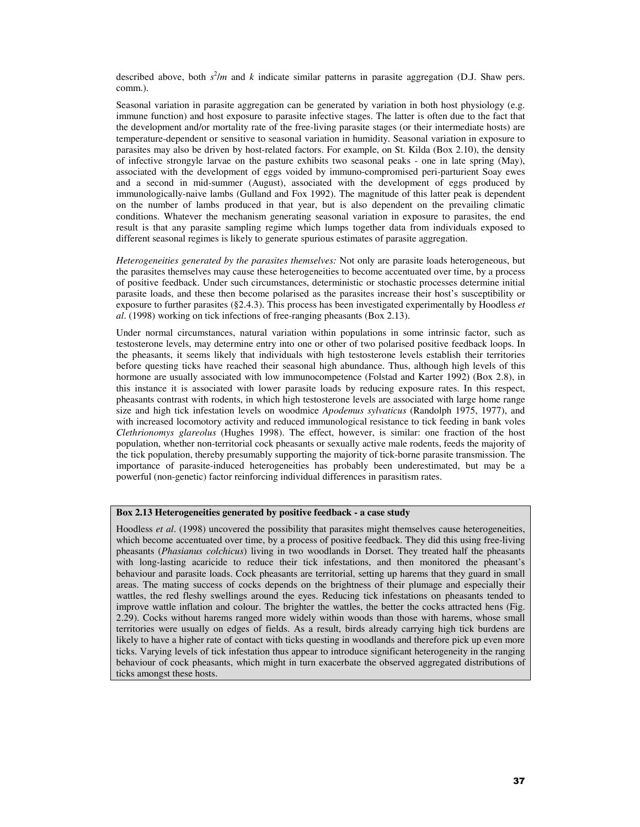described above, both  $s^2/m$  and *k* indicate similar patterns in parasite aggregation (D.J. Shaw pers. comm.).

Seasonal variation in parasite aggregation can be generated by variation in both host physiology (e.g. immune function) and host exposure to parasite infective stages. The latter is often due to the fact that the development and/or mortality rate of the free-living parasite stages (or their intermediate hosts) are temperature-dependent or sensitive to seasonal variation in humidity. Seasonal variation in exposure to parasites may also be driven by host-related factors. For example, on St. Kilda (Box 2.10), the density of infective strongyle larvae on the pasture exhibits two seasonal peaks - one in late spring (May), associated with the development of eggs voided by immuno-compromised peri-parturient Soay ewes and a second in mid-summer (August), associated with the development of eggs produced by immunologically-naive lambs (Gulland and Fox 1992). The magnitude of this latter peak is dependent on the number of lambs produced in that year, but is also dependent on the prevailing climatic conditions. Whatever the mechanism generating seasonal variation in exposure to parasites, the end result is that any parasite sampling regime which lumps together data from individuals exposed to different seasonal regimes is likely to generate spurious estimates of parasite aggregation.

*Heterogeneities generated by the parasites themselves:* Not only are parasite loads heterogeneous, but the parasites themselves may cause these heterogeneities to become accentuated over time, by a process of positive feedback. Under such circumstances, deterministic or stochastic processes determine initial parasite loads, and these then become polarised as the parasites increase their host's susceptibility or exposure to further parasites (§2.4.3). This process has been investigated experimentally by Hoodless *et al*. (1998) working on tick infections of free-ranging pheasants (Box 2.13).

Under normal circumstances, natural variation within populations in some intrinsic factor, such as testosterone levels, may determine entry into one or other of two polarised positive feedback loops. In the pheasants, it seems likely that individuals with high testosterone levels establish their territories before questing ticks have reached their seasonal high abundance. Thus, although high levels of this hormone are usually associated with low immunocompetence (Folstad and Karter 1992) (Box 2.8), in this instance it is associated with lower parasite loads by reducing exposure rates. In this respect, pheasants contrast with rodents, in which high testosterone levels are associated with large home range size and high tick infestation levels on woodmice *Apodemus sylvaticus* (Randolph 1975, 1977), and with increased locomotory activity and reduced immunological resistance to tick feeding in bank voles *Clethrionomys glareolus* (Hughes 1998). The effect, however, is similar: one fraction of the host population, whether non-territorial cock pheasants or sexually active male rodents, feeds the majority of the tick population, thereby presumably supporting the majority of tick-borne parasite transmission. The importance of parasite-induced heterogeneities has probably been underestimated, but may be a powerful (non-genetic) factor reinforcing individual differences in parasitism rates.

# **Box 2.13 Heterogeneities generated by positive feedback - a case study**

Hoodless *et al*. (1998) uncovered the possibility that parasites might themselves cause heterogeneities, which become accentuated over time, by a process of positive feedback. They did this using free-living pheasants (*Phasianus colchicus*) living in two woodlands in Dorset. They treated half the pheasants with long-lasting acaricide to reduce their tick infestations, and then monitored the pheasant's behaviour and parasite loads. Cock pheasants are territorial, setting up harems that they guard in small areas. The mating success of cocks depends on the brightness of their plumage and especially their wattles, the red fleshy swellings around the eyes. Reducing tick infestations on pheasants tended to improve wattle inflation and colour. The brighter the wattles, the better the cocks attracted hens (Fig. 2.29). Cocks without harems ranged more widely within woods than those with harems, whose small territories were usually on edges of fields. As a result, birds already carrying high tick burdens are likely to have a higher rate of contact with ticks questing in woodlands and therefore pick up even more ticks. Varying levels of tick infestation thus appear to introduce significant heterogeneity in the ranging behaviour of cock pheasants, which might in turn exacerbate the observed aggregated distributions of ticks amongst these hosts.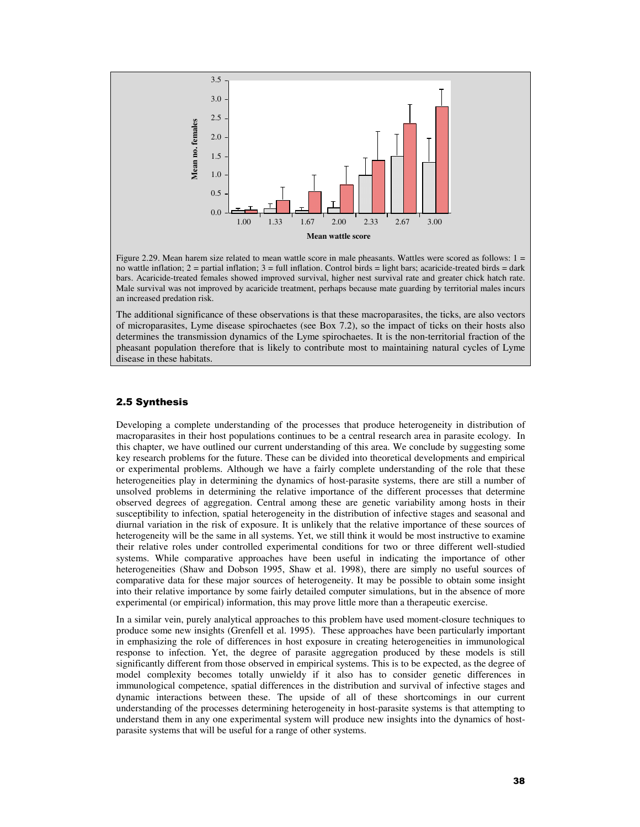

Figure 2.29. Mean harem size related to mean wattle score in male pheasants. Wattles were scored as follows: 1 = no wattle inflation;  $2 =$  partial inflation;  $3 =$  full inflation. Control birds = light bars; acaricide-treated birds = dark bars. Acaricide-treated females showed improved survival, higher nest survival rate and greater chick hatch rate. Male survival was not improved by acaricide treatment, perhaps because mate guarding by territorial males incurs an increased predation risk.

The additional significance of these observations is that these macroparasites, the ticks, are also vectors of microparasites, Lyme disease spirochaetes (see Box 7.2), so the impact of ticks on their hosts also determines the transmission dynamics of the Lyme spirochaetes. It is the non-territorial fraction of the pheasant population therefore that is likely to contribute most to maintaining natural cycles of Lyme disease in these habitats.

# 2.5 Synthesis

Developing a complete understanding of the processes that produce heterogeneity in distribution of macroparasites in their host populations continues to be a central research area in parasite ecology. In this chapter, we have outlined our current understanding of this area. We conclude by suggesting some key research problems for the future. These can be divided into theoretical developments and empirical or experimental problems. Although we have a fairly complete understanding of the role that these heterogeneities play in determining the dynamics of host-parasite systems, there are still a number of unsolved problems in determining the relative importance of the different processes that determine observed degrees of aggregation. Central among these are genetic variability among hosts in their susceptibility to infection, spatial heterogeneity in the distribution of infective stages and seasonal and diurnal variation in the risk of exposure. It is unlikely that the relative importance of these sources of heterogeneity will be the same in all systems. Yet, we still think it would be most instructive to examine their relative roles under controlled experimental conditions for two or three different well-studied systems. While comparative approaches have been useful in indicating the importance of other heterogeneities (Shaw and Dobson 1995, Shaw et al. 1998), there are simply no useful sources of comparative data for these major sources of heterogeneity. It may be possible to obtain some insight into their relative importance by some fairly detailed computer simulations, but in the absence of more experimental (or empirical) information, this may prove little more than a therapeutic exercise.

In a similar vein, purely analytical approaches to this problem have used moment-closure techniques to produce some new insights (Grenfell et al. 1995). These approaches have been particularly important in emphasizing the role of differences in host exposure in creating heterogeneities in immunological response to infection. Yet, the degree of parasite aggregation produced by these models is still significantly different from those observed in empirical systems. This is to be expected, as the degree of model complexity becomes totally unwieldy if it also has to consider genetic differences in immunological competence, spatial differences in the distribution and survival of infective stages and dynamic interactions between these. The upside of all of these shortcomings in our current understanding of the processes determining heterogeneity in host-parasite systems is that attempting to understand them in any one experimental system will produce new insights into the dynamics of hostparasite systems that will be useful for a range of other systems.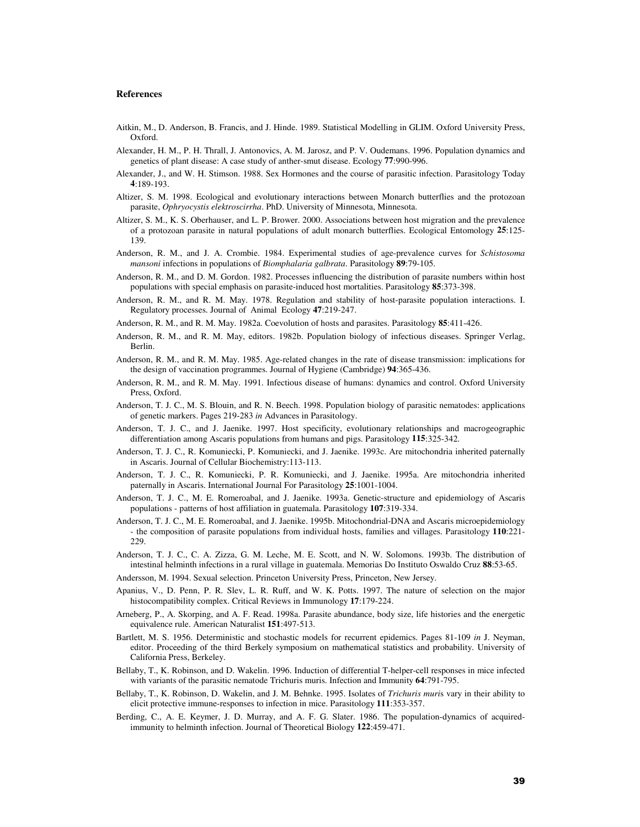### **References**

- Aitkin, M., D. Anderson, B. Francis, and J. Hinde. 1989. Statistical Modelling in GLIM. Oxford University Press, Oxford.
- Alexander, H. M., P. H. Thrall, J. Antonovics, A. M. Jarosz, and P. V. Oudemans. 1996. Population dynamics and genetics of plant disease: A case study of anther-smut disease. Ecology **77**:990-996.
- Alexander, J., and W. H. Stimson. 1988. Sex Hormones and the course of parasitic infection. Parasitology Today **4**:189-193.
- Altizer, S. M. 1998. Ecological and evolutionary interactions between Monarch butterflies and the protozoan parasite, *Ophryocystis elektroscirrha*. PhD. University of Minnesota, Minnesota.
- Altizer, S. M., K. S. Oberhauser, and L. P. Brower. 2000. Associations between host migration and the prevalence of a protozoan parasite in natural populations of adult monarch butterflies. Ecological Entomology **25**:125- 139.
- Anderson, R. M., and J. A. Crombie. 1984. Experimental studies of age-prevalence curves for *Schistosoma mansoni* infections in populations of *Biomphalaria galbrata*. Parasitology **89**:79-105.
- Anderson, R. M., and D. M. Gordon. 1982. Processes influencing the distribution of parasite numbers within host populations with special emphasis on parasite-induced host mortalities. Parasitology **85**:373-398.
- Anderson, R. M., and R. M. May. 1978. Regulation and stability of host-parasite population interactions. I. Regulatory processes. Journal of Animal Ecology **47**:219-247.
- Anderson, R. M., and R. M. May. 1982a. Coevolution of hosts and parasites. Parasitology **85**:411-426.
- Anderson, R. M., and R. M. May, editors. 1982b. Population biology of infectious diseases. Springer Verlag, Berlin.
- Anderson, R. M., and R. M. May. 1985. Age-related changes in the rate of disease transmission: implications for the design of vaccination programmes. Journal of Hygiene (Cambridge) **94**:365-436.
- Anderson, R. M., and R. M. May. 1991. Infectious disease of humans: dynamics and control. Oxford University Press, Oxford.
- Anderson, T. J. C., M. S. Blouin, and R. N. Beech. 1998. Population biology of parasitic nematodes: applications of genetic markers. Pages 219-283 *in* Advances in Parasitology.
- Anderson, T. J. C., and J. Jaenike. 1997. Host specificity, evolutionary relationships and macrogeographic differentiation among Ascaris populations from humans and pigs. Parasitology **115**:325-342.
- Anderson, T. J. C., R. Komuniecki, P. Komuniecki, and J. Jaenike. 1993c. Are mitochondria inherited paternally in Ascaris. Journal of Cellular Biochemistry:113-113.
- Anderson, T. J. C., R. Komuniecki, P. R. Komuniecki, and J. Jaenike. 1995a. Are mitochondria inherited paternally in Ascaris. International Journal For Parasitology **25**:1001-1004.
- Anderson, T. J. C., M. E. Romeroabal, and J. Jaenike. 1993a. Genetic-structure and epidemiology of Ascaris populations - patterns of host affiliation in guatemala. Parasitology **107**:319-334.
- Anderson, T. J. C., M. E. Romeroabal, and J. Jaenike. 1995b. Mitochondrial-DNA and Ascaris microepidemiology - the composition of parasite populations from individual hosts, families and villages. Parasitology **110**:221- 229.
- Anderson, T. J. C., C. A. Zizza, G. M. Leche, M. E. Scott, and N. W. Solomons. 1993b. The distribution of intestinal helminth infections in a rural village in guatemala. Memorias Do Instituto Oswaldo Cruz **88**:53-65.
- Andersson, M. 1994. Sexual selection. Princeton University Press, Princeton, New Jersey.
- Apanius, V., D. Penn, P. R. Slev, L. R. Ruff, and W. K. Potts. 1997. The nature of selection on the major histocompatibility complex. Critical Reviews in Immunology **17**:179-224.
- Arneberg, P., A. Skorping, and A. F. Read. 1998a. Parasite abundance, body size, life histories and the energetic equivalence rule. American Naturalist **151**:497-513.
- Bartlett, M. S. 1956. Deterministic and stochastic models for recurrent epidemics. Pages 81-109 *in* J. Neyman, editor. Proceeding of the third Berkely symposium on mathematical statistics and probability. University of California Press, Berkeley.
- Bellaby, T., K. Robinson, and D. Wakelin. 1996. Induction of differential T-helper-cell responses in mice infected with variants of the parasitic nematode Trichuris muris. Infection and Immunity **64**:791-795.
- Bellaby, T., K. Robinson, D. Wakelin, and J. M. Behnke. 1995. Isolates of *Trichuris muri*s vary in their ability to elicit protective immune-responses to infection in mice. Parasitology **111**:353-357.
- Berding, C., A. E. Keymer, J. D. Murray, and A. F. G. Slater. 1986. The population-dynamics of acquiredimmunity to helminth infection. Journal of Theoretical Biology **122**:459-471.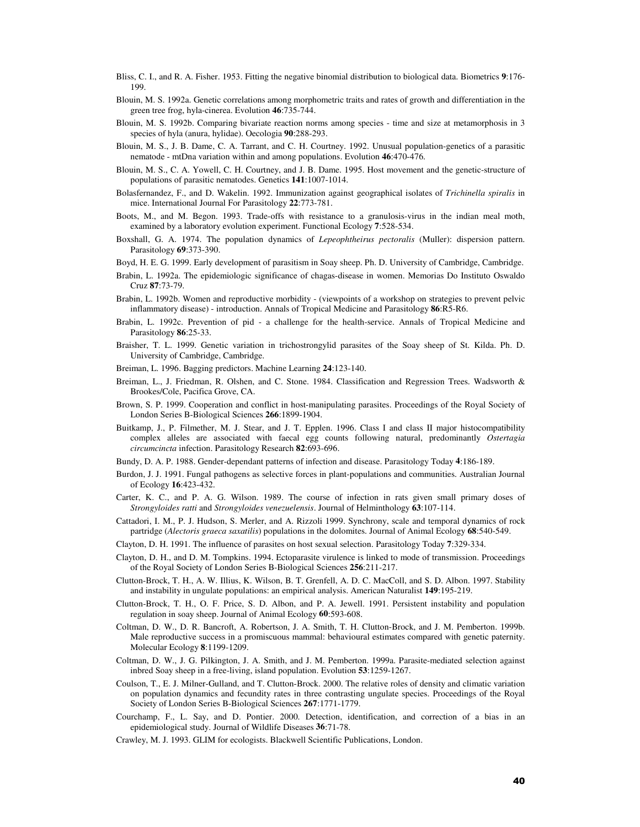- Bliss, C. I., and R. A. Fisher. 1953. Fitting the negative binomial distribution to biological data. Biometrics **9**:176- 199.
- Blouin, M. S. 1992a. Genetic correlations among morphometric traits and rates of growth and differentiation in the green tree frog, hyla-cinerea. Evolution **46**:735-744.
- Blouin, M. S. 1992b. Comparing bivariate reaction norms among species time and size at metamorphosis in 3 species of hyla (anura, hylidae). Oecologia **90**:288-293.
- Blouin, M. S., J. B. Dame, C. A. Tarrant, and C. H. Courtney. 1992. Unusual population-genetics of a parasitic nematode - mtDna variation within and among populations. Evolution **46**:470-476.
- Blouin, M. S., C. A. Yowell, C. H. Courtney, and J. B. Dame. 1995. Host movement and the genetic-structure of populations of parasitic nematodes. Genetics **141**:1007-1014.
- Bolasfernandez, F., and D. Wakelin. 1992. Immunization against geographical isolates of *Trichinella spiralis* in mice. International Journal For Parasitology **22**:773-781.
- Boots, M., and M. Begon. 1993. Trade-offs with resistance to a granulosis-virus in the indian meal moth, examined by a laboratory evolution experiment. Functional Ecology **7**:528-534.
- Boxshall, G. A. 1974. The population dynamics of *Lepeophtheirus pectoralis* (Muller): dispersion pattern. Parasitology **69**:373-390.
- Boyd, H. E. G. 1999. Early development of parasitism in Soay sheep. Ph. D. University of Cambridge, Cambridge.
- Brabin, L. 1992a. The epidemiologic significance of chagas-disease in women. Memorias Do Instituto Oswaldo Cruz **87**:73-79.
- Brabin, L. 1992b. Women and reproductive morbidity (viewpoints of a workshop on strategies to prevent pelvic inflammatory disease) - introduction. Annals of Tropical Medicine and Parasitology **86**:R5-R6.
- Brabin, L. 1992c. Prevention of pid a challenge for the health-service. Annals of Tropical Medicine and Parasitology **86**:25-33.
- Braisher, T. L. 1999. Genetic variation in trichostrongylid parasites of the Soay sheep of St. Kilda. Ph. D. University of Cambridge, Cambridge.
- Breiman, L. 1996. Bagging predictors. Machine Learning **24**:123-140.
- Breiman, L., J. Friedman, R. Olshen, and C. Stone. 1984. Classification and Regression Trees. Wadsworth & Brookes/Cole, Pacifica Grove, CA.
- Brown, S. P. 1999. Cooperation and conflict in host-manipulating parasites. Proceedings of the Royal Society of London Series B-Biological Sciences **266**:1899-1904.
- Buitkamp, J., P. Filmether, M. J. Stear, and J. T. Epplen. 1996. Class I and class II major histocompatibility complex alleles are associated with faecal egg counts following natural, predominantly *Ostertagia circumcincta* infection. Parasitology Research **82**:693-696.
- Bundy, D. A. P. 1988. Gender-dependant patterns of infection and disease. Parasitology Today **4**:186-189.
- Burdon, J. J. 1991. Fungal pathogens as selective forces in plant-populations and communities. Australian Journal of Ecology **16**:423-432.
- Carter, K. C., and P. A. G. Wilson. 1989. The course of infection in rats given small primary doses of *Strongyloides ratti* and *Strongyloides venezuelensis*. Journal of Helminthology **63**:107-114.
- Cattadori, I. M., P. J. Hudson, S. Merler, and A. Rizzoli 1999. Synchrony, scale and temporal dynamics of rock partridge (*Alectoris graeca saxatilis*) populations in the dolomites. Journal of Animal Ecology **68**:540-549.
- Clayton, D. H. 1991. The influence of parasites on host sexual selection. Parasitology Today **7**:329-334.
- Clayton, D. H., and D. M. Tompkins. 1994. Ectoparasite virulence is linked to mode of transmission. Proceedings of the Royal Society of London Series B-Biological Sciences **256**:211-217.
- Clutton-Brock, T. H., A. W. Illius, K. Wilson, B. T. Grenfell, A. D. C. MacColl, and S. D. Albon. 1997. Stability and instability in ungulate populations: an empirical analysis. American Naturalist **149**:195-219.
- Clutton-Brock, T. H., O. F. Price, S. D. Albon, and P. A. Jewell. 1991. Persistent instability and population regulation in soay sheep. Journal of Animal Ecology **60**:593-608.
- Coltman, D. W., D. R. Bancroft, A. Robertson, J. A. Smith, T. H. Clutton-Brock, and J. M. Pemberton. 1999b. Male reproductive success in a promiscuous mammal: behavioural estimates compared with genetic paternity. Molecular Ecology **8**:1199-1209.
- Coltman, D. W., J. G. Pilkington, J. A. Smith, and J. M. Pemberton. 1999a. Parasite-mediated selection against inbred Soay sheep in a free-living, island population. Evolution **53**:1259-1267.
- Coulson, T., E. J. Milner-Gulland, and T. Clutton-Brock. 2000. The relative roles of density and climatic variation on population dynamics and fecundity rates in three contrasting ungulate species. Proceedings of the Royal Society of London Series B-Biological Sciences **267**:1771-1779.
- Courchamp, F., L. Say, and D. Pontier. 2000. Detection, identification, and correction of a bias in an epidemiological study. Journal of Wildlife Diseases **36**:71-78.
- Crawley, M. J. 1993. GLIM for ecologists. Blackwell Scientific Publications, London.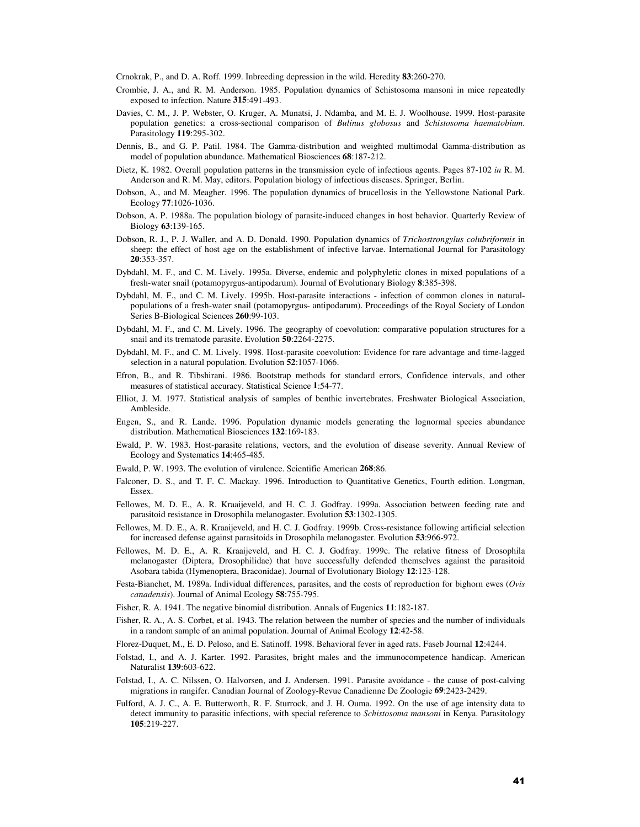Crnokrak, P., and D. A. Roff. 1999. Inbreeding depression in the wild. Heredity **83**:260-270.

- Crombie, J. A., and R. M. Anderson. 1985. Population dynamics of Schistosoma mansoni in mice repeatedly exposed to infection. Nature **315**:491-493.
- Davies, C. M., J. P. Webster, O. Kruger, A. Munatsi, J. Ndamba, and M. E. J. Woolhouse. 1999. Host-parasite population genetics: a cross-sectional comparison of *Bulinus globosus* and *Schistosoma haematobium*. Parasitology **119**:295-302.
- Dennis, B., and G. P. Patil. 1984. The Gamma-distribution and weighted multimodal Gamma-distribution as model of population abundance. Mathematical Biosciences **68**:187-212.
- Dietz, K. 1982. Overall population patterns in the transmission cycle of infectious agents. Pages 87-102 *in* R. M. Anderson and R. M. May, editors. Population biology of infectious diseases. Springer, Berlin.
- Dobson, A., and M. Meagher. 1996. The population dynamics of brucellosis in the Yellowstone National Park. Ecology **77**:1026-1036.
- Dobson, A. P. 1988a. The population biology of parasite-induced changes in host behavior. Quarterly Review of Biology **63**:139-165.
- Dobson, R. J., P. J. Waller, and A. D. Donald. 1990. Population dynamics of *Trichostrongylus colubriformis* in sheep: the effect of host age on the establishment of infective larvae. International Journal for Parasitology **20**:353-357.
- Dybdahl, M. F., and C. M. Lively. 1995a. Diverse, endemic and polyphyletic clones in mixed populations of a fresh-water snail (potamopyrgus-antipodarum). Journal of Evolutionary Biology **8**:385-398.
- Dybdahl, M. F., and C. M. Lively. 1995b. Host-parasite interactions infection of common clones in naturalpopulations of a fresh-water snail (potamopyrgus- antipodarum). Proceedings of the Royal Society of London Series B-Biological Sciences **260**:99-103.
- Dybdahl, M. F., and C. M. Lively. 1996. The geography of coevolution: comparative population structures for a snail and its trematode parasite. Evolution **50**:2264-2275.
- Dybdahl, M. F., and C. M. Lively. 1998. Host-parasite coevolution: Evidence for rare advantage and time-lagged selection in a natural population. Evolution **52**:1057-1066.
- Efron, B., and R. Tibshirani. 1986. Bootstrap methods for standard errors, Confidence intervals, and other measures of statistical accuracy. Statistical Science **1**:54-77.
- Elliot, J. M. 1977. Statistical analysis of samples of benthic invertebrates. Freshwater Biological Association, Ambleside.
- Engen, S., and R. Lande. 1996. Population dynamic models generating the lognormal species abundance distribution. Mathematical Biosciences **132**:169-183.
- Ewald, P. W. 1983. Host-parasite relations, vectors, and the evolution of disease severity. Annual Review of Ecology and Systematics **14**:465-485.
- Ewald, P. W. 1993. The evolution of virulence. Scientific American **268**:86.
- Falconer, D. S., and T. F. C. Mackay. 1996. Introduction to Quantitative Genetics, Fourth edition. Longman, Essex.
- Fellowes, M. D. E., A. R. Kraaijeveld, and H. C. J. Godfray. 1999a. Association between feeding rate and parasitoid resistance in Drosophila melanogaster. Evolution **53**:1302-1305.
- Fellowes, M. D. E., A. R. Kraaijeveld, and H. C. J. Godfray. 1999b. Cross-resistance following artificial selection for increased defense against parasitoids in Drosophila melanogaster. Evolution **53**:966-972.
- Fellowes, M. D. E., A. R. Kraaijeveld, and H. C. J. Godfray. 1999c. The relative fitness of Drosophila melanogaster (Diptera, Drosophilidae) that have successfully defended themselves against the parasitoid Asobara tabida (Hymenoptera, Braconidae). Journal of Evolutionary Biology **12**:123-128.
- Festa-Bianchet, M. 1989a. Individual differences, parasites, and the costs of reproduction for bighorn ewes (*Ovis canadensis*). Journal of Animal Ecology **58**:755-795.
- Fisher, R. A. 1941. The negative binomial distribution. Annals of Eugenics **11**:182-187.
- Fisher, R. A., A. S. Corbet, et al. 1943. The relation between the number of species and the number of individuals in a random sample of an animal population. Journal of Animal Ecology **12**:42-58.
- Florez-Duquet, M., E. D. Peloso, and E. Satinoff. 1998. Behavioral fever in aged rats. Faseb Journal **12**:4244.
- Folstad, I., and A. J. Karter. 1992. Parasites, bright males and the immunocompetence handicap. American Naturalist **139**:603-622.
- Folstad, I., A. C. Nilssen, O. Halvorsen, and J. Andersen. 1991. Parasite avoidance the cause of post-calving migrations in rangifer. Canadian Journal of Zoology-Revue Canadienne De Zoologie **69**:2423-2429.
- Fulford, A. J. C., A. E. Butterworth, R. F. Sturrock, and J. H. Ouma. 1992. On the use of age intensity data to detect immunity to parasitic infections, with special reference to *Schistosoma mansoni* in Kenya. Parasitology **105**:219-227.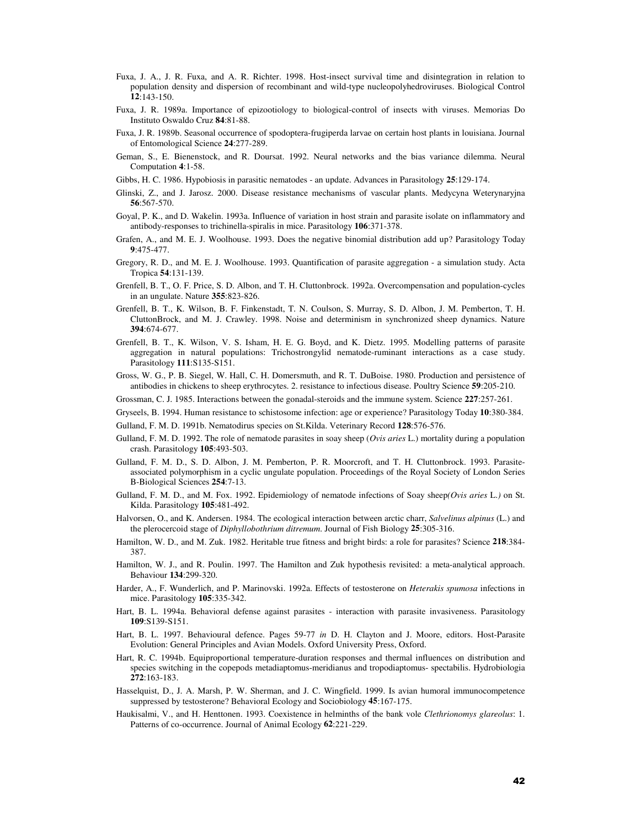- Fuxa, J. A., J. R. Fuxa, and A. R. Richter. 1998. Host-insect survival time and disintegration in relation to population density and dispersion of recombinant and wild-type nucleopolyhedroviruses. Biological Control **12**:143-150.
- Fuxa, J. R. 1989a. Importance of epizootiology to biological-control of insects with viruses. Memorias Do Instituto Oswaldo Cruz **84**:81-88.
- Fuxa, J. R. 1989b. Seasonal occurrence of spodoptera-frugiperda larvae on certain host plants in louisiana. Journal of Entomological Science **24**:277-289.
- Geman, S., E. Bienenstock, and R. Doursat. 1992. Neural networks and the bias variance dilemma. Neural Computation **4**:1-58.
- Gibbs, H. C. 1986. Hypobiosis in parasitic nematodes an update. Advances in Parasitology **25**:129-174.
- Glinski, Z., and J. Jarosz. 2000. Disease resistance mechanisms of vascular plants. Medycyna Weterynaryjna **56**:567-570.
- Goyal, P. K., and D. Wakelin. 1993a. Influence of variation in host strain and parasite isolate on inflammatory and antibody-responses to trichinella-spiralis in mice. Parasitology **106**:371-378.
- Grafen, A., and M. E. J. Woolhouse. 1993. Does the negative binomial distribution add up? Parasitology Today **9**:475-477.
- Gregory, R. D., and M. E. J. Woolhouse. 1993. Quantification of parasite aggregation a simulation study. Acta Tropica **54**:131-139.
- Grenfell, B. T., O. F. Price, S. D. Albon, and T. H. Cluttonbrock. 1992a. Overcompensation and population-cycles in an ungulate. Nature **355**:823-826.
- Grenfell, B. T., K. Wilson, B. F. Finkenstadt, T. N. Coulson, S. Murray, S. D. Albon, J. M. Pemberton, T. H. CluttonBrock, and M. J. Crawley. 1998. Noise and determinism in synchronized sheep dynamics. Nature **394**:674-677.
- Grenfell, B. T., K. Wilson, V. S. Isham, H. E. G. Boyd, and K. Dietz. 1995. Modelling patterns of parasite aggregation in natural populations: Trichostrongylid nematode-ruminant interactions as a case study. Parasitology **111**:S135-S151.
- Gross, W. G., P. B. Siegel, W. Hall, C. H. Domersmuth, and R. T. DuBoise. 1980. Production and persistence of antibodies in chickens to sheep erythrocytes. 2. resistance to infectious disease. Poultry Science **59**:205-210.
- Grossman, C. J. 1985. Interactions between the gonadal-steroids and the immune system. Science **227**:257-261.
- Gryseels, B. 1994. Human resistance to schistosome infection: age or experience? Parasitology Today **10**:380-384.
- Gulland, F. M. D. 1991b. Nematodirus species on St.Kilda. Veterinary Record **128**:576-576.
- Gulland, F. M. D. 1992. The role of nematode parasites in soay sheep (*Ovis aries* L.) mortality during a population crash. Parasitology **105**:493-503.
- Gulland, F. M. D., S. D. Albon, J. M. Pemberton, P. R. Moorcroft, and T. H. Cluttonbrock. 1993. Parasiteassociated polymorphism in a cyclic ungulate population. Proceedings of the Royal Society of London Series B-Biological Sciences **254**:7-13.
- Gulland, F. M. D., and M. Fox. 1992. Epidemiology of nematode infections of Soay sheep*(Ovis aries* L.*)* on St. Kilda. Parasitology **105**:481-492.
- Halvorsen, O., and K. Andersen. 1984. The ecological interaction between arctic charr, *Salvelinus alpinus* (L.) and the plerocercoid stage of *Diphyllobothrium ditremum*. Journal of Fish Biology **25**:305-316.
- Hamilton, W. D., and M. Zuk. 1982. Heritable true fitness and bright birds: a role for parasites? Science **218**:384- 387.
- Hamilton, W. J., and R. Poulin. 1997. The Hamilton and Zuk hypothesis revisited: a meta-analytical approach. Behaviour **134**:299-320.
- Harder, A., F. Wunderlich, and P. Marinovski. 1992a. Effects of testosterone on *Heterakis spumosa* infections in mice. Parasitology **105**:335-342.
- Hart, B. L. 1994a. Behavioral defense against parasites interaction with parasite invasiveness. Parasitology **109**:S139-S151.
- Hart, B. L. 1997. Behavioural defence. Pages 59-77 *in* D. H. Clayton and J. Moore, editors. Host-Parasite Evolution: General Principles and Avian Models. Oxford University Press, Oxford.
- Hart, R. C. 1994b. Equiproportional temperature-duration responses and thermal influences on distribution and species switching in the copepods metadiaptomus-meridianus and tropodiaptomus- spectabilis. Hydrobiologia **272**:163-183.
- Hasselquist, D., J. A. Marsh, P. W. Sherman, and J. C. Wingfield. 1999. Is avian humoral immunocompetence suppressed by testosterone? Behavioral Ecology and Sociobiology **45**:167-175.
- Haukisalmi, V., and H. Henttonen. 1993. Coexistence in helminths of the bank vole *Clethrionomys glareolus*: 1. Patterns of co-occurrence. Journal of Animal Ecology **62**:221-229.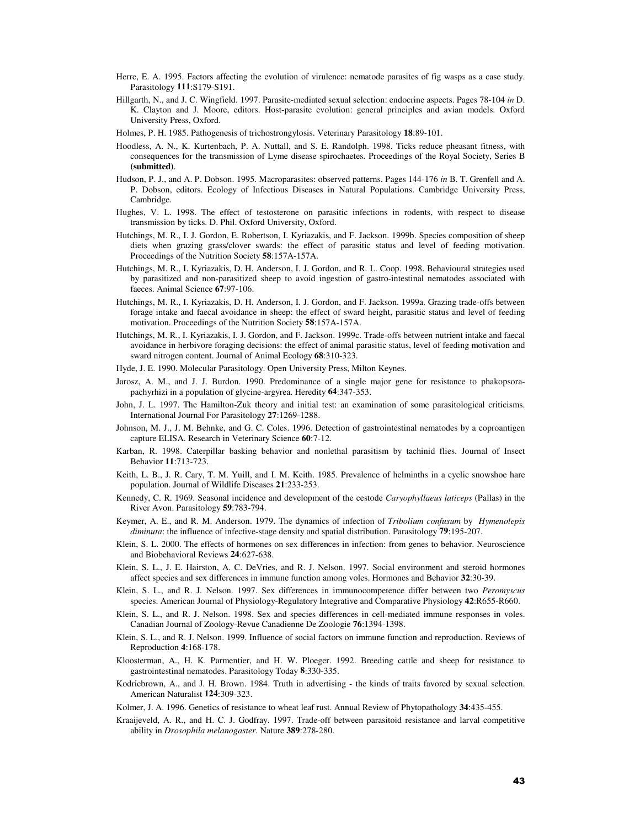- Herre, E. A. 1995. Factors affecting the evolution of virulence: nematode parasites of fig wasps as a case study. Parasitology **111**:S179-S191.
- Hillgarth, N., and J. C. Wingfield. 1997. Parasite-mediated sexual selection: endocrine aspects. Pages 78-104 *in* D. K. Clayton and J. Moore, editors. Host-parasite evolution: general principles and avian models. Oxford University Press, Oxford.
- Holmes, P. H. 1985. Pathogenesis of trichostrongylosis. Veterinary Parasitology **18**:89-101.
- Hoodless, A. N., K. Kurtenbach, P. A. Nuttall, and S. E. Randolph. 1998. Ticks reduce pheasant fitness, with consequences for the transmission of Lyme disease spirochaetes. Proceedings of the Royal Society, Series B **(submitted)**.
- Hudson, P. J., and A. P. Dobson. 1995. Macroparasites: observed patterns. Pages 144-176 *in* B. T. Grenfell and A. P. Dobson, editors. Ecology of Infectious Diseases in Natural Populations. Cambridge University Press, Cambridge.
- Hughes, V. L. 1998. The effect of testosterone on parasitic infections in rodents, with respect to disease transmission by ticks. D. Phil. Oxford University, Oxford.
- Hutchings, M. R., I. J. Gordon, E. Robertson, I. Kyriazakis, and F. Jackson. 1999b. Species composition of sheep diets when grazing grass/clover swards: the effect of parasitic status and level of feeding motivation. Proceedings of the Nutrition Society **58**:157A-157A.
- Hutchings, M. R., I. Kyriazakis, D. H. Anderson, I. J. Gordon, and R. L. Coop. 1998. Behavioural strategies used by parasitized and non-parasitized sheep to avoid ingestion of gastro-intestinal nematodes associated with faeces. Animal Science **67**:97-106.
- Hutchings, M. R., I. Kyriazakis, D. H. Anderson, I. J. Gordon, and F. Jackson. 1999a. Grazing trade-offs between forage intake and faecal avoidance in sheep: the effect of sward height, parasitic status and level of feeding motivation. Proceedings of the Nutrition Society **58**:157A-157A.
- Hutchings, M. R., I. Kyriazakis, I. J. Gordon, and F. Jackson. 1999c. Trade-offs between nutrient intake and faecal avoidance in herbivore foraging decisions: the effect of animal parasitic status, level of feeding motivation and sward nitrogen content. Journal of Animal Ecology **68**:310-323.
- Hyde, J. E. 1990. Molecular Parasitology. Open University Press, Milton Keynes.
- Jarosz, A. M., and J. J. Burdon. 1990. Predominance of a single major gene for resistance to phakopsorapachyrhizi in a population of glycine-argyrea. Heredity **64**:347-353.
- John, J. L. 1997. The Hamilton-Zuk theory and initial test: an examination of some parasitological criticisms. International Journal For Parasitology **27**:1269-1288.
- Johnson, M. J., J. M. Behnke, and G. C. Coles. 1996. Detection of gastrointestinal nematodes by a coproantigen capture ELISA. Research in Veterinary Science **60**:7-12.
- Karban, R. 1998. Caterpillar basking behavior and nonlethal parasitism by tachinid flies. Journal of Insect Behavior **11**:713-723.
- Keith, L. B., J. R. Cary, T. M. Yuill, and I. M. Keith. 1985. Prevalence of helminths in a cyclic snowshoe hare population. Journal of Wildlife Diseases **21**:233-253.
- Kennedy, C. R. 1969. Seasonal incidence and development of the cestode *Caryophyllaeus laticeps* (Pallas) in the River Avon. Parasitology **59**:783-794.
- Keymer, A. E., and R. M. Anderson. 1979. The dynamics of infection of *Tribolium confusum* by *Hymenolepis diminuta*: the influence of infective-stage density and spatial distribution. Parasitology **79**:195-207.
- Klein, S. L. 2000. The effects of hormones on sex differences in infection: from genes to behavior. Neuroscience and Biobehavioral Reviews **24**:627-638.
- Klein, S. L., J. E. Hairston, A. C. DeVries, and R. J. Nelson. 1997. Social environment and steroid hormones affect species and sex differences in immune function among voles. Hormones and Behavior **32**:30-39.
- Klein, S. L., and R. J. Nelson. 1997. Sex differences in immunocompetence differ between two *Peromyscus*  species. American Journal of Physiology-Regulatory Integrative and Comparative Physiology **42**:R655-R660.
- Klein, S. L., and R. J. Nelson. 1998. Sex and species differences in cell-mediated immune responses in voles. Canadian Journal of Zoology-Revue Canadienne De Zoologie **76**:1394-1398.
- Klein, S. L., and R. J. Nelson. 1999. Influence of social factors on immune function and reproduction. Reviews of Reproduction **4**:168-178.
- Kloosterman, A., H. K. Parmentier, and H. W. Ploeger. 1992. Breeding cattle and sheep for resistance to gastrointestinal nematodes. Parasitology Today **8**:330-335.
- Kodricbrown, A., and J. H. Brown. 1984. Truth in advertising the kinds of traits favored by sexual selection. American Naturalist **124**:309-323.
- Kolmer, J. A. 1996. Genetics of resistance to wheat leaf rust. Annual Review of Phytopathology **34**:435-455.
- Kraaijeveld, A. R., and H. C. J. Godfray. 1997. Trade-off between parasitoid resistance and larval competitive ability in *Drosophila melanogaster*. Nature **389**:278-280.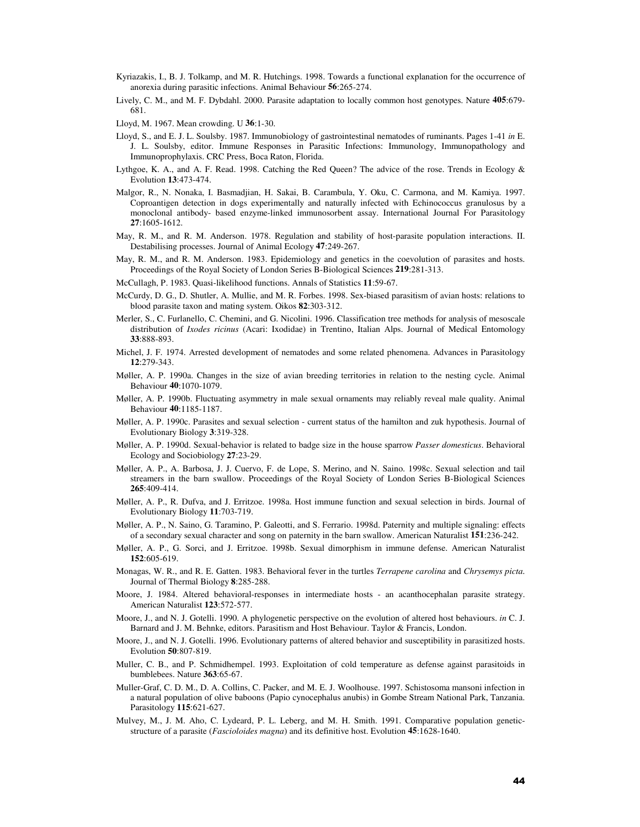- Kyriazakis, I., B. J. Tolkamp, and M. R. Hutchings. 1998. Towards a functional explanation for the occurrence of anorexia during parasitic infections. Animal Behaviour **56**:265-274.
- Lively, C. M., and M. F. Dybdahl. 2000. Parasite adaptation to locally common host genotypes. Nature **405**:679- 681.
- Lloyd, M. 1967. Mean crowding. U **36**:1-30.
- Lloyd, S., and E. J. L. Soulsby. 1987. Immunobiology of gastrointestinal nematodes of ruminants. Pages 1-41 *in* E. J. L. Soulsby, editor. Immune Responses in Parasitic Infections: Immunology, Immunopathology and Immunoprophylaxis. CRC Press, Boca Raton, Florida.
- Lythgoe, K. A., and A. F. Read. 1998. Catching the Red Queen? The advice of the rose. Trends in Ecology & Evolution **13**:473-474.
- Malgor, R., N. Nonaka, I. Basmadjian, H. Sakai, B. Carambula, Y. Oku, C. Carmona, and M. Kamiya. 1997. Coproantigen detection in dogs experimentally and naturally infected with Echinococcus granulosus by a monoclonal antibody- based enzyme-linked immunosorbent assay. International Journal For Parasitology **27**:1605-1612.
- May, R. M., and R. M. Anderson. 1978. Regulation and stability of host-parasite population interactions. II. Destabilising processes. Journal of Animal Ecology **47**:249-267.
- May, R. M., and R. M. Anderson. 1983. Epidemiology and genetics in the coevolution of parasites and hosts. Proceedings of the Royal Society of London Series B-Biological Sciences **219**:281-313.
- McCullagh, P. 1983. Quasi-likelihood functions. Annals of Statistics **11**:59-67.
- McCurdy, D. G., D. Shutler, A. Mullie, and M. R. Forbes. 1998. Sex-biased parasitism of avian hosts: relations to blood parasite taxon and mating system. Oikos **82**:303-312.
- Merler, S., C. Furlanello, C. Chemini, and G. Nicolini. 1996. Classification tree methods for analysis of mesoscale distribution of *Ixodes ricinus* (Acari: Ixodidae) in Trentino, Italian Alps. Journal of Medical Entomology **33**:888-893.
- Michel, J. F. 1974. Arrested development of nematodes and some related phenomena. Advances in Parasitology **12**:279-343.
- Møller, A. P. 1990a. Changes in the size of avian breeding territories in relation to the nesting cycle. Animal Behaviour **40**:1070-1079.
- Møller, A. P. 1990b. Fluctuating asymmetry in male sexual ornaments may reliably reveal male quality. Animal Behaviour **40**:1185-1187.
- Møller, A. P. 1990c. Parasites and sexual selection current status of the hamilton and zuk hypothesis. Journal of Evolutionary Biology **3**:319-328.
- Møller, A. P. 1990d. Sexual-behavior is related to badge size in the house sparrow *Passer domesticus*. Behavioral Ecology and Sociobiology **27**:23-29.
- Møller, A. P., A. Barbosa, J. J. Cuervo, F. de Lope, S. Merino, and N. Saino. 1998c. Sexual selection and tail streamers in the barn swallow. Proceedings of the Royal Society of London Series B-Biological Sciences **265**:409-414.
- Møller, A. P., R. Dufva, and J. Erritzoe. 1998a. Host immune function and sexual selection in birds. Journal of Evolutionary Biology **11**:703-719.
- Møller, A. P., N. Saino, G. Taramino, P. Galeotti, and S. Ferrario. 1998d. Paternity and multiple signaling: effects of a secondary sexual character and song on paternity in the barn swallow. American Naturalist **151**:236-242.
- Møller, A. P., G. Sorci, and J. Erritzoe. 1998b. Sexual dimorphism in immune defense. American Naturalist **152**:605-619.
- Monagas, W. R., and R. E. Gatten. 1983. Behavioral fever in the turtles *Terrapene carolina* and *Chrysemys picta*. Journal of Thermal Biology **8**:285-288.
- Moore, J. 1984. Altered behavioral-responses in intermediate hosts an acanthocephalan parasite strategy. American Naturalist **123**:572-577.
- Moore, J., and N. J. Gotelli. 1990. A phylogenetic perspective on the evolution of altered host behaviours. *in* C. J. Barnard and J. M. Behnke, editors. Parasitism and Host Behaviour. Taylor & Francis, London.
- Moore, J., and N. J. Gotelli. 1996. Evolutionary patterns of altered behavior and susceptibility in parasitized hosts. Evolution **50**:807-819.
- Muller, C. B., and P. Schmidhempel. 1993. Exploitation of cold temperature as defense against parasitoids in bumblebees. Nature **363**:65-67.
- Muller-Graf, C. D. M., D. A. Collins, C. Packer, and M. E. J. Woolhouse. 1997. Schistosoma mansoni infection in a natural population of olive baboons (Papio cynocephalus anubis) in Gombe Stream National Park, Tanzania. Parasitology **115**:621-627.
- Mulvey, M., J. M. Aho, C. Lydeard, P. L. Leberg, and M. H. Smith. 1991. Comparative population geneticstructure of a parasite (*Fascioloides magna*) and its definitive host. Evolution **45**:1628-1640.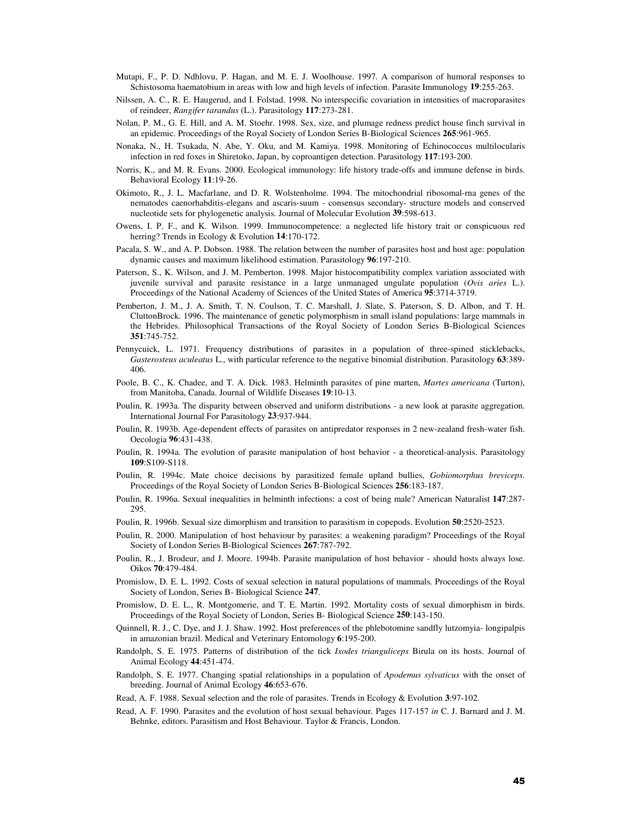- Mutapi, F., P. D. Ndhlovu, P. Hagan, and M. E. J. Woolhouse. 1997. A comparison of humoral responses to Schistosoma haematobium in areas with low and high levels of infection. Parasite Immunology **19**:255-263.
- Nilssen, A. C., R. E. Haugerud, and I. Folstad. 1998. No interspecific covariation in intensities of macroparasites of reindeer, *Rangifer tarandus* (L.). Parasitology **117**:273-281.
- Nolan, P. M., G. E. Hill, and A. M. Stoehr. 1998. Sex, size, and plumage redness predict house finch survival in an epidemic. Proceedings of the Royal Society of London Series B-Biological Sciences **265**:961-965.
- Nonaka, N., H. Tsukada, N. Abe, Y. Oku, and M. Kamiya. 1998. Monitoring of Echinococcus multilocularis infection in red foxes in Shiretoko, Japan, by coproantigen detection. Parasitology **117**:193-200.
- Norris, K., and M. R. Evans. 2000. Ecological immunology: life history trade-offs and immune defense in birds. Behavioral Ecology **11**:19-26.
- Okimoto, R., J. L. Macfarlane, and D. R. Wolstenholme. 1994. The mitochondrial ribosomal-rna genes of the nematodes caenorhabditis-elegans and ascaris-suum - consensus secondary- structure models and conserved nucleotide sets for phylogenetic analysis. Journal of Molecular Evolution **39**:598-613.
- Owens, I. P. F., and K. Wilson. 1999. Immunocompetence: a neglected life history trait or conspicuous red herring? Trends in Ecology & Evolution **14**:170-172.
- Pacala, S. W., and A. P. Dobson. 1988. The relation between the number of parasites host and host age: population dynamic causes and maximum likelihood estimation. Parasitology **96**:197-210.
- Paterson, S., K. Wilson, and J. M. Pemberton. 1998. Major histocompatibility complex variation associated with juvenile survival and parasite resistance in a large unmanaged ungulate population (*Ovis aries* L.). Proceedings of the National Academy of Sciences of the United States of America **95**:3714-3719.
- Pemberton, J. M., J. A. Smith, T. N. Coulson, T. C. Marshall, J. Slate, S. Paterson, S. D. Albon, and T. H. CluttonBrock. 1996. The maintenance of genetic polymorphism in small island populations: large mammals in the Hebrides. Philosophical Transactions of the Royal Society of London Series B-Biological Sciences **351**:745-752.
- Pennycuick, L. 1971. Frequency distributions of parasites in a population of three-spined sticklebacks, *Gasterosteus aculeatus* L., with particular reference to the negative binomial distribution. Parasitology **63**:389- 406.
- Poole, B. C., K. Chadee, and T. A. Dick. 1983. Helminth parasites of pine marten, *Martes americana* (Turton), from Manitoba, Canada. Journal of Wildlife Diseases **19**:10-13.
- Poulin, R. 1993a. The disparity between observed and uniform distributions a new look at parasite aggregation. International Journal For Parasitology **23**:937-944.
- Poulin, R. 1993b. Age-dependent effects of parasites on antipredator responses in 2 new-zealand fresh-water fish. Oecologia **96**:431-438.
- Poulin, R. 1994a. The evolution of parasite manipulation of host behavior a theoretical-analysis. Parasitology **109**:S109-S118.
- Poulin, R. 1994c. Mate choice decisions by parasitized female upland bullies, *Gobiomorphus breviceps*. Proceedings of the Royal Society of London Series B-Biological Sciences **256**:183-187.
- Poulin, R. 1996a. Sexual inequalities in helminth infections: a cost of being male? American Naturalist **147**:287- 295.
- Poulin, R. 1996b. Sexual size dimorphism and transition to parasitism in copepods. Evolution **50**:2520-2523.
- Poulin, R. 2000. Manipulation of host behaviour by parasites: a weakening paradigm? Proceedings of the Royal Society of London Series B-Biological Sciences **267**:787-792.
- Poulin, R., J. Brodeur, and J. Moore. 1994b. Parasite manipulation of host behavior should hosts always lose. Oikos **70**:479-484.
- Promislow, D. E. L. 1992. Costs of sexual selection in natural populations of mammals. Proceedings of the Royal Society of London, Series B- Biological Science **247**.
- Promislow, D. E. L., R. Montgomerie, and T. E. Martin. 1992. Mortality costs of sexual dimorphism in birds. Proceedings of the Royal Society of London, Series B- Biological Science **250**:143-150.
- Quinnell, R. J., C. Dye, and J. J. Shaw. 1992. Host preferences of the phlebotomine sandfly lutzomyia- longipalpis in amazonian brazil. Medical and Veterinary Entomology **6**:195-200.
- Randolph, S. E. 1975. Patterns of distribution of the tick *Ixodes trianguliceps* Birula on its hosts. Journal of Animal Ecology **44**:451-474.
- Randolph, S. E. 1977. Changing spatial relationships in a population of *Apodemus sylvaticus* with the onset of breeding. Journal of Animal Ecology **46**:653-676.
- Read, A. F. 1988. Sexual selection and the role of parasites. Trends in Ecology & Evolution **3**:97-102.
- Read, A. F. 1990. Parasites and the evolution of host sexual behaviour. Pages 117-157 *in* C. J. Barnard and J. M. Behnke, editors. Parasitism and Host Behaviour. Taylor & Francis, London.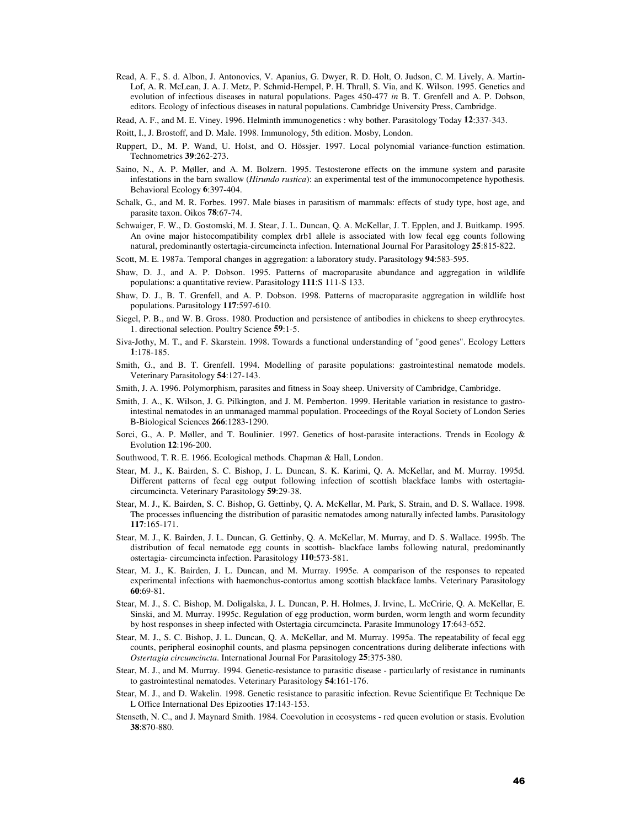- Read, A. F., S. d. Albon, J. Antonovics, V. Apanius, G. Dwyer, R. D. Holt, O. Judson, C. M. Lively, A. Martin-Lof, A. R. McLean, J. A. J. Metz, P. Schmid-Hempel, P. H. Thrall, S. Via, and K. Wilson. 1995. Genetics and evolution of infectious diseases in natural populations. Pages 450-477 *in* B. T. Grenfell and A. P. Dobson, editors. Ecology of infectious diseases in natural populations. Cambridge University Press, Cambridge.
- Read, A. F., and M. E. Viney. 1996. Helminth immunogenetics : why bother. Parasitology Today **12**:337-343.
- Roitt, I., J. Brostoff, and D. Male. 1998. Immunology, 5th edition. Mosby, London.
- Ruppert, D., M. P. Wand, U. Holst, and O. Hössjer. 1997. Local polynomial variance-function estimation. Technometrics **39**:262-273.
- Saino, N., A. P. Møller, and A. M. Bolzern. 1995. Testosterone effects on the immune system and parasite infestations in the barn swallow (*Hirundo rustica*): an experimental test of the immunocompetence hypothesis. Behavioral Ecology **6**:397-404.
- Schalk, G., and M. R. Forbes. 1997. Male biases in parasitism of mammals: effects of study type, host age, and parasite taxon. Oikos **78**:67-74.
- Schwaiger, F. W., D. Gostomski, M. J. Stear, J. L. Duncan, Q. A. McKellar, J. T. Epplen, and J. Buitkamp. 1995. An ovine major histocompatibility complex drb1 allele is associated with low fecal egg counts following natural, predominantly ostertagia-circumcincta infection. International Journal For Parasitology **25**:815-822.
- Scott, M. E. 1987a. Temporal changes in aggregation: a laboratory study. Parasitology **94**:583-595.
- Shaw, D. J., and A. P. Dobson. 1995. Patterns of macroparasite abundance and aggregation in wildlife populations: a quantitative review. Parasitology **111**:S 111-S 133.
- Shaw, D. J., B. T. Grenfell, and A. P. Dobson. 1998. Patterns of macroparasite aggregation in wildlife host populations. Parasitology **117**:597-610.
- Siegel, P. B., and W. B. Gross. 1980. Production and persistence of antibodies in chickens to sheep erythrocytes. 1. directional selection. Poultry Science **59**:1-5.
- Siva-Jothy, M. T., and F. Skarstein. 1998. Towards a functional understanding of "good genes". Ecology Letters **1**:178-185.
- Smith, G., and B. T. Grenfell. 1994. Modelling of parasite populations: gastrointestinal nematode models. Veterinary Parasitology **54**:127-143.
- Smith, J. A. 1996. Polymorphism, parasites and fitness in Soay sheep. University of Cambridge, Cambridge.
- Smith, J. A., K. Wilson, J. G. Pilkington, and J. M. Pemberton. 1999. Heritable variation in resistance to gastrointestinal nematodes in an unmanaged mammal population. Proceedings of the Royal Society of London Series B-Biological Sciences **266**:1283-1290.
- Sorci, G., A. P. Møller, and T. Boulinier. 1997. Genetics of host-parasite interactions. Trends in Ecology & Evolution **12**:196-200.
- Southwood, T. R. E. 1966. Ecological methods. Chapman & Hall, London.
- Stear, M. J., K. Bairden, S. C. Bishop, J. L. Duncan, S. K. Karimi, Q. A. McKellar, and M. Murray. 1995d. Different patterns of fecal egg output following infection of scottish blackface lambs with ostertagiacircumcincta. Veterinary Parasitology **59**:29-38.
- Stear, M. J., K. Bairden, S. C. Bishop, G. Gettinby, Q. A. McKellar, M. Park, S. Strain, and D. S. Wallace. 1998. The processes influencing the distribution of parasitic nematodes among naturally infected lambs. Parasitology **117**:165-171.
- Stear, M. J., K. Bairden, J. L. Duncan, G. Gettinby, Q. A. McKellar, M. Murray, and D. S. Wallace. 1995b. The distribution of fecal nematode egg counts in scottish- blackface lambs following natural, predominantly ostertagia- circumcincta infection. Parasitology **110**:573-581.
- Stear, M. J., K. Bairden, J. L. Duncan, and M. Murray. 1995e. A comparison of the responses to repeated experimental infections with haemonchus-contortus among scottish blackface lambs. Veterinary Parasitology **60**:69-81.
- Stear, M. J., S. C. Bishop, M. Doligalska, J. L. Duncan, P. H. Holmes, J. Irvine, L. McCririe, Q. A. McKellar, E. Sinski, and M. Murray. 1995c. Regulation of egg production, worm burden, worm length and worm fecundity by host responses in sheep infected with Ostertagia circumcincta. Parasite Immunology **17**:643-652.
- Stear, M. J., S. C. Bishop, J. L. Duncan, Q. A. McKellar, and M. Murray. 1995a. The repeatability of fecal egg counts, peripheral eosinophil counts, and plasma pepsinogen concentrations during deliberate infections with *Ostertagia circumcincta*. International Journal For Parasitology **25**:375-380.
- Stear, M. J., and M. Murray. 1994. Genetic-resistance to parasitic disease particularly of resistance in ruminants to gastrointestinal nematodes. Veterinary Parasitology **54**:161-176.
- Stear, M. J., and D. Wakelin. 1998. Genetic resistance to parasitic infection. Revue Scientifique Et Technique De L Office International Des Epizooties **17**:143-153.
- Stenseth, N. C., and J. Maynard Smith. 1984. Coevolution in ecosystems red queen evolution or stasis. Evolution **38**:870-880.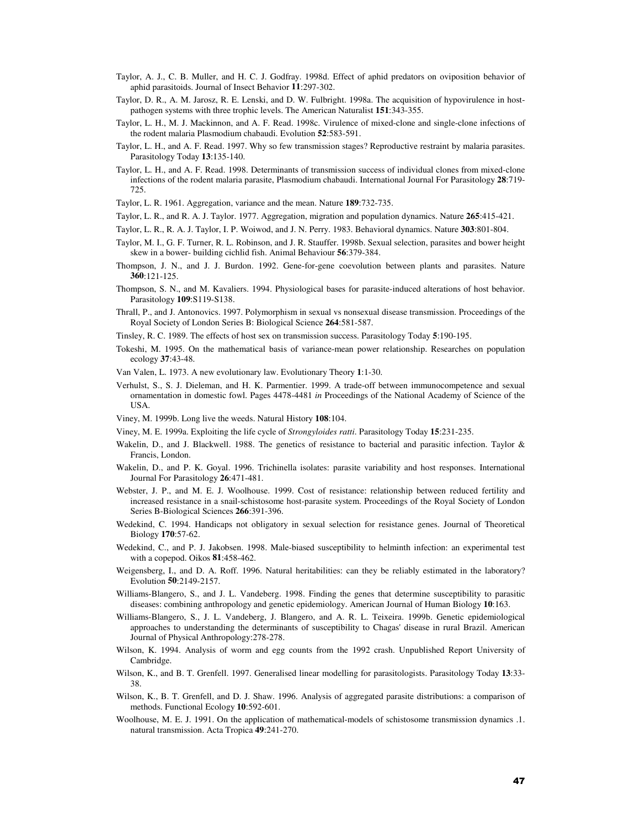- Taylor, A. J., C. B. Muller, and H. C. J. Godfray. 1998d. Effect of aphid predators on oviposition behavior of aphid parasitoids. Journal of Insect Behavior **11**:297-302.
- Taylor, D. R., A. M. Jarosz, R. E. Lenski, and D. W. Fulbright. 1998a. The acquisition of hypovirulence in hostpathogen systems with three trophic levels. The American Naturalist **151**:343-355.
- Taylor, L. H., M. J. Mackinnon, and A. F. Read. 1998c. Virulence of mixed-clone and single-clone infections of the rodent malaria Plasmodium chabaudi. Evolution **52**:583-591.
- Taylor, L. H., and A. F. Read. 1997. Why so few transmission stages? Reproductive restraint by malaria parasites. Parasitology Today **13**:135-140.
- Taylor, L. H., and A. F. Read. 1998. Determinants of transmission success of individual clones from mixed-clone infections of the rodent malaria parasite, Plasmodium chabaudi. International Journal For Parasitology **28**:719- 725.
- Taylor, L. R. 1961. Aggregation, variance and the mean. Nature **189**:732-735.
- Taylor, L. R., and R. A. J. Taylor. 1977. Aggregation, migration and population dynamics. Nature **265**:415-421.
- Taylor, L. R., R. A. J. Taylor, I. P. Woiwod, and J. N. Perry. 1983. Behavioral dynamics. Nature **303**:801-804.
- Taylor, M. I., G. F. Turner, R. L. Robinson, and J. R. Stauffer. 1998b. Sexual selection, parasites and bower height skew in a bower- building cichlid fish. Animal Behaviour **56**:379-384.
- Thompson, J. N., and J. J. Burdon. 1992. Gene-for-gene coevolution between plants and parasites. Nature **360**:121-125.
- Thompson, S. N., and M. Kavaliers. 1994. Physiological bases for parasite-induced alterations of host behavior. Parasitology **109**:S119-S138.
- Thrall, P., and J. Antonovics. 1997. Polymorphism in sexual vs nonsexual disease transmission. Proceedings of the Royal Society of London Series B: Biological Science **264**:581-587.
- Tinsley, R. C. 1989. The effects of host sex on transmission success. Parasitology Today **5**:190-195.
- Tokeshi, M. 1995. On the mathematical basis of variance-mean power relationship. Researches on population ecology **37**:43-48.
- Van Valen, L. 1973. A new evolutionary law. Evolutionary Theory **1**:1-30.
- Verhulst, S., S. J. Dieleman, and H. K. Parmentier. 1999. A trade-off between immunocompetence and sexual ornamentation in domestic fowl. Pages 4478-4481 *in* Proceedings of the National Academy of Science of the USA.
- Viney, M. 1999b. Long live the weeds. Natural History **108**:104.
- Viney, M. E. 1999a. Exploiting the life cycle of *Strongyloides ratti*. Parasitology Today **15**:231-235.
- Wakelin, D., and J. Blackwell. 1988. The genetics of resistance to bacterial and parasitic infection. Taylor & Francis, London.
- Wakelin, D., and P. K. Goyal. 1996. Trichinella isolates: parasite variability and host responses. International Journal For Parasitology **26**:471-481.
- Webster, J. P., and M. E. J. Woolhouse. 1999. Cost of resistance: relationship between reduced fertility and increased resistance in a snail-schistosome host-parasite system. Proceedings of the Royal Society of London Series B-Biological Sciences **266**:391-396.
- Wedekind, C. 1994. Handicaps not obligatory in sexual selection for resistance genes. Journal of Theoretical Biology **170**:57-62.
- Wedekind, C., and P. J. Jakobsen. 1998. Male-biased susceptibility to helminth infection: an experimental test with a copepod. Oikos **81**:458-462.
- Weigensberg, I., and D. A. Roff. 1996. Natural heritabilities: can they be reliably estimated in the laboratory? Evolution **50**:2149-2157.
- Williams-Blangero, S., and J. L. Vandeberg. 1998. Finding the genes that determine susceptibility to parasitic diseases: combining anthropology and genetic epidemiology. American Journal of Human Biology **10**:163.
- Williams-Blangero, S., J. L. Vandeberg, J. Blangero, and A. R. L. Teixeira. 1999b. Genetic epidemiological approaches to understanding the determinants of susceptibility to Chagas' disease in rural Brazil. American Journal of Physical Anthropology:278-278.
- Wilson, K. 1994. Analysis of worm and egg counts from the 1992 crash. Unpublished Report University of Cambridge.
- Wilson, K., and B. T. Grenfell. 1997. Generalised linear modelling for parasitologists. Parasitology Today **13**:33- 38.
- Wilson, K., B. T. Grenfell, and D. J. Shaw. 1996. Analysis of aggregated parasite distributions: a comparison of methods. Functional Ecology **10**:592-601.
- Woolhouse, M. E. J. 1991. On the application of mathematical-models of schistosome transmission dynamics .1. natural transmission. Acta Tropica **49**:241-270.